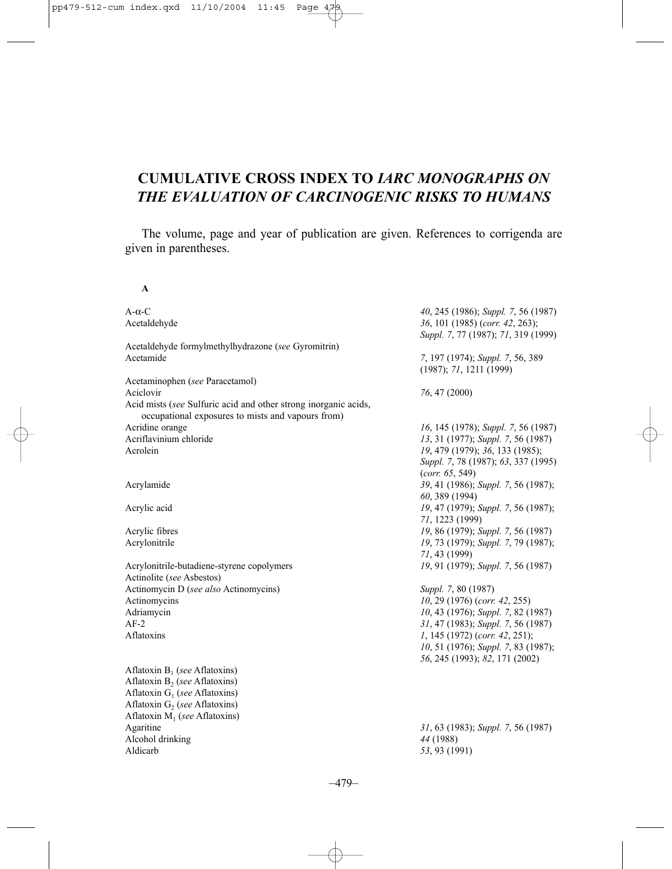## **CUMULATIVE CROSS INDEX TO** *IARC MONOGRAPHS ON THE EVALUATION OF CARCINOGENIC RISKS TO HUMANS*

The volume, page and year of publication are given. References to corrigenda are given in parentheses.

**A**

| $A-\alpha-C$                                                                                                         | 40, 245 (1986); Suppl. 7, 56 (1987)                                    |
|----------------------------------------------------------------------------------------------------------------------|------------------------------------------------------------------------|
| Acetaldehyde                                                                                                         | 36, 101 (1985) (corr. 42, 263);<br>Suppl. 7, 77 (1987); 71, 319 (1999) |
| Acetaldehyde formylmethylhydrazone (see Gyromitrin)                                                                  |                                                                        |
| Acetamide                                                                                                            | 7, 197 (1974); Suppl. 7, 56, 389<br>(1987); 71, 1211 (1999)            |
| Acetaminophen (see Paracetamol)                                                                                      |                                                                        |
| Aciclovir                                                                                                            | 76, 47 (2000)                                                          |
| Acid mists (see Sulfuric acid and other strong inorganic acids,<br>occupational exposures to mists and vapours from) |                                                                        |
| Acridine orange                                                                                                      | 16, 145 (1978); Suppl. 7, 56 (1987)                                    |
| Acriflavinium chloride                                                                                               | 13, 31 (1977); Suppl. 7, 56 (1987)                                     |
| Acrolein                                                                                                             | 19, 479 (1979); 36, 133 (1985);<br>Suppl. 7, 78 (1987); 63, 337 (1995) |
|                                                                                                                      | (corr. 65, 549)                                                        |
| Acrylamide                                                                                                           | 39, 41 (1986); Suppl. 7, 56 (1987);                                    |
|                                                                                                                      | 60, 389 (1994)                                                         |
| Acrylic acid                                                                                                         | 19, 47 (1979); Suppl. 7, 56 (1987);                                    |
|                                                                                                                      | 71, 1223 (1999)                                                        |
| Acrylic fibres                                                                                                       | 19, 86 (1979); Suppl. 7, 56 (1987)                                     |
| Acrylonitrile                                                                                                        | 19, 73 (1979); Suppl. 7, 79 (1987);                                    |
|                                                                                                                      | 71, 43 (1999)                                                          |
| Acrylonitrile-butadiene-styrene copolymers                                                                           | 19, 91 (1979); Suppl. 7, 56 (1987)                                     |
| Actinolite (see Asbestos)                                                                                            |                                                                        |
| Actinomycin D (see also Actinomycins)                                                                                | Suppl. 7, 80 (1987)                                                    |
| Actinomycins                                                                                                         | 10, 29 (1976) (corr. 42, 255)                                          |
| Adriamycin                                                                                                           | 10, 43 (1976); Suppl. 7, 82 (1987)                                     |
| $AF-2$                                                                                                               | 31, 47 (1983); Suppl. 7, 56 (1987)                                     |
| Aflatoxins                                                                                                           | 1, 145 (1972) (corr. 42, 251);                                         |
|                                                                                                                      | 10, 51 (1976); Suppl. 7, 83 (1987);                                    |
|                                                                                                                      | 56, 245 (1993); 82, 171 (2002)                                         |
| Aflatoxin $B_1$ (see Aflatoxins)                                                                                     |                                                                        |
| Aflatoxin $B_2$ (see Aflatoxins)                                                                                     |                                                                        |
| Aflatoxin $G_1$ (see Aflatoxins)                                                                                     |                                                                        |
| Aflatoxin $G_2$ (see Aflatoxins)                                                                                     |                                                                        |
| Aflatoxin $M_1$ (see Aflatoxins)                                                                                     |                                                                        |
| Agaritine                                                                                                            | 31, 63 (1983); Suppl. 7, 56 (1987)                                     |
| Alcohol drinking                                                                                                     | 44 (1988)                                                              |
| Aldicarb                                                                                                             | 53, 93 (1991)                                                          |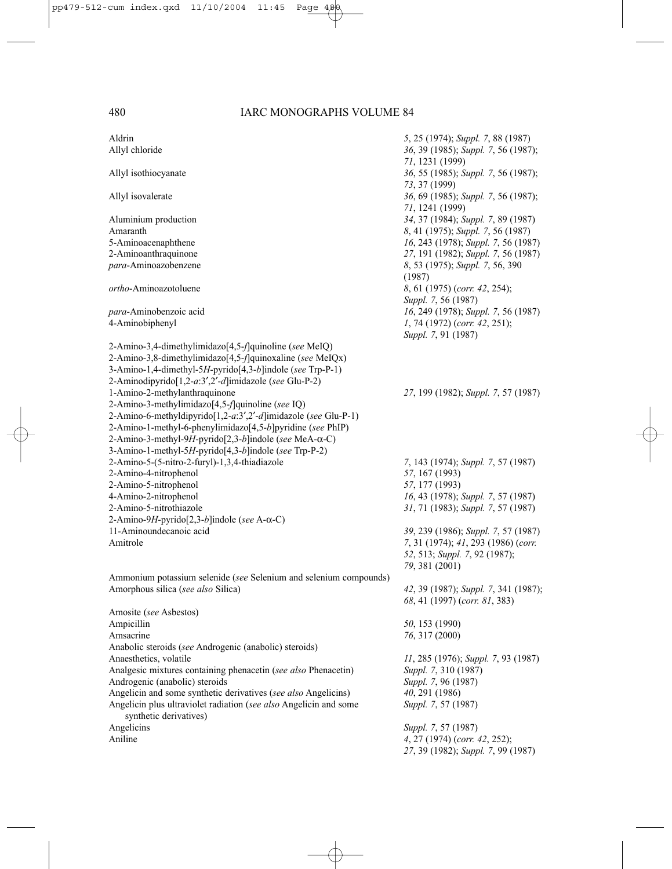| Aldrin                                                                                                                                                                                                                                             | 5, 25 (1974); Suppl. 7, 88 (1987)                                     |
|----------------------------------------------------------------------------------------------------------------------------------------------------------------------------------------------------------------------------------------------------|-----------------------------------------------------------------------|
| Allyl chloride                                                                                                                                                                                                                                     | 36, 39 (1985); Suppl. 7, 56 (1987);<br>71, 1231 (1999)                |
| Allyl isothiocyanate                                                                                                                                                                                                                               | 36, 55 (1985); Suppl. 7, 56 (1987);<br>73, 37 (1999)                  |
| Allyl isovalerate                                                                                                                                                                                                                                  | 36, 69 (1985); Suppl. 7, 56 (1987);<br>71, 1241 (1999)                |
| Aluminium production                                                                                                                                                                                                                               | 34, 37 (1984); Suppl. 7, 89 (1987)                                    |
| Amaranth                                                                                                                                                                                                                                           | 8, 41 (1975); Suppl. 7, 56 (1987)                                     |
| 5-Aminoacenaphthene                                                                                                                                                                                                                                | 16, 243 (1978); Suppl. 7, 56 (1987)                                   |
| 2-Aminoanthraquinone                                                                                                                                                                                                                               | 27, 191 (1982); Suppl. 7, 56 (1987)                                   |
| para-Aminoazobenzene                                                                                                                                                                                                                               | 8, 53 (1975); Suppl. 7, 56, 390<br>(1987)                             |
| <i>ortho</i> -Aminoazotoluene                                                                                                                                                                                                                      | 8, 61 (1975) (corr. 42, 254);<br>Suppl. 7, 56 (1987)                  |
| para-Aminobenzoic acid                                                                                                                                                                                                                             | 16, 249 (1978); Suppl. 7, 56 (1987)                                   |
| 4-Aminobiphenyl                                                                                                                                                                                                                                    | 1, 74 (1972) (corr. 42, 251);<br>Suppl. 7, 91 (1987)                  |
| 2-Amino-3,4-dimethylimidazo[4,5- <i>f</i> ]quinoline (see MeIQ)<br>2-Amino-3,8-dimethylimidazo[4,5-f]quinoxaline (see MeIQx)<br>3-Amino-1,4-dimethyl-5H-pyrido[4,3-b]indole (see Trp-P-1)<br>2-Aminodipyrido[1,2-a:3',2'-d]imidazole (see Glu-P-2) |                                                                       |
| 1-Amino-2-methylanthraquinone                                                                                                                                                                                                                      | 27, 199 (1982); Suppl. 7, 57 (1987)                                   |
| 2-Amino-3-methylimidazo[4,5-f]quinoline (see IQ)                                                                                                                                                                                                   |                                                                       |
| 2-Amino-6-methyldipyrido[1,2-a:3',2'-d]imidazole (see Glu-P-1)                                                                                                                                                                                     |                                                                       |
| 2-Amino-1-methyl-6-phenylimidazo[4,5-b]pyridine (see PhIP)                                                                                                                                                                                         |                                                                       |
| 2-Amino-3-methyl-9H-pyrido[2,3-b]indole (see MeA-α-C)                                                                                                                                                                                              |                                                                       |
| 3-Amino-1-methyl-5H-pyrido[4,3-b]indole (see Trp-P-2)<br>2-Amino-5-(5-nitro-2-furyl)-1,3,4-thiadiazole                                                                                                                                             |                                                                       |
| 2-Amino-4-nitrophenol                                                                                                                                                                                                                              | 7, 143 (1974); Suppl. 7, 57 (1987)<br>57, 167 (1993)                  |
| 2-Amino-5-nitrophenol                                                                                                                                                                                                                              | 57, 177 (1993)                                                        |
| 4-Amino-2-nitrophenol                                                                                                                                                                                                                              | 16, 43 (1978); Suppl. 7, 57 (1987)                                    |
| 2-Amino-5-nitrothiazole                                                                                                                                                                                                                            | 31, 71 (1983); Suppl. 7, 57 (1987)                                    |
| 2-Amino-9H-pyrido[2,3-b]indole (see A-α-C)                                                                                                                                                                                                         |                                                                       |
| 11-Aminoundecanoic acid                                                                                                                                                                                                                            | 39, 239 (1986); Suppl. 7, 57 (1987)                                   |
| Amitrole                                                                                                                                                                                                                                           | 7, 31 (1974); 41, 293 (1986) (corr.                                   |
|                                                                                                                                                                                                                                                    | 52, 513; Suppl. 7, 92 (1987);<br>79, 381 (2001)                       |
| Ammonium potassium selenide (see Selenium and selenium compounds)                                                                                                                                                                                  |                                                                       |
| Amorphous silica (see also Silica)                                                                                                                                                                                                                 | 42, 39 (1987); Suppl. 7, 341 (1987);<br>68, 41 (1997) (corr. 81, 383) |
| Amosite (see Asbestos)                                                                                                                                                                                                                             |                                                                       |
| Ampicillin                                                                                                                                                                                                                                         | 50, 153 (1990)                                                        |
| Amsacrine                                                                                                                                                                                                                                          | 76, 317 (2000)                                                        |
| Anabolic steroids (see Androgenic (anabolic) steroids)                                                                                                                                                                                             |                                                                       |
| Anaesthetics, volatile                                                                                                                                                                                                                             | 11, 285 (1976); Suppl. 7, 93 (1987)                                   |
| Analgesic mixtures containing phenacetin (see also Phenacetin)                                                                                                                                                                                     | Suppl. 7, 310 (1987)                                                  |
| Androgenic (anabolic) steroids                                                                                                                                                                                                                     | Suppl. 7, 96 (1987)                                                   |
| Angelicin and some synthetic derivatives (see also Angelicins)                                                                                                                                                                                     | 40, 291 (1986)                                                        |
| Angelicin plus ultraviolet radiation (see also Angelicin and some<br>synthetic derivatives)                                                                                                                                                        | Suppl. 7, 57 (1987)                                                   |
| Angelicins                                                                                                                                                                                                                                         | Suppl. 7, 57 (1987)                                                   |
| Aniline                                                                                                                                                                                                                                            | 4, 27 (1974) (corr. 42, 252);<br>27, 39 (1982); Suppl. 7, 99 (1987)   |
|                                                                                                                                                                                                                                                    |                                                                       |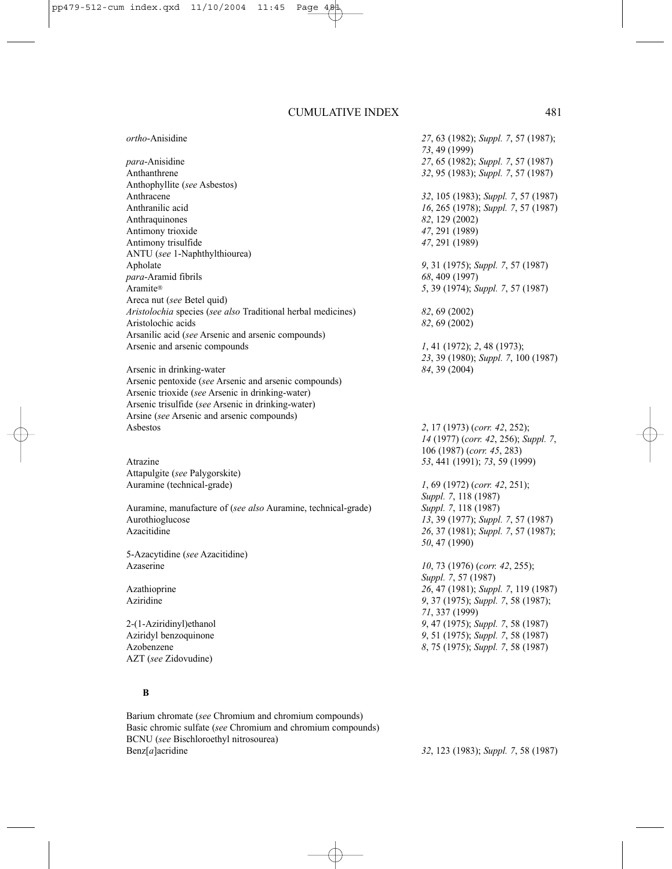| ortho-Anisidine                                               | 27, 63 (1982); Suppl. 7, 57 (1987);  |
|---------------------------------------------------------------|--------------------------------------|
|                                                               | 73, 49 (1999)                        |
| para-Anisidine                                                | 27, 65 (1982); Suppl. 7, 57 (1987)   |
| Anthanthrene                                                  | 32, 95 (1983); Suppl. 7, 57 (1987)   |
| Anthophyllite (see Asbestos)                                  |                                      |
| Anthracene                                                    | 32, 105 (1983); Suppl. 7, 57 (1987)  |
| Anthranilic acid                                              | 16, 265 (1978); Suppl. 7, 57 (1987)  |
| Anthraquinones                                                | 82, 129 (2002)                       |
| Antimony trioxide                                             | 47, 291 (1989)                       |
| Antimony trisulfide                                           | 47, 291 (1989)                       |
| ANTU (see 1-Naphthylthiourea)                                 |                                      |
| Apholate                                                      | 9, 31 (1975); Suppl. 7, 57 (1987)    |
| para-Aramid fibrils                                           | 68, 409 (1997)                       |
| Aramite®                                                      | 5, 39 (1974); Suppl. 7, 57 (1987)    |
| Areca nut (see Betel quid)                                    |                                      |
| Aristolochia species (see also Traditional herbal medicines)  | 82, 69 (2002)                        |
| Aristolochic acids                                            | 82, 69 (2002)                        |
| Arsanilic acid (see Arsenic and arsenic compounds)            |                                      |
| Arsenic and arsenic compounds                                 | 1, 41 (1972); 2, 48 (1973);          |
|                                                               | 23, 39 (1980); Suppl. 7, 100 (1987)  |
| Arsenic in drinking-water                                     | 84, 39 (2004)                        |
| Arsenic pentoxide (see Arsenic and arsenic compounds)         |                                      |
| Arsenic trioxide (see Arsenic in drinking-water)              |                                      |
| Arsenic trisulfide (see Arsenic in drinking-water)            |                                      |
| Arsine (see Arsenic and arsenic compounds)                    |                                      |
| Asbestos                                                      | 2, 17 (1973) (corr. 42, 252);        |
|                                                               | 14 (1977) (corr. 42, 256); Suppl. 7, |
|                                                               | 106 (1987) (corr. 45, 283)           |
| Atrazine                                                      | 53, 441 (1991); 73, 59 (1999)        |
| Attapulgite (see Palygorskite)                                |                                      |
| Auramine (technical-grade)                                    | $1, 69$ (1972) (corr. 42, 251);      |
|                                                               | <i>Suppl.</i> 7, 118 (1987)          |
| Auramine, manufacture of (see also Auramine, technical-grade) | Suppl. 7, 118 (1987)                 |
| Aurothioglucose                                               | 13, 39 (1977); Suppl. 7, 57 (1987)   |
| Azacitidine                                                   | 26, 37 (1981); Suppl. 7, 57 (1987);  |
|                                                               | 50, 47 (1990)                        |
| 5-Azacytidine (see Azacitidine)                               |                                      |
|                                                               |                                      |
| Azaserine                                                     | 10, 73 (1976) (corr. 42, 255);       |
|                                                               | Suppl. 7, 57 (1987)                  |
| Azathioprine                                                  | 26, 47 (1981); Suppl. 7, 119 (1987)  |
| Aziridine                                                     | 9, 37 (1975); Suppl. 7, 58 (1987);   |
|                                                               | 71, 337 (1999)                       |
| 2-(1-Aziridinyl) ethanol                                      | 9, 47 (1975); Suppl. 7, 58 (1987)    |
| Aziridyl benzoquinone                                         | 9, 51 (1975); Suppl. 7, 58 (1987)    |
| Azobenzene                                                    | 8, 75 (1975); Suppl. 7, 58 (1987)    |
| AZT (see Zidovudine)                                          |                                      |

### **B**

Barium chromate (*see* Chromium and chromium compounds) Basic chromic sulfate (*see* Chromium and chromium compounds) BCNU (*see* Bischloroethyl nitrosourea) Benz[*a*]acridine *32*, 123 (1983); *Suppl. 7*, 58 (1987)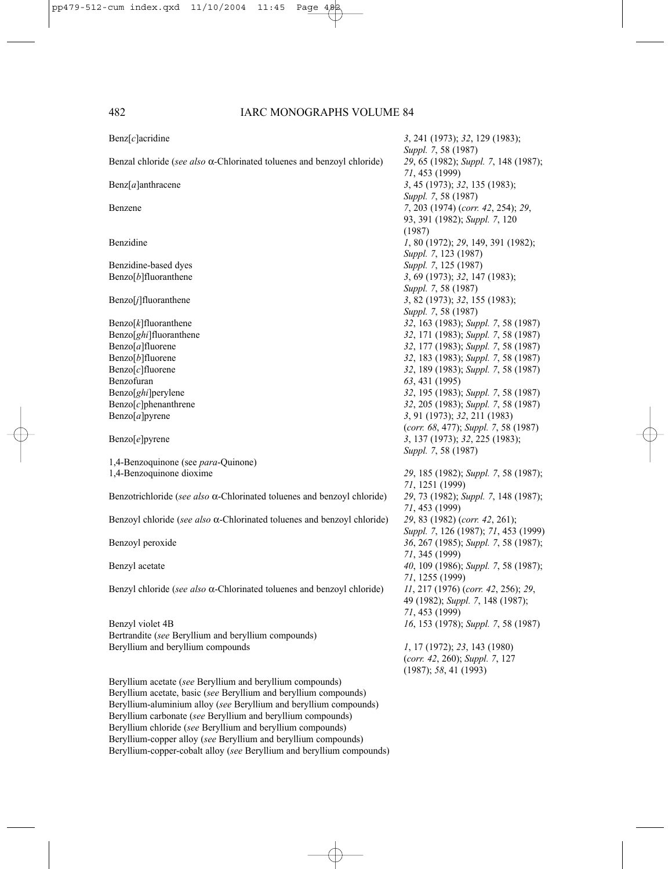| $\text{Benz}[c]$ acridine                                                       | 3, 241 (1973); 32, 129 (1983);<br>Suppl. 7, 58 (1987)                                   |
|---------------------------------------------------------------------------------|-----------------------------------------------------------------------------------------|
| Benzal chloride (see also $\alpha$ -Chlorinated toluenes and benzoyl chloride)  | 29, 65 (1982); Suppl. 7, 148 (1987);<br>71, 453 (1999)                                  |
| $\text{Benz}[a]$ anthracene                                                     | 3, 45 (1973); 32, 135 (1983);<br>Suppl. 7, 58 (1987)                                    |
| Benzene                                                                         | 7, 203 (1974) (corr. 42, 254); 29,                                                      |
|                                                                                 | 93, 391 (1982); Suppl. 7, 120<br>(1987)                                                 |
| Benzidine                                                                       | 1, 80 (1972); 29, 149, 391 (1982);<br>Suppl. 7, 123 (1987)                              |
| Benzidine-based dyes                                                            | Suppl. 7, 125 (1987)                                                                    |
| $\text{Benzo}[b]$ fluoranthene                                                  | 3, 69 (1973); 32, 147 (1983);                                                           |
|                                                                                 | Suppl. 7, 58 (1987)                                                                     |
| $\text{Benzo}[j]$ fluoranthene                                                  | 3, 82 (1973); 32, 155 (1983);                                                           |
|                                                                                 |                                                                                         |
|                                                                                 | Suppl. 7, 58 (1987)                                                                     |
| $\text{Benzo}[k]$ fluoranthene                                                  | 32, 163 (1983); Suppl. 7, 58 (1987)                                                     |
| Benzo[ghi]fluoranthene                                                          | 32, 171 (1983); Suppl. 7, 58 (1987)                                                     |
| Benzo[a]fluorene                                                                | 32, 177 (1983); Suppl. 7, 58 (1987)                                                     |
| $\text{Benzo}[b]$ fluorene                                                      | 32, 183 (1983); Suppl. 7, 58 (1987)                                                     |
| $\text{Benzo}[c]$ fluorene                                                      | 32, 189 (1983); Suppl. 7, 58 (1987)                                                     |
| Benzofuran                                                                      | 63, 431 (1995)                                                                          |
| Benzo[ghi]perylene                                                              | 32, 195 (1983); Suppl. 7, 58 (1987)                                                     |
| $\text{Benzo}[c]$ phenanthrene                                                  | 32, 205 (1983); Suppl. 7, 58 (1987)                                                     |
| Benzo $[a]$ pyrene                                                              | 3, 91 (1973); 32, 211 (1983)                                                            |
|                                                                                 | (corr. 68, 477); Suppl. 7, 58 (1987)                                                    |
| Benzo[e]pyrene                                                                  | 3, 137 (1973); 32, 225 (1983);                                                          |
|                                                                                 | Suppl. 7, 58 (1987)                                                                     |
| 1,4-Benzoquinone (see para-Quinone)                                             |                                                                                         |
| 1,4-Benzoquinone dioxime                                                        | 29, 185 (1982); Suppl. 7, 58 (1987);<br>71, 1251 (1999)                                 |
| Benzotrichloride (see also $\alpha$ -Chlorinated toluenes and benzoyl chloride) | 29, 73 (1982); Suppl. 7, 148 (1987);<br>71, 453 (1999)                                  |
| Benzoyl chloride (see also $\alpha$ -Chlorinated toluenes and benzoyl chloride) | 29, 83 (1982) (corr. 42, 261);<br>Suppl. 7, 126 (1987); 71, 453 (1999)                  |
| Benzoyl peroxide                                                                | 36, 267 (1985); Suppl. 7, 58 (1987);<br>71, 345 (1999)                                  |
| Benzyl acetate                                                                  | 40, 109 (1986); Suppl. 7, 58 (1987);                                                    |
|                                                                                 | 71, 1255 (1999)                                                                         |
| Benzyl chloride (see also $\alpha$ -Chlorinated toluenes and benzoyl chloride)  | 11, 217 (1976) (corr. 42, 256); 29,                                                     |
|                                                                                 | 49 (1982); Suppl. 7, 148 (1987);                                                        |
|                                                                                 | 71, 453 (1999)                                                                          |
| Benzyl violet 4B                                                                | 16, 153 (1978); Suppl. 7, 58 (1987)                                                     |
| Bertrandite (see Beryllium and beryllium compounds)                             |                                                                                         |
| Beryllium and beryllium compounds                                               | 1, 17 (1972); 23, 143 (1980)<br>(corr. 42, 260); Suppl. 7, 127<br>(1987); 58, 41 (1993) |
| Beryllium acetate (see Beryllium and beryllium compounds)                       |                                                                                         |
| Beryllium acetate, basic (see Beryllium and beryllium compounds)                |                                                                                         |
| Beryllium-aluminium alloy (see Beryllium and beryllium compounds)               |                                                                                         |
| Beryllium carbonate (see Beryllium and beryllium compounds)                     |                                                                                         |
| Beryllium chloride (see Beryllium and beryllium compounds)                      |                                                                                         |
| Beryllium-copper alloy (see Beryllium and beryllium compounds)                  |                                                                                         |
| Beryllium-copper-cobalt alloy (see Beryllium and beryllium compounds)           |                                                                                         |
|                                                                                 |                                                                                         |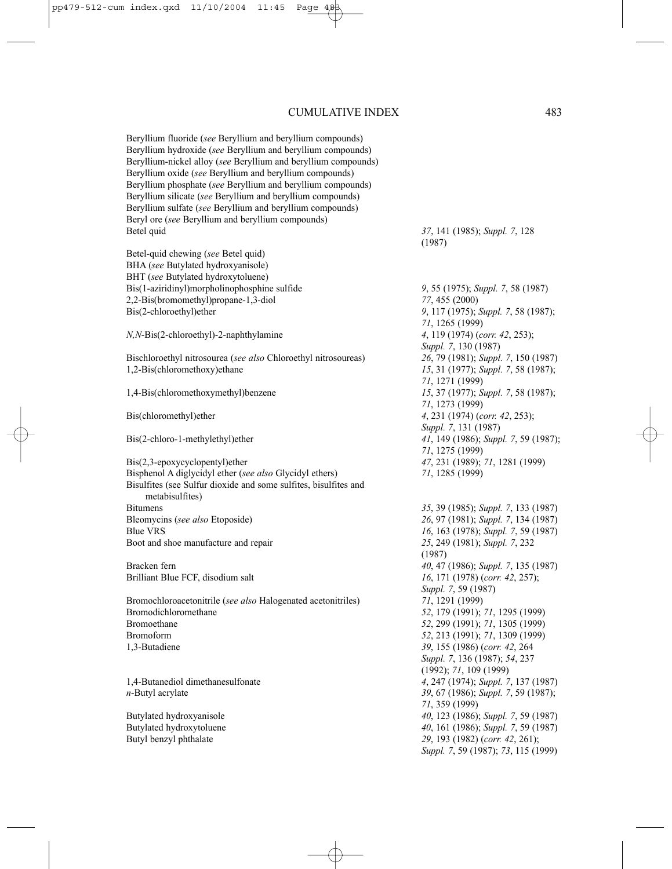Beryllium fluoride (*see* Beryllium and beryllium compounds) Beryllium hydroxide (*see* Beryllium and beryllium compounds) Beryllium-nickel alloy (*see* Beryllium and beryllium compounds) Beryllium oxide (*see* Beryllium and beryllium compounds) Beryllium phosphate (*see* Beryllium and beryllium compounds) Beryllium silicate (*see* Beryllium and beryllium compounds) Beryllium sulfate (*see* Beryllium and beryllium compounds) Beryl ore (*see* Beryllium and beryllium compounds) Betel quid *37*, 141 (1985); *Suppl. 7*, 128

Betel-quid chewing (*see* Betel quid) BHA (*see* Butylated hydroxyanisole) BHT (*see* Butylated hydroxytoluene) Bis(1-aziridinyl)morpholinophosphine sulfide *9*, 55 (1975); *Suppl. 7*, 58 (1987) 2,2-Bis(bromomethyl)propane-1,3-diol *77*, 455 (2000) Bis(2-chloroethyl)ether *9*, 117 (1975); *Suppl. 7*, 58 (1987);

*N,N*-Bis(2-chloroethyl)-2-naphthylamine *4*, 119 (1974) (*corr. 42*, 253);

Bischloroethyl nitrosourea (*see also* Chloroethyl nitrosoureas) *26*, 79 (1981); *Suppl. 7*, 150 (1987) 1,2-Bis(chloromethoxy)ethane *15*, 31 (1977); *Suppl. 7*, 58 (1987);

Bis(2,3-epoxycyclopentyl)ether *47*, 231 (1989); *71*, 1281 (1999) Bisphenol A diglycidyl ether (*see also* Glycidyl ethers) *71*, 1285 (1999) Bisulfites (see Sulfur dioxide and some sulfites, bisulfites and metabisulfites) Bitumens *35*, 39 (1985); *Suppl. 7*, 133 (1987) Bleomycins (*see also* Etoposide) *26*, 97 (1981); *Suppl. 7*, 134 (1987) Blue VRS<br>Boot and shoe manufacture and repair<br>Boot and shoe manufacture and repair<br> $25, 249$  (1981); *Suppl.* 7, 232 Boot and shoe manufacture and repair

Bromochloroacetonitrile (*see also* Halogenated acetonitriles) *71*, 1291 (1999) Bromodichloromethane *52*, 179 (1991); *71*, 1295 (1999) Bromoethane *52*, 299 (1991); *71*, 1305 (1999) Bromoform *52*, 213 (1991); *71*, 1309 (1999) 1,3-Butadiene *39*, 155 (1986) (*corr. 42*, 264

(1987)

*71*, 1265 (1999) *Suppl. 7*, 130 (1987) *71*, 1271 (1999) 1,4-Bis(chloromethoxymethyl)benzene *15*, 37 (1977); *Suppl. 7*, 58 (1987); *71*, 1273 (1999) Bis(chloromethyl)ether *4*, 231 (1974) (*corr. 42*, 253); *Suppl. 7*, 131 (1987) Bis(2-chloro-1-methylethyl)ether *41*, 149 (1986); *Suppl. 7*, 59 (1987); *71*, 1275 (1999)

(1987) Bracken fern *40, 47 (1986); Suppl. 7, 135 (1987)*<br>Brilliant Blue FCF, disodium salt *16. 171 (1978) (corr. 42, 257)*: 16, 171 (1978) (*corr. 42*, 257); *Suppl. 7*, 59 (1987) *Suppl. 7*, 136 (1987); *54*, 237 (1992); *71*, 109 (1999) 1,4-Butanediol dimethanesulfonate *4*, 247 (1974); *Suppl. 7*, 137 (1987) *n*-Butyl acrylate *39*, 67 (1986); *Suppl. 7*, 59 (1987); *71*, 359 (1999) Butylated hydroxyanisole *40*, 123 (1986); *Suppl. 7*, 59 (1987) Butylated hydroxytoluene *40*, 161 (1986); *Suppl. 7*, 59 (1987) Butyl benzyl phthalate *29*, 193 (1982) (*corr. 42*, 261); *Suppl. 7*, 59 (1987); *73*, 115 (1999)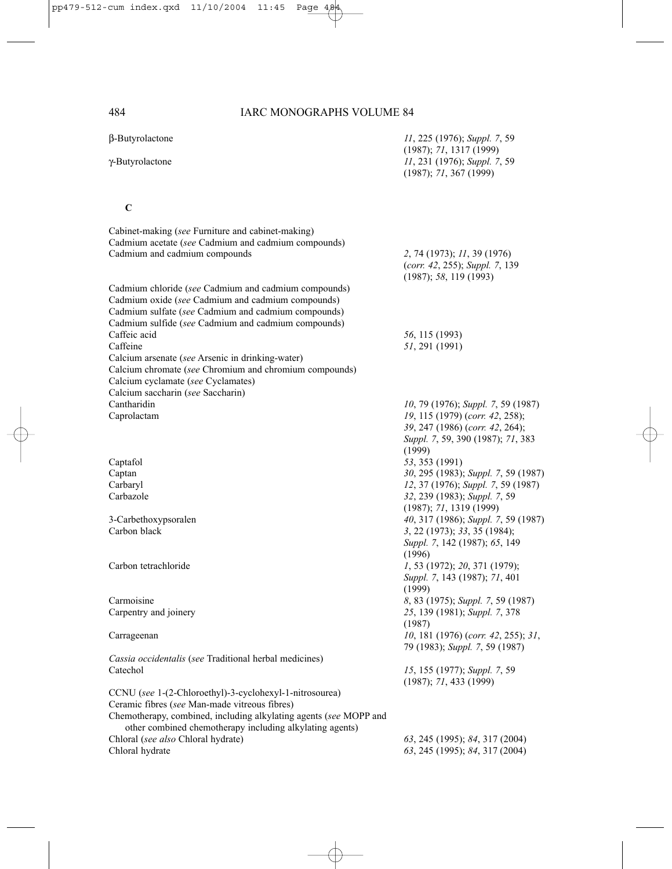β-Butyrolactone *11*, 225 (1976); *Suppl. 7*, 59 (1987); *71*, 1317 (1999) γ-Butyrolactone *11*, 231 (1976); *Suppl. 7*, 59 (1987); *71*, 367 (1999)

### **C**

| Cadmium acetate (see Cadmium and cadmium compounds)<br>2, 74 (1973); 11, 39 (1976)<br>(corr. 42, 255); Suppl. 7, 139<br>(1987); 58, 119(1993)<br>Cadmium chloride (see Cadmium and cadmium compounds)<br>Cadmium oxide (see Cadmium and cadmium compounds)<br>56, 115 (1993)<br>51, 291 (1991)<br>Calcium saccharin (see Saccharin)<br>Cantharidin<br>10, 79 (1976); Suppl. 7, 59 (1987)<br>Caprolactam<br>19, 115 (1979) (corr. 42, 258);<br>39, 247 (1986) (corr. 42, 264);<br>Suppl. 7, 59, 390 (1987); 71, 383<br>(1999)<br>Captafol<br>53, 353 (1991)<br>30, 295 (1983); Suppl. 7, 59 (1987)<br>Captan<br>Carbaryl<br>12, 37 (1976); Suppl. 7, 59 (1987)<br>Carbazole<br>32, 239 (1983); Suppl. 7, 59<br>(1987); 71, 1319(1999)<br>3-Carbethoxypsoralen<br>40, 317 (1986); Suppl. 7, 59 (1987)<br>Carbon black<br>3, 22 (1973); 33, 35 (1984);<br>Suppl. 7, 142 (1987); 65, 149<br>(1996)<br>Carbon tetrachloride<br>1, 53 (1972); 20, 371 (1979);<br>Suppl. 7, 143 (1987); 71, 401<br>(1999)<br>Carmoisine<br>8, 83 (1975); Suppl. 7, 59 (1987)<br>Carpentry and joinery<br>25, 139 (1981); Suppl. 7, 378<br>(1987)<br>10, 181 (1976) (corr. 42, 255); 31,<br>Carrageenan<br>79 (1983); Suppl. 7, 59 (1987)<br>Cassia occidentalis (see Traditional herbal medicines)<br>Catechol<br>15, 155 (1977); Suppl. 7, 59<br>(1987); 71, 433(1999)<br>CCNU (see 1-(2-Chloroethyl)-3-cyclohexyl-1-nitrosourea)<br>Ceramic fibres (see Man-made vitreous fibres)<br>Chemotherapy, combined, including alkylating agents (see MOPP and<br>other combined chemotherapy including alkylating agents) | Cabinet-making (see Furniture and cabinet-making)      |                                |
|-----------------------------------------------------------------------------------------------------------------------------------------------------------------------------------------------------------------------------------------------------------------------------------------------------------------------------------------------------------------------------------------------------------------------------------------------------------------------------------------------------------------------------------------------------------------------------------------------------------------------------------------------------------------------------------------------------------------------------------------------------------------------------------------------------------------------------------------------------------------------------------------------------------------------------------------------------------------------------------------------------------------------------------------------------------------------------------------------------------------------------------------------------------------------------------------------------------------------------------------------------------------------------------------------------------------------------------------------------------------------------------------------------------------------------------------------------------------------------------------------------------------------------------------------------------------------------------------------|--------------------------------------------------------|--------------------------------|
|                                                                                                                                                                                                                                                                                                                                                                                                                                                                                                                                                                                                                                                                                                                                                                                                                                                                                                                                                                                                                                                                                                                                                                                                                                                                                                                                                                                                                                                                                                                                                                                               | Cadmium and cadmium compounds                          |                                |
|                                                                                                                                                                                                                                                                                                                                                                                                                                                                                                                                                                                                                                                                                                                                                                                                                                                                                                                                                                                                                                                                                                                                                                                                                                                                                                                                                                                                                                                                                                                                                                                               |                                                        |                                |
|                                                                                                                                                                                                                                                                                                                                                                                                                                                                                                                                                                                                                                                                                                                                                                                                                                                                                                                                                                                                                                                                                                                                                                                                                                                                                                                                                                                                                                                                                                                                                                                               |                                                        |                                |
|                                                                                                                                                                                                                                                                                                                                                                                                                                                                                                                                                                                                                                                                                                                                                                                                                                                                                                                                                                                                                                                                                                                                                                                                                                                                                                                                                                                                                                                                                                                                                                                               |                                                        |                                |
|                                                                                                                                                                                                                                                                                                                                                                                                                                                                                                                                                                                                                                                                                                                                                                                                                                                                                                                                                                                                                                                                                                                                                                                                                                                                                                                                                                                                                                                                                                                                                                                               | Cadmium sulfate (see Cadmium and cadmium compounds)    |                                |
|                                                                                                                                                                                                                                                                                                                                                                                                                                                                                                                                                                                                                                                                                                                                                                                                                                                                                                                                                                                                                                                                                                                                                                                                                                                                                                                                                                                                                                                                                                                                                                                               | Cadmium sulfide (see Cadmium and cadmium compounds)    |                                |
|                                                                                                                                                                                                                                                                                                                                                                                                                                                                                                                                                                                                                                                                                                                                                                                                                                                                                                                                                                                                                                                                                                                                                                                                                                                                                                                                                                                                                                                                                                                                                                                               | Caffeic acid                                           |                                |
|                                                                                                                                                                                                                                                                                                                                                                                                                                                                                                                                                                                                                                                                                                                                                                                                                                                                                                                                                                                                                                                                                                                                                                                                                                                                                                                                                                                                                                                                                                                                                                                               | Caffeine                                               |                                |
|                                                                                                                                                                                                                                                                                                                                                                                                                                                                                                                                                                                                                                                                                                                                                                                                                                                                                                                                                                                                                                                                                                                                                                                                                                                                                                                                                                                                                                                                                                                                                                                               | Calcium arsenate (see Arsenic in drinking-water)       |                                |
|                                                                                                                                                                                                                                                                                                                                                                                                                                                                                                                                                                                                                                                                                                                                                                                                                                                                                                                                                                                                                                                                                                                                                                                                                                                                                                                                                                                                                                                                                                                                                                                               | Calcium chromate (see Chromium and chromium compounds) |                                |
|                                                                                                                                                                                                                                                                                                                                                                                                                                                                                                                                                                                                                                                                                                                                                                                                                                                                                                                                                                                                                                                                                                                                                                                                                                                                                                                                                                                                                                                                                                                                                                                               | Calcium cyclamate (see Cyclamates)                     |                                |
|                                                                                                                                                                                                                                                                                                                                                                                                                                                                                                                                                                                                                                                                                                                                                                                                                                                                                                                                                                                                                                                                                                                                                                                                                                                                                                                                                                                                                                                                                                                                                                                               |                                                        |                                |
|                                                                                                                                                                                                                                                                                                                                                                                                                                                                                                                                                                                                                                                                                                                                                                                                                                                                                                                                                                                                                                                                                                                                                                                                                                                                                                                                                                                                                                                                                                                                                                                               |                                                        |                                |
|                                                                                                                                                                                                                                                                                                                                                                                                                                                                                                                                                                                                                                                                                                                                                                                                                                                                                                                                                                                                                                                                                                                                                                                                                                                                                                                                                                                                                                                                                                                                                                                               |                                                        |                                |
|                                                                                                                                                                                                                                                                                                                                                                                                                                                                                                                                                                                                                                                                                                                                                                                                                                                                                                                                                                                                                                                                                                                                                                                                                                                                                                                                                                                                                                                                                                                                                                                               |                                                        |                                |
|                                                                                                                                                                                                                                                                                                                                                                                                                                                                                                                                                                                                                                                                                                                                                                                                                                                                                                                                                                                                                                                                                                                                                                                                                                                                                                                                                                                                                                                                                                                                                                                               |                                                        |                                |
|                                                                                                                                                                                                                                                                                                                                                                                                                                                                                                                                                                                                                                                                                                                                                                                                                                                                                                                                                                                                                                                                                                                                                                                                                                                                                                                                                                                                                                                                                                                                                                                               |                                                        |                                |
|                                                                                                                                                                                                                                                                                                                                                                                                                                                                                                                                                                                                                                                                                                                                                                                                                                                                                                                                                                                                                                                                                                                                                                                                                                                                                                                                                                                                                                                                                                                                                                                               |                                                        |                                |
|                                                                                                                                                                                                                                                                                                                                                                                                                                                                                                                                                                                                                                                                                                                                                                                                                                                                                                                                                                                                                                                                                                                                                                                                                                                                                                                                                                                                                                                                                                                                                                                               |                                                        |                                |
|                                                                                                                                                                                                                                                                                                                                                                                                                                                                                                                                                                                                                                                                                                                                                                                                                                                                                                                                                                                                                                                                                                                                                                                                                                                                                                                                                                                                                                                                                                                                                                                               |                                                        |                                |
|                                                                                                                                                                                                                                                                                                                                                                                                                                                                                                                                                                                                                                                                                                                                                                                                                                                                                                                                                                                                                                                                                                                                                                                                                                                                                                                                                                                                                                                                                                                                                                                               |                                                        |                                |
|                                                                                                                                                                                                                                                                                                                                                                                                                                                                                                                                                                                                                                                                                                                                                                                                                                                                                                                                                                                                                                                                                                                                                                                                                                                                                                                                                                                                                                                                                                                                                                                               |                                                        |                                |
|                                                                                                                                                                                                                                                                                                                                                                                                                                                                                                                                                                                                                                                                                                                                                                                                                                                                                                                                                                                                                                                                                                                                                                                                                                                                                                                                                                                                                                                                                                                                                                                               |                                                        |                                |
|                                                                                                                                                                                                                                                                                                                                                                                                                                                                                                                                                                                                                                                                                                                                                                                                                                                                                                                                                                                                                                                                                                                                                                                                                                                                                                                                                                                                                                                                                                                                                                                               |                                                        |                                |
|                                                                                                                                                                                                                                                                                                                                                                                                                                                                                                                                                                                                                                                                                                                                                                                                                                                                                                                                                                                                                                                                                                                                                                                                                                                                                                                                                                                                                                                                                                                                                                                               |                                                        |                                |
|                                                                                                                                                                                                                                                                                                                                                                                                                                                                                                                                                                                                                                                                                                                                                                                                                                                                                                                                                                                                                                                                                                                                                                                                                                                                                                                                                                                                                                                                                                                                                                                               |                                                        |                                |
|                                                                                                                                                                                                                                                                                                                                                                                                                                                                                                                                                                                                                                                                                                                                                                                                                                                                                                                                                                                                                                                                                                                                                                                                                                                                                                                                                                                                                                                                                                                                                                                               |                                                        |                                |
|                                                                                                                                                                                                                                                                                                                                                                                                                                                                                                                                                                                                                                                                                                                                                                                                                                                                                                                                                                                                                                                                                                                                                                                                                                                                                                                                                                                                                                                                                                                                                                                               |                                                        |                                |
|                                                                                                                                                                                                                                                                                                                                                                                                                                                                                                                                                                                                                                                                                                                                                                                                                                                                                                                                                                                                                                                                                                                                                                                                                                                                                                                                                                                                                                                                                                                                                                                               |                                                        |                                |
|                                                                                                                                                                                                                                                                                                                                                                                                                                                                                                                                                                                                                                                                                                                                                                                                                                                                                                                                                                                                                                                                                                                                                                                                                                                                                                                                                                                                                                                                                                                                                                                               |                                                        |                                |
|                                                                                                                                                                                                                                                                                                                                                                                                                                                                                                                                                                                                                                                                                                                                                                                                                                                                                                                                                                                                                                                                                                                                                                                                                                                                                                                                                                                                                                                                                                                                                                                               |                                                        |                                |
|                                                                                                                                                                                                                                                                                                                                                                                                                                                                                                                                                                                                                                                                                                                                                                                                                                                                                                                                                                                                                                                                                                                                                                                                                                                                                                                                                                                                                                                                                                                                                                                               |                                                        |                                |
|                                                                                                                                                                                                                                                                                                                                                                                                                                                                                                                                                                                                                                                                                                                                                                                                                                                                                                                                                                                                                                                                                                                                                                                                                                                                                                                                                                                                                                                                                                                                                                                               |                                                        |                                |
|                                                                                                                                                                                                                                                                                                                                                                                                                                                                                                                                                                                                                                                                                                                                                                                                                                                                                                                                                                                                                                                                                                                                                                                                                                                                                                                                                                                                                                                                                                                                                                                               |                                                        |                                |
|                                                                                                                                                                                                                                                                                                                                                                                                                                                                                                                                                                                                                                                                                                                                                                                                                                                                                                                                                                                                                                                                                                                                                                                                                                                                                                                                                                                                                                                                                                                                                                                               |                                                        |                                |
|                                                                                                                                                                                                                                                                                                                                                                                                                                                                                                                                                                                                                                                                                                                                                                                                                                                                                                                                                                                                                                                                                                                                                                                                                                                                                                                                                                                                                                                                                                                                                                                               |                                                        |                                |
|                                                                                                                                                                                                                                                                                                                                                                                                                                                                                                                                                                                                                                                                                                                                                                                                                                                                                                                                                                                                                                                                                                                                                                                                                                                                                                                                                                                                                                                                                                                                                                                               |                                                        |                                |
|                                                                                                                                                                                                                                                                                                                                                                                                                                                                                                                                                                                                                                                                                                                                                                                                                                                                                                                                                                                                                                                                                                                                                                                                                                                                                                                                                                                                                                                                                                                                                                                               |                                                        |                                |
|                                                                                                                                                                                                                                                                                                                                                                                                                                                                                                                                                                                                                                                                                                                                                                                                                                                                                                                                                                                                                                                                                                                                                                                                                                                                                                                                                                                                                                                                                                                                                                                               |                                                        |                                |
|                                                                                                                                                                                                                                                                                                                                                                                                                                                                                                                                                                                                                                                                                                                                                                                                                                                                                                                                                                                                                                                                                                                                                                                                                                                                                                                                                                                                                                                                                                                                                                                               |                                                        |                                |
|                                                                                                                                                                                                                                                                                                                                                                                                                                                                                                                                                                                                                                                                                                                                                                                                                                                                                                                                                                                                                                                                                                                                                                                                                                                                                                                                                                                                                                                                                                                                                                                               | Chloral (see also Chloral hydrate)                     | 63, 245 (1995); 84, 317 (2004) |
| 63, 245 (1995); 84, 317 (2004)                                                                                                                                                                                                                                                                                                                                                                                                                                                                                                                                                                                                                                                                                                                                                                                                                                                                                                                                                                                                                                                                                                                                                                                                                                                                                                                                                                                                                                                                                                                                                                | Chloral hydrate                                        |                                |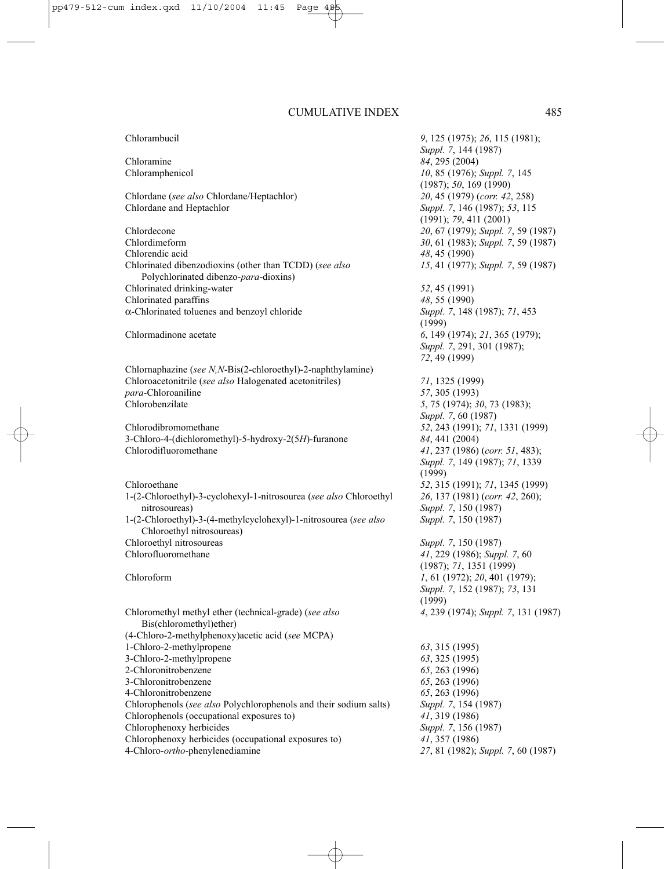Chlordane (*see also* Chlordane/Heptachlor) *20*, 45 (1979) (*corr. 42*, 258)

Chlordecone *20*, 67 (1979); *Suppl. 7*, 59 (1987) Chlordimeform *30*, 61 (1983); *Suppl. 7*, 59 (1987) Chlorendic acid *48*, 45 (1990) Chlorinated dibenzodioxins (other than TCDD) (*see also 15*, 41 (1977); *Suppl. 7*, 59 (1987) Polychlorinated dibenzo-*para*-dioxins) Chlorinated drinking-water *52*, 45 (1991) Chlorinated paraffins *48*, 55 (1990) α-Chlorinated toluenes and benzoyl chloride *Suppl. 7*, 148 (1987); *71*, 453

Chlornaphazine (*see N,N*-Bis(2-chloroethyl)-2-naphthylamine) Chloroacetonitrile (*see also* Halogenated acetonitriles) *71*, 1325 (1999) *para*-Chloroaniline *57*, 305 (1993)<br> *S* Chlorobenzilate *5* 75 (1974)<sup>3</sup>

Chlorodibromomethane *52*, 243 (1991); *71*, 1331 (1999) 3-Chloro-4-(dichloromethyl)-5-hydroxy-2(5*H*)-furanone *84*, 441 (2004) Chlorodifluoromethane *41*, 237 (1986) (*corr. 51*, 483);

Chloroethane *52*, 315 (1991); *71*, 1345 (1999) 1-(2-Chloroethyl)-3-cyclohexyl-1-nitrosourea (*see also* Chloroethyl *26*, 137 (1981) (*corr. 42*, 260); nitrosoureas) *Suppl. 7*, 150 (1987) 1-(2-Chloroethyl)-3-(4-methylcyclohexyl)-1-nitrosourea (*see also Suppl. 7*, 150 (1987) Chloroethyl nitrosoureas)<br>Chloroethyl nitrosoureas Chlorofluoromethane *41*, 229 (1986); *Suppl. 7*, 60

Chloromethyl methyl ether (technical-grade) (*see also 4*, 239 (1974); *Suppl. 7*, 131 (1987) Bis(chloromethyl)ether) (4-Chloro-2-methylphenoxy)acetic acid (*see* MCPA) 1-Chloro-2-methylpropene *63*, 315 (1995) 3-Chloro-2-methylpropene *63*, 325 (1995) 2-Chloronitrobenzene *65*, 263 (1996) 3-Chloronitrobenzene *65*, 263 (1996) 4-Chloronitrobenzene *65*, 263 (1996) Chlorophenols (*see also* Polychlorophenols and their sodium salts) *Suppl. 7*, 154 (1987) Chlorophenols (occupational exposures to) *41*, 319 (1986) Chlorophenoxy herbicides *Suppl. 7*, 156 (1987) Chlorophenoxy herbicides (occupational exposures to) *41*, 357 (1986) 4-Chloro-*ortho*-phenylenediamine *27*, 81 (1982); *Suppl. 7*, 60 (1987)

Chlorambucil *9*, 125 (1975); *26*, 115 (1981); *Suppl. 7*, 144 (1987) Chloramine *84*, 295 (2004) Chloramphenicol *10*, 85 (1976); *Suppl. 7*, 145 (1987); *50*, 169 (1990) Suppl. 7, 146 (1987); 53, 115 (1991); *79*, 411 (2001) (1999) Chlormadinone acetate *6*, 149 (1974); *21*, 365 (1979); *Suppl. 7*, 291, 301 (1987); *72*, 49 (1999) Chlorobenzilate *5*, 75 (1974); *30*, 73 (1983); *Suppl. 7*, 60 (1987) *Suppl. 7*, 149 (1987); *71*, 1339 (1999) Suppl. 7, 150 (1987) (1987); *71*, 1351 (1999) Chloroform *1*, 61 (1972); *20*, 401 (1979); *Suppl. 7*, 152 (1987); *73*, 131 (1999)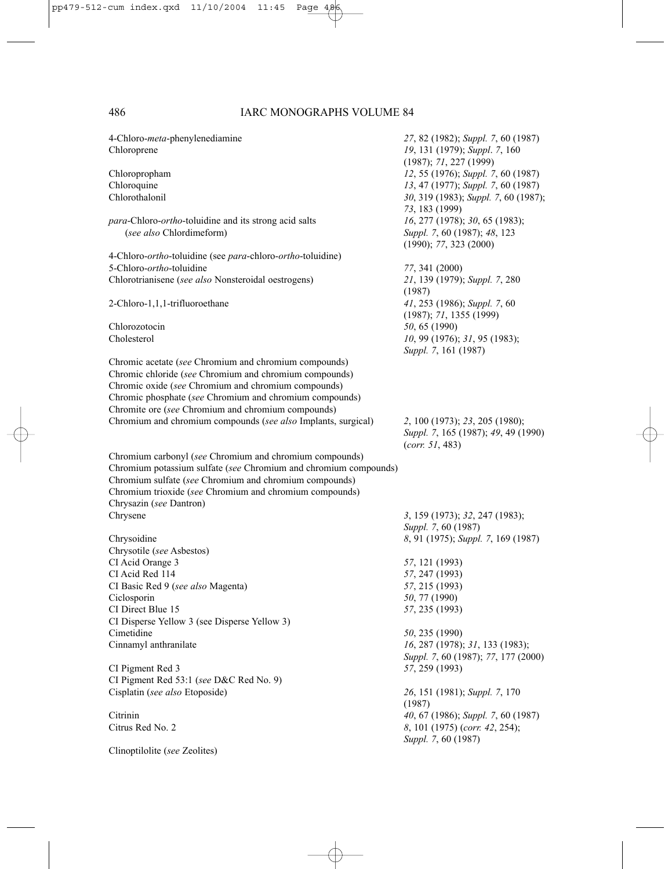| 4-Chloro-meta-phenylenediamine<br>Chloroprene                                                                                                                                                                                                                                           | 27, 82 (1982); Suppl. 7, 60 (1987)<br>19, 131 (1979); Suppl. 7, 160                      |
|-----------------------------------------------------------------------------------------------------------------------------------------------------------------------------------------------------------------------------------------------------------------------------------------|------------------------------------------------------------------------------------------|
|                                                                                                                                                                                                                                                                                         | (1987); 71, 227 (1999)                                                                   |
| Chloropropham                                                                                                                                                                                                                                                                           | 12, 55 (1976); Suppl. 7, 60 (1987)                                                       |
| Chloroquine                                                                                                                                                                                                                                                                             | 13, 47 (1977); Suppl. 7, 60 (1987)                                                       |
| Chlorothalonil                                                                                                                                                                                                                                                                          | 30, 319 (1983); Suppl. 7, 60 (1987);<br>73, 183 (1999)                                   |
| para-Chloro-ortho-toluidine and its strong acid salts                                                                                                                                                                                                                                   | 16, 277 (1978); 30, 65 (1983);                                                           |
| (see also Chlordimeform)                                                                                                                                                                                                                                                                | Suppl. 7, 60 (1987); 48, 123<br>(1990); 77, 323 (2000)                                   |
| 4-Chloro- <i>ortho</i> -toluidine (see <i>para</i> -chloro- <i>ortho</i> -toluidine)                                                                                                                                                                                                    |                                                                                          |
| 5-Chloro- <i>ortho</i> -toluidine                                                                                                                                                                                                                                                       | 77, 341 (2000)                                                                           |
| Chlorotrianisene (see also Nonsteroidal oestrogens)                                                                                                                                                                                                                                     | 21, 139 (1979); Suppl. 7, 280<br>(1987)                                                  |
| 2-Chloro-1,1,1-trifluoroethane                                                                                                                                                                                                                                                          | 41, 253 (1986); Suppl. 7, 60<br>(1987); 71, 1355 (1999)                                  |
| Chlorozotocin                                                                                                                                                                                                                                                                           | 50, 65 (1990)                                                                            |
| Cholesterol                                                                                                                                                                                                                                                                             | 10, 99 (1976); 31, 95 (1983);<br>Suppl. 7, 161 (1987)                                    |
| Chromic acetate (see Chromium and chromium compounds)<br>Chromic chloride (see Chromium and chromium compounds)<br>Chromic oxide (see Chromium and chromium compounds)<br>Chromic phosphate (see Chromium and chromium compounds)<br>Chromite ore (see Chromium and chromium compounds) |                                                                                          |
| Chromium and chromium compounds (see also Implants, surgical)                                                                                                                                                                                                                           | 2, 100 (1973); 23, 205 (1980);<br>Suppl. 7, 165 (1987); 49, 49 (1990)<br>(corr. 51, 483) |
| Chromium carbonyl (see Chromium and chromium compounds)<br>Chromium potassium sulfate (see Chromium and chromium compounds)<br>Chromium sulfate (see Chromium and chromium compounds)<br>Chromium trioxide (see Chromium and chromium compounds)<br>Chrysazin (see Dantron)             |                                                                                          |
| Chrysene                                                                                                                                                                                                                                                                                | 3, 159 (1973); 32, 247 (1983);                                                           |
|                                                                                                                                                                                                                                                                                         | Suppl. 7, 60 (1987)                                                                      |
| Chrysoidine                                                                                                                                                                                                                                                                             | 8, 91 (1975); Suppl. 7, 169 (1987)                                                       |
| Chrysotile (see Asbestos)                                                                                                                                                                                                                                                               |                                                                                          |
| CI Acid Orange 3                                                                                                                                                                                                                                                                        | 57, 121 (1993)                                                                           |
| CI Acid Red 114                                                                                                                                                                                                                                                                         | 57, 247 (1993)                                                                           |
| CI Basic Red 9 (see also Magenta)                                                                                                                                                                                                                                                       | 57, 215 (1993)                                                                           |
| Ciclosporin                                                                                                                                                                                                                                                                             | 50, 77 (1990)                                                                            |
| CI Direct Blue 15                                                                                                                                                                                                                                                                       | 57, 235 (1993)                                                                           |
| CI Disperse Yellow 3 (see Disperse Yellow 3)                                                                                                                                                                                                                                            |                                                                                          |
| Cimetidine                                                                                                                                                                                                                                                                              | 50, 235 (1990)                                                                           |
| Cinnamyl anthranilate                                                                                                                                                                                                                                                                   | 16, 287 (1978); 31, 133 (1983);                                                          |
| CI Pigment Red 3                                                                                                                                                                                                                                                                        | Suppl. 7, 60 (1987); 77, 177 (2000)<br>57, 259 (1993)                                    |
| CI Pigment Red 53:1 (see D&C Red No. 9)                                                                                                                                                                                                                                                 |                                                                                          |
| Cisplatin (see also Etoposide)                                                                                                                                                                                                                                                          | 26, 151 (1981); Suppl. 7, 170                                                            |
| Citrinin                                                                                                                                                                                                                                                                                | (1987)<br>40, 67 (1986); Suppl. 7, 60 (1987)                                             |
| Citrus Red No. 2                                                                                                                                                                                                                                                                        | 8, 101 (1975) (corr. 42, 254);                                                           |
| Clinoptilolite (see Zeolites)                                                                                                                                                                                                                                                           | Suppl. 7, 60 (1987)                                                                      |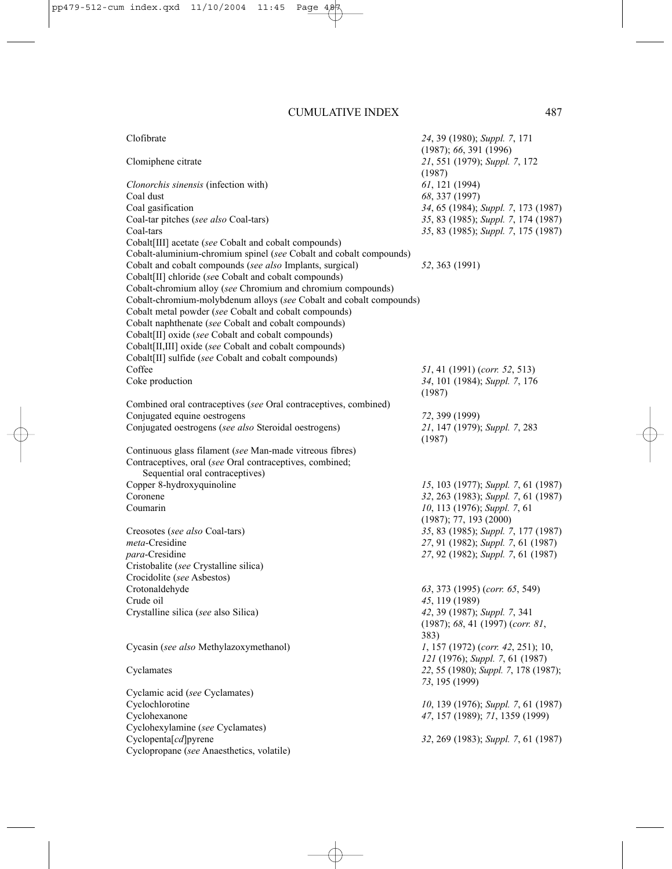| Clofibrate                                                          | 24, 39 (1980); Suppl. 7, 171            |
|---------------------------------------------------------------------|-----------------------------------------|
|                                                                     | (1987); 66, 391 (1996)                  |
| Clomiphene citrate                                                  | 21, 551 (1979); Suppl. 7, 172           |
|                                                                     | (1987)                                  |
| Clonorchis sinensis (infection with)                                | $61, 121$ (1994)                        |
| Coal dust                                                           | 68, 337 (1997)                          |
| Coal gasification                                                   | 34, 65 (1984); Suppl. 7, 173 (1987)     |
| Coal-tar pitches (see also Coal-tars)                               | 35, 83 (1985); Suppl. 7, 174 (1987)     |
| Coal-tars                                                           | 35, 83 (1985); Suppl. 7, 175 (1987)     |
| Cobalt <sup>[III]</sup> acetate (see Cobalt and cobalt compounds)   |                                         |
| Cobalt-aluminium-chromium spinel (see Cobalt and cobalt compounds)  |                                         |
| Cobalt and cobalt compounds (see also Implants, surgical)           | 52, 363 (1991)                          |
| Cobalt[II] chloride (see Cobalt and cobalt compounds)               |                                         |
| Cobalt-chromium alloy (see Chromium and chromium compounds)         |                                         |
| Cobalt-chromium-molybdenum alloys (see Cobalt and cobalt compounds) |                                         |
| Cobalt metal powder (see Cobalt and cobalt compounds)               |                                         |
| Cobalt naphthenate (see Cobalt and cobalt compounds)                |                                         |
| Cobalt[II] oxide (see Cobalt and cobalt compounds)                  |                                         |
| Cobalt[II,III] oxide (see Cobalt and cobalt compounds)              |                                         |
| Cobalt[II] sulfide (see Cobalt and cobalt compounds)                |                                         |
| Coffee                                                              | 51, 41 (1991) (corr. 52, 513)           |
| Coke production                                                     | 34, 101 (1984); Suppl. 7, 176           |
|                                                                     | (1987)                                  |
| Combined oral contraceptives (see Oral contraceptives, combined)    |                                         |
| Conjugated equine oestrogens                                        | 72, 399 (1999)                          |
| Conjugated oestrogens (see also Steroidal oestrogens)               | 21, 147 (1979); Suppl. 7, 283<br>(1987) |
| Continuous glass filament (see Man-made vitreous fibres)            |                                         |
| Contraceptives, oral (see Oral contraceptives, combined;            |                                         |
| Sequential oral contraceptives)                                     |                                         |
| Copper 8-hydroxyquinoline                                           | 15, 103 (1977); Suppl. 7, 61 (1987)     |
| Coronene                                                            | 32, 263 (1983); Suppl. 7, 61 (1987)     |
| Coumarin                                                            | 10, 113 (1976); Suppl. 7, 61            |
|                                                                     | (1987); 77, 193 (2000)                  |
| Creosotes (see also Coal-tars)                                      | 35, 83 (1985); Suppl. 7, 177 (1987)     |
| meta-Cresidine                                                      | 27, 91 (1982); Suppl. 7, 61 (1987)      |
| para-Cresidine                                                      | 27, 92 (1982); Suppl. 7, 61 (1987)      |
| Cristobalite (see Crystalline silica)                               |                                         |
| Crocidolite (see Asbestos)                                          |                                         |
| Crotonaldehyde                                                      | 63, 373 (1995) (corr. 65, 549)          |
| Crude oil                                                           | 45, 119 (1989)                          |
| Crystalline silica (see also Silica)                                | 42, 39 (1987); Suppl. 7, 341            |
|                                                                     | (1987); 68, 41 (1997) (corr. 81,        |

383)

*73*, 195 (1999)

Cycasin (*see also* Methylazoxymethanol) *1*, 157 (1972) (*corr. 42*, 251); 10,

Cyclamates *22*, 55 (1980); *Suppl. 7*, 178 (1987);

Cyclamic acid (*see* Cyclamates) Cyclochlorotine *10*, 139 (1976); *Suppl. 7*, 61 (1987) Cyclohexanone *47*, 157 (1989); *71*, 1359 (1999) Cyclohexylamine (*see* Cyclamates) Cyclopenta[*cd*]pyrene *32*, 269 (1983); *Suppl. 7*, 61 (1987) Cyclopropane (*see* Anaesthetics, volatile)

*121* (1976); *Suppl. 7*, 61 (1987)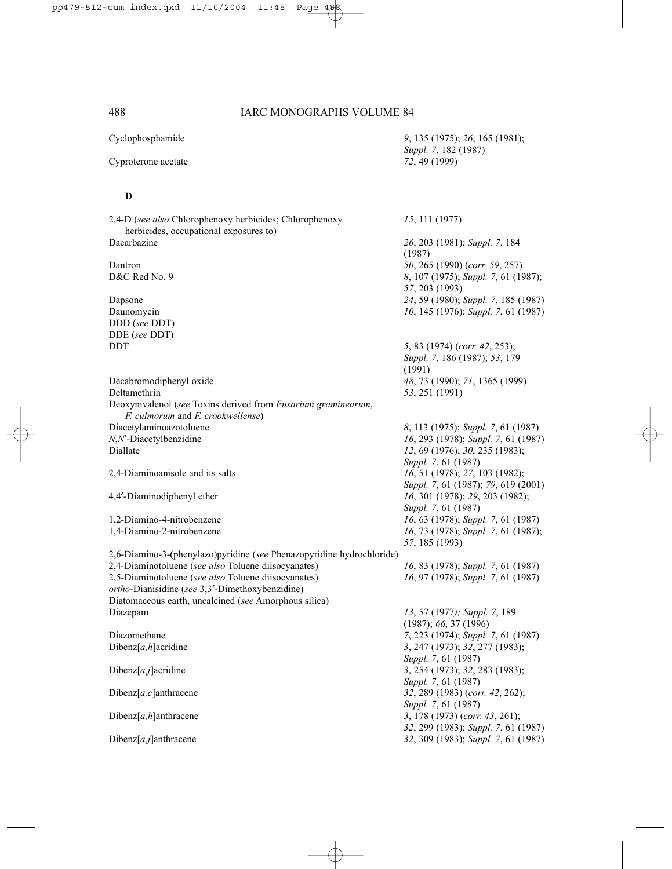*Suppl. 7*, 182 (1987)

Cyclophosphamide *9*, 135 (1975); *26*, 165 (1981);

Cyproterone acetate *72*, 49 (1999)

#### **D**

2,4-D (*see also* Chlorophenoxy herbicides; Chlorophenoxy *15*, 111 (1977) herbicides, occupational exposures to) Dacarbazine *26*, 203 (1981); *Suppl. 7*, 184 (1987) Dantron *50*, 265 (1990) (*corr. 59*, 257) D&C Red No. 9 *8*, 107 (1975); *Suppl. 7*, 61 (1987); *57*, 203 (1993) Dapsone *24*, 59 (1980); *Suppl. 7*, 185 (1987) Daunomycin *10*, 145 (1976); *Suppl. 7*, 61 (1987) DDD (*see* DDT) DDE (*see* DDT) DDT *5*, 83 (1974) (*corr. 42*, 253); *Suppl. 7*, 186 (1987); *53*, 179 (1991) Decabromodiphenyl oxide *48*, 73 (1990); *71*, 1365 (1999) Deltamethrin *53*, 251 (1991) Deoxynivalenol (*see* Toxins derived from *Fusarium graminearum*, *F. culmorum* and *F. crookwellense*) Diacetylaminoazotoluene *8*, 113 (1975); *Suppl. 7*, 61 (1987) *N*<sub>6</sub>, 293 (1978); *Suppl.* 7, 61 (1987) Diallate *12*, 69 (1976); *30*, 235 (1983); *Suppl. 7*, 61 (1987) 2,4-Diaminoanisole and its salts *16*, 51 (1978); *27*, 103 (1982); *Suppl. 7*, 61 (1987); *79*, 619 (2001) 4,4′-Diaminodiphenyl ether *16*, 301 (1978); *29*, 203 (1982); *Suppl. 7*, 61 (1987) 1,2-Diamino-4-nitrobenzene *16*, 63 (1978); *Suppl. 7*, 61 (1987) 1,4-Diamino-2-nitrobenzene *16*, 73 (1978); *Suppl. 7*, 61 (1987); *57*, 185 (1993) 2,6-Diamino-3-(phenylazo)pyridine (*see* Phenazopyridine hydrochloride) 2,4-Diaminotoluene (*see also* Toluene diisocyanates) *16*, 83 (1978); *Suppl. 7*, 61 (1987) 2,5-Diaminotoluene (*see also* Toluene diisocyanates) *16*, 97 (1978); *Suppl. 7*, 61 (1987) *ortho*-Dianisidine (*see* 3,3′-Dimethoxybenzidine) Diatomaceous earth, uncalcined (*see* Amorphous silica) Diazepam *13*, 57 (1977*); Suppl. 7*, 189 (1987); *66*, 37 (1996) Diazomethane *7*, 223 (1974); *Suppl. 7*, 61 (1987) Dibenz[*a,h*]acridine *3*, 247 (1973); *32*, 277 (1983); *Suppl. 7*, 61 (1987) Dibenz[*a,j*]acridine *3*, 254 (1973); *32*, 283 (1983); *Suppl. 7*, 61 (1987) Dibenz[*a,c*]anthracene *32*, 289 (1983) (*corr. 42*, 262); *Suppl. 7*, 61 (1987) Dibenz[*a,h*]anthracene *3*, 178 (1973) (*corr. 43*, 261); *32*, 299 (1983); *Suppl. 7*, 61 (1987) Dibenz[*a,j*]anthracene *32*, 309 (1983); *Suppl. 7*, 61 (1987)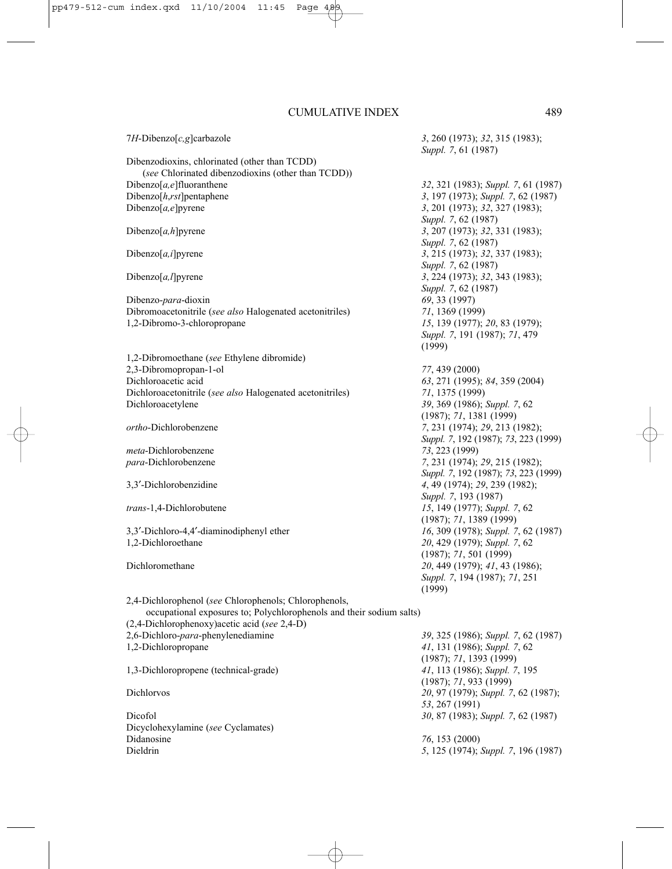7*H*-Dibenzo[*c,g*]carbazole *3*, 260 (1973); *32*, 315 (1983); *Suppl. 7*, 61 (1987) Dibenzodioxins, chlorinated (other than TCDD) (*see* Chlorinated dibenzodioxins (other than TCDD)) Dibenzo[*a,e*]fluoranthene *32*, 321 (1983); *Suppl. 7*, 61 (1987) Dibenzo[*h*,*rst*]pentaphene *3*, 197 (1973); *Suppl. 7*, 62 (1987)<br>Dibenzo[*a*,*e*]pyrene *3*, 201 (1973); 32, 327 (1983); Dibenzo[*a,e*]pyrene *3*, 201 (1973); *32*, 327 (1983); *Suppl. 7*, 62 (1987) Dibenzo[*a,h*]pyrene *3*, 207 (1973); *32*, 331 (1983); *Suppl. 7*, 62 (1987) Dibenzo[*a,i*]pyrene *3*, 215 (1973); *32*, 337 (1983); *Suppl. 7*, 62 (1987) Dibenzo[*a,l*]pyrene *3*, 224 (1973); *32*, 343 (1983); *Suppl. 7*, 62 (1987) Dibenzo-*para*-dioxin *69*, 33 (1997) Dibromoacetonitrile (*see also* Halogenated acetonitriles) *71*, 1369 (1999) 1,2-Dibromo-3-chloropropane *15*, 139 (1977); *20*, 83 (1979); *Suppl. 7*, 191 (1987); *71*, 479 (1999) 1,2-Dibromoethane (*see* Ethylene dibromide) 2,3-Dibromopropan-1-ol *77*, 439 (2000) Dichloroacetic acid *63*, 271 (1995); *84*, 359 (2004) Dichloroacetonitrile (*see also* Halogenated acetonitriles) *71*, 1375 (1999) Dichloroacetylene *39*, 369 (1986); *Suppl. 7*, 62 (1987); *71*, 1381 (1999) *ortho*-Dichlorobenzene *7*, 231 (1974); *29*, 213 (1982); *Suppl. 7*, 192 (1987); *73*, 223 (1999) *meta*-Dichlorobenzene *73*, 223 (1999) *para*-Dichlorobenzene *7*, 231 (1974); *29*, 215 (1982); *Suppl. 7*, 192 (1987); *73*, 223 (1999) 3,3′-Dichlorobenzidine *4*, 49 (1974); *29*, 239 (1982); *Suppl. 7*, 193 (1987) *trans*-1,4-Dichlorobutene *15*, 149 (1977); *Suppl. 7*, 62 (1987); *71*, 1389 (1999) 3,3′-Dichloro-4,4′-diaminodiphenyl ether *16*, 309 (1978); *Suppl. 7*, 62 (1987) 1,2-Dichloroethane *20*, 429 (1979); *Suppl. 7*, 62 (1987); *71*, 501 (1999) Dichloromethane *20*, 449 (1979); *41*, 43 (1986); *Suppl. 7*, 194 (1987); *71*, 251 (1999) 2,4-Dichlorophenol (*see* Chlorophenols; Chlorophenols, occupational exposures to; Polychlorophenols and their sodium salts) (2,4-Dichlorophenoxy)acetic acid (*see* 2,4-D) 2,6-Dichloro-*para*-phenylenediamine *39*, 325 (1986); *Suppl. 7*, 62 (1987) 1,2-Dichloropropane *41*, 131 (1986); *Suppl. 7*, 62 (1987); *71*, 1393 (1999) 1,3-Dichloropropene (technical-grade) *41*, 113 (1986); *Suppl. 7*, 195

Dicyclohexylamine (*see* Cyclamates) Didanosine *76*, 153 (2000) Dieldrin *5*, 125 (1974); *Suppl. 7*, 196 (1987)

(1987); *71*, 933 (1999) Dichlorvos *20*, 97 (1979); *Suppl. 7*, 62 (1987); *53*, 267 (1991) Dicofol *30*, 87 (1983); *Suppl. 7*, 62 (1987)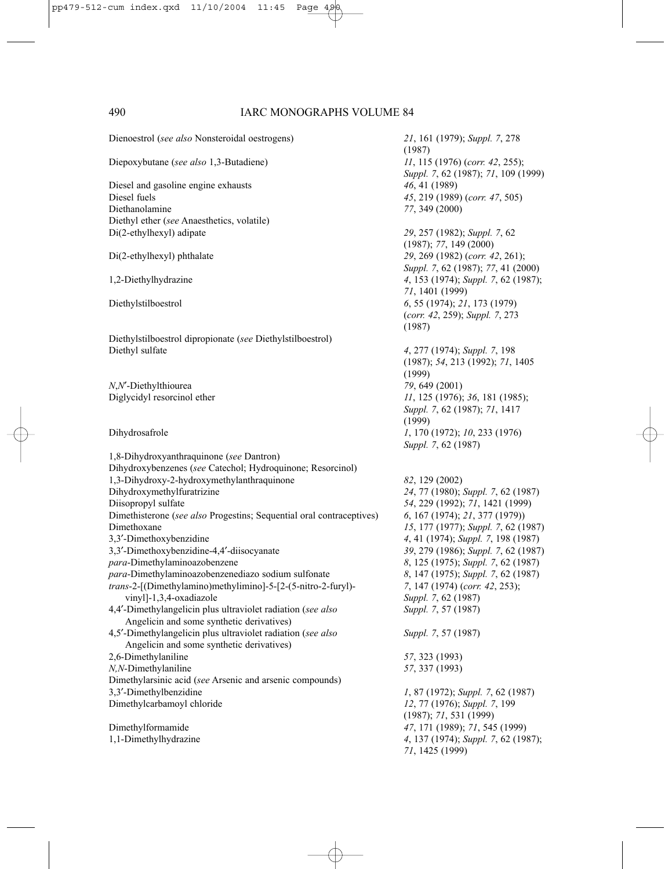Dienoestrol (*see also* Nonsteroidal oestrogens) *21*, 161 (1979); *Suppl. 7*, 278 Diepoxybutane (*see also* 1,3-Butadiene) *11*, 115 (1976) (*corr. 42*, 255); Diesel and gasoline engine exhausts *46*, 41 (1989)<br>Diesel fuels *45*, 219 (1989) Diethanolamine *77*, 349 (2000) Diethyl ether (*see* Anaesthetics, volatile) Di(2-ethylhexyl) adipate *29*, 257 (1982); *Suppl. 7*, 62 Di(2-ethylhexyl) phthalate *29*, 269 (1982) (*corr. 42*, 261); 1,2-Diethylhydrazine *4*, 153 (1974); *Suppl. 7*, 62 (1987); Diethylstilboestrol *6*, 55 (1974); *21*, 173 (1979) Diethylstilboestrol dipropionate (*see* Diethylstilboestrol) Diethyl sulfate *4*, 277 (1974); *Suppl. 7*, 198 *N*,*N*′-Diethylthiourea *79*, 649 (2001) Diglycidyl resorcinol ether *11*, 125 (1976); *36*, 181 (1985); Dihydrosafrole *1*, 170 (1972); *10*, 233 (1976) 1,8-Dihydroxyanthraquinone (*see* Dantron) Dihydroxybenzenes (*see* Catechol; Hydroquinone; Resorcinol) 1,3-Dihydroxy-2-hydroxymethylanthraquinone *82*, 129 (2002) Dihydroxymethylfuratrizine *24*, 77 (1980); *Suppl. 7*, 62 (1987) Diisopropyl sulfate *54*, 229 (1992); *71*, 1421 (1999) Dimethisterone (*see also* Progestins; Sequential oral contraceptives) *6*, 167 (1974); *21*, 377 (1979)) Dimethoxane *15*, 177 (1977); *Suppl. 7*, 62 (1987) 3,3′-Dimethoxybenzidine *4*, 41 (1974); *Suppl. 7*, 198 (1987) 3,3′-Dimethoxybenzidine-4,4′-diisocyanate *39*, 279 (1986); *Suppl. 7*, 62 (1987) *para*-Dimethylaminoazobenzene *8*, 125 (1975); *Suppl. 7*, 62 (1987) *para*-Dimethylaminoazobenzenediazo sodium sulfonate *8*, 147 (1975); *Suppl. 7*, 62 (1987) *trans*-2-[(Dimethylamino)methylimino]-5-[2-(5-nitro-2-furyl)- *7*, 147 (1974) (*corr. 42*, 253); vinyl]-1,3,4-oxadiazole *Suppl. 7*, 62 (1987) 4,4′-Dimethylangelicin plus ultraviolet radiation (*see also Suppl. 7*, 57 (1987) Angelicin and some synthetic derivatives) 4,5′-Dimethylangelicin plus ultraviolet radiation (*see also Suppl. 7*, 57 (1987) Angelicin and some synthetic derivatives) 2,6-Dimethylaniline *57*, 323 (1993) *N,N*-Dimethylaniline *57*, 337 (1993) Dimethylarsinic acid (*see* Arsenic and arsenic compounds) 3,3′-Dimethylbenzidine *1*, 87 (1972); *Suppl. 7*, 62 (1987) Dimethylcarbamoyl chloride *12*, 77 (1976); *Suppl. 7*, 199 Dimethylformamide *47*, 171 (1989); *71*, 545 (1999) 1,1-Dimethylhydrazine *4*, 137 (1974); *Suppl. 7*, 62 (1987);

(1987) *Suppl. 7*, 62 (1987); *71*, 109 (1999) Diesel fuels *45*, 219 (1989) (*corr. 47*, 505) (1987); *77*, 149 (2000) *Suppl. 7*, 62 (1987); *77*, 41 (2000) *71*, 1401 (1999) (*corr. 42*, 259); *Suppl. 7*, 273 (1987) (1987); *54*, 213 (1992); *71*, 1405 (1999) *Suppl. 7*, 62 (1987); *71*, 1417 (1999) *Suppl. 7*, 62 (1987) (1987); *71*, 531 (1999) *71*, 1425 (1999)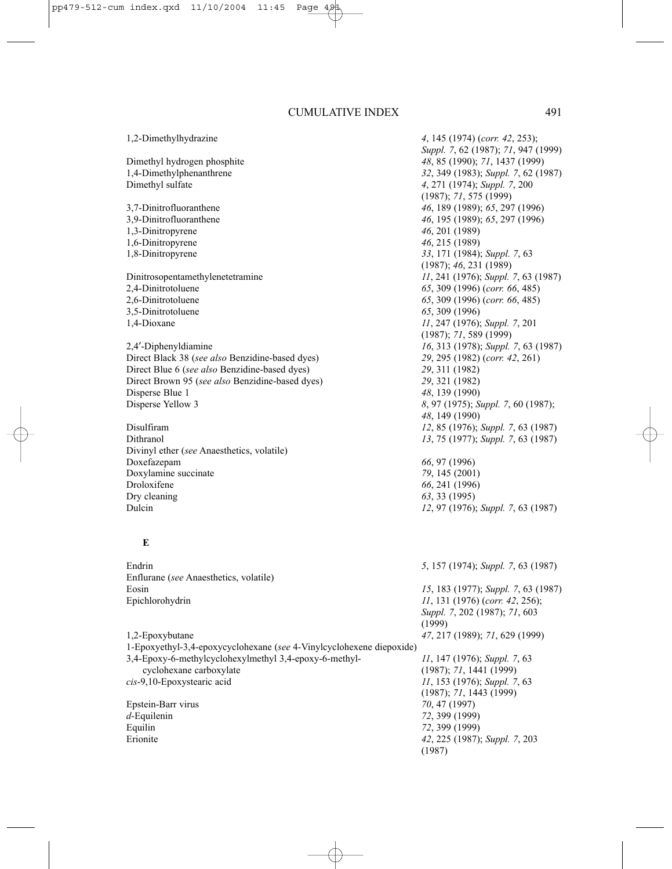1,2-Dimethylhydrazine *4*, 145 (1974) (*corr. 42*, 253); Dimethyl hydrogen phosphite *48*, 85 (1990); *71*, 1437 (1999) Dimethyl sulfate *4*, 271 (1974); *Suppl. 7*, 200 3,7-Dinitrofluoranthene *46*, 189 (1989); *65*, 297 (1996) 3,9-Dinitrofluoranthene *46*, 195 (1989); *65*, 297 (1996) 1,3-Dinitropyrene 1,6-Dinitropyrene *46*, 215 (1989) 1,8-Dinitropyrene *33*, 171 (1984); *Suppl. 7*, 63 Dinitrosopentamethylenetetramine *11*, 241 (1976); *Suppl. 7*, 63 (1987) 2,4-Dinitrotoluene *65*, 309 (1996) (*corr. 66*, 485) 3,5-Dinitrotoluene *65*, 309 (1996) 1,4-Dioxane *11*, 247 (1976); *Suppl. 7*, 201 2,4′-Diphenyldiamine *16*, 313 (1978); *Suppl. 7*, 63 (1987) Direct Black 38 (*see also* Benzidine-based dyes) *29*, 295 (1982) (*corr. 42*, 261) Direct Blue 6 (*see also* Benzidine-based dyes) *29*, 311 (1982) Direct Brown 95 (*see also* Benzidine-based dyes) *29*, 321 (1982) Disperse Blue 1 *48*, 139 (1990)<br>Disperse Yellow 3 8. 97 (1975): S Disulfiram *12*, 85 (1976); *Suppl. 7*, 63 (1987) Divinyl ether (*see* Anaesthetics, volatile) Doxefazepam *66*, 97 (1996) Doxylamine succinate *79*, 145 (2001) Droloxifene *66*, 241 (1996) Dry cleaning *63*, 33 (1995) Dulcin *12*, 97 (1976); *Suppl. 7*, 63 (1987)

### **E**

Endrin *5*, 157 (1974); *Suppl. 7*, 63 (1987) Enflurane (*see* Anaesthetics, volatile) Eosin *15*, 183 (1977); *Suppl. 7*, 63 (1987) Epichlorohydrin *11*, 131 (1976) (*corr. 42*, 256); *Suppl. 7*, 202 (1987); *71*, 603 (1999) 1,2-Epoxybutane *47*, 217 (1989); *71*, 629 (1999) 1-Epoxyethyl-3,4-epoxycyclohexane (*see* 4-Vinylcyclohexene diepoxide) 3,4-Epoxy-6-methylcyclohexylmethyl 3,4-epoxy-6-methyl- *11*, 147 (1976); *Suppl. 7*, 63 cyclohexane carboxylate (1987); *71*, 1441 (1999) *cis*-9,10-Epoxystearic acid *11*, 153 (1976); *Suppl. 7*, 63 (1987); *71*, 1443 (1999) Epstein-Barr virus *70*, 47 (1997) *d*-Equilenin *72*, 399 (1999) Equilin *72*, 399 (1999) Erionite *42*, 225 (1987); *Suppl. 7*, 203 (1987)

*Suppl. 7*, 62 (1987); *71*, 947 (1999) 1,4-Dimethylphenanthrene *32*, 349 (1983); *Suppl. 7*, 62 (1987) (1987); *71*, 575 (1999) (1987); *46*, 231 (1989) 2,6-Dinitrotoluene *65*, 309 (1996) (*corr. 66*, 485) (1987); *71*, 589 (1999) Disperse Yellow 3 *8*, 97 (1975); *Suppl. 7*, 60 (1987); *48*, 149 (1990) Dithranol *13*, 75 (1977); *Suppl. 7*, 63 (1987)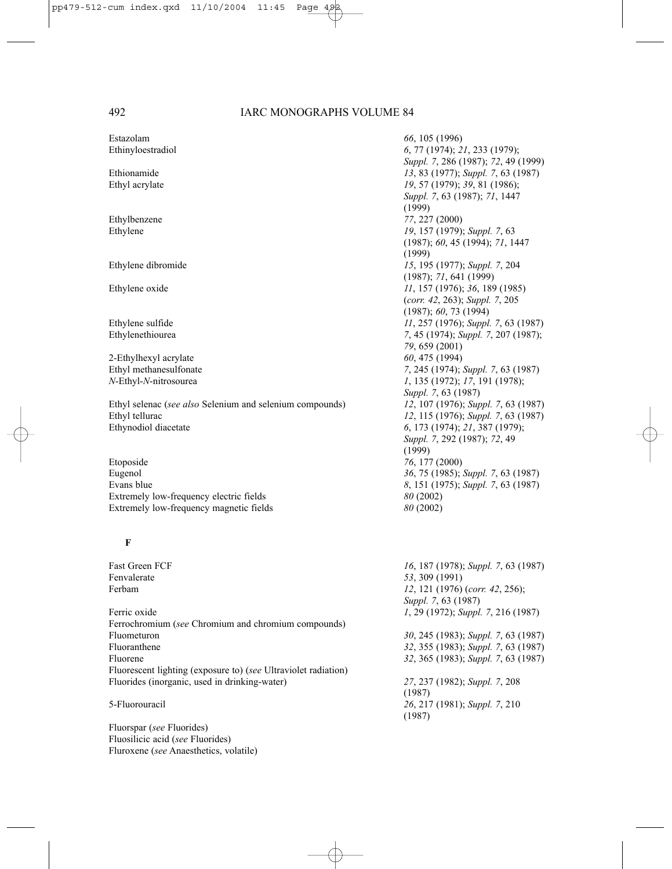Estazolam *66*, 105 (1996)

2-Ethylhexyl acrylate *60*, 475 (1994)

Ethyl selenac (*see also* Selenium and selenium compounds) *12*, 107 (1976); *Suppl. 7*, 63 (1987) Ethyl tellurac *12*, 115 (1976); *Suppl. 7*, 63 (1987) Ethynodiol diacetate *6*, 173 (1974); *21*, 387 (1979);

Etoposide *76*, 177 (2000) Eugenol *36*, 75 (1985); *Suppl. 7*, 63 (1987) Evans blue *8*, 151 (1975); *Suppl. 7*, 63 (1987) Extremely low-frequency electric fields *80* (2002) Extremely low-frequency magnetic fields *80* (2002)

#### **F**

Fast Green FCF *16*, 187 (1978); *Suppl. 7*, 63 (1987) Ferbam *12*, 121 (1976) (*corr. 42*, 256); Ferric oxide *1*, 29 (1972); *Suppl. 7*, 216 (1987) Ferrochromium (*see* Chromium and chromium compounds) Fluometuron *30*, 245 (1983); *Suppl. 7*, 63 (1987) Fluoranthene *32*, 355 (1983); *Suppl. 7*, 63 (1987) Fluorene *32*, 365 (1983); *Suppl. 7*, 63 (1987) Fluorescent lighting (exposure to) (*see* Ultraviolet radiation) Fluorides (inorganic, used in drinking-water) *27*, 237 (1982); *Suppl. 7*, 208

Fluorspar (*see* Fluorides) Fluosilicic acid (*see* Fluorides) Fluroxene (*see* Anaesthetics, volatile)

Ethinyloestradiol *6*, 77 (1974); *21*, 233 (1979); *Suppl. 7*, 286 (1987); *72*, 49 (1999) Ethionamide *13*, 83 (1977); *Suppl. 7*, 63 (1987) Ethyl acrylate *19*, 57 (1979); *39*, 81 (1986); *Suppl. 7*, 63 (1987); *71*, 1447  $(1999)$ Ethylbenzene *77*, 227 (2000) Ethylene *19*, 157 (1979); *Suppl. 7*, 63 (1987); *60*, 45 (1994); *71*, 1447 (1999) Ethylene dibromide *15*, 195 (1977); *Suppl. 7*, 204 (1987); *71*, 641 (1999) Ethylene oxide *11*, 157 (1976); *36*, 189 (1985) (*corr. 42*, 263); *Suppl. 7*, 205 (1987); *60*, 73 (1994) Ethylene sulfide *11*, 257 (1976); *Suppl. 7*, 63 (1987) Ethylenethiourea *7*, 45 (1974); *Suppl. 7*, 207 (1987); *79*, 659 (2001) Ethyl methanesulfonate *7*, 245 (1974); *Suppl. 7*, 63 (1987) *N*-Ethyl-*N*-nitrosourea *1*, 135 (1972); *17*, 191 (1978); *Suppl. 7*, 63 (1987) *Suppl. 7*, 292 (1987); *72*, 49 (1999)

Fenvalerate *53*, 309 (1991) *Suppl. 7*, 63 (1987) (1987) 5-Fluorouracil *26*, 217 (1981); *Suppl. 7*, 210 (1987)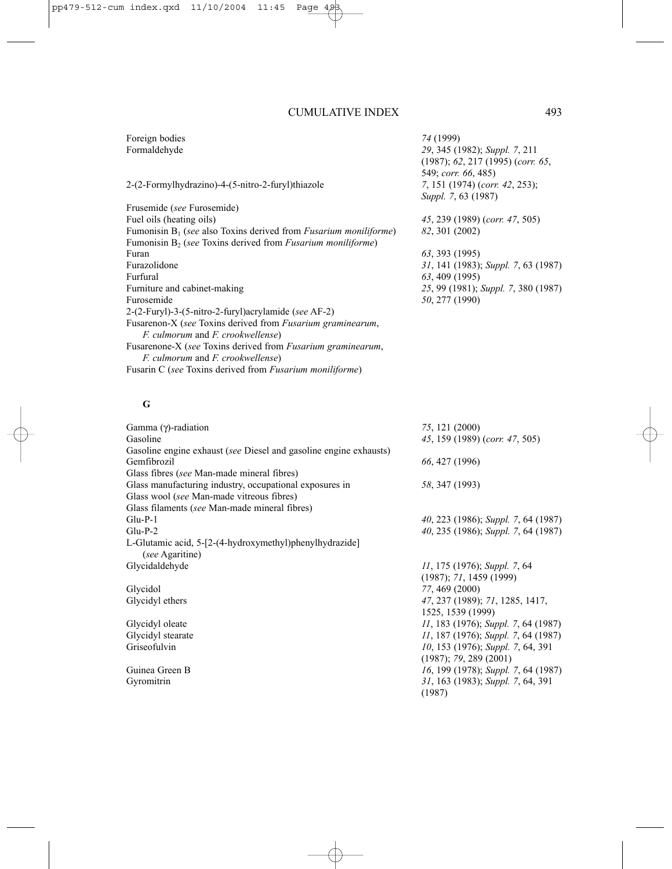Foreign bodies *74* (1999)

#### 2-(2-Formylhydrazino)-4-(5-nitro-2-furyl)thiazole *7*, 151 (1974) (*corr. 42*, 253);

Frusemide (*see* Furosemide) Fuel oils (heating oils) *45*, 239 (1989) (*corr. 47*, 505) Fumonisin B1 (*see* also Toxins derived from *Fusarium moniliforme*) *82*, 301 (2002) Fumonisin B<sub>2</sub> (*see* Toxins derived from *Fusarium moniliforme*)<br>Furan Furan *63*, 393 (1995) Furfural *63*, 409 (1995) Furniture and cabinet-making *25*, 99 (1981); *Suppl. 7*, 380 (1987) Furosemide *50*, 277 (1990) 2-(2-Furyl)-3-(5-nitro-2-furyl)acrylamide (*see* AF-2) Fusarenon-X (*see* Toxins derived from *Fusarium graminearum*, *F. culmorum* and *F. crookwellense*) Fusarenone-X (*see* Toxins derived from *Fusarium graminearum*, *F. culmorum* and *F. crookwellense*) Fusarin C (*see* Toxins derived from *Fusarium moniliforme*)

## Formaldehyde *29*, 345 (1982); *Suppl. 7*, 211 (1987); *62*, 217 (1995) (*corr. 65*, 549; *corr. 66*, 485) *Suppl. 7*, 63 (1987)

Furazolidone *31*, 141 (1983); *Suppl. 7*, 63 (1987)

### **G**

| 75, 121 (2000)                              |
|---------------------------------------------|
| 45, 159 (1989) (corr. 47, 505)              |
|                                             |
| 66, 427 (1996)                              |
|                                             |
| 58, 347 (1993)                              |
|                                             |
|                                             |
| $40, 223$ (1986); Suppl. 7, 64 (1987)       |
| 40, 235 (1986); Suppl. 7, 64 (1987)         |
|                                             |
| 11, 175 (1976); Suppl. 7, 64                |
| $(1987)$ ; 71, 1459 (1999)                  |
| 77, 469 (2000)                              |
| 47, 237 (1989); 71, 1285, 1417,             |
| 1525, 1539 (1999)                           |
| <i>II</i> , 183 (1976); Suppl. 7, 64 (1987) |
| 11, 187 (1976); Suppl. 7, 64 (1987)         |
| 10, 153 (1976); Suppl. 7, 64, 391           |
| $(1987)$ ; 79, 289 (2001)                   |
| 16, 199 (1978); Suppl. 7, 64 (1987)         |
| 31, 163 (1983); Suppl. 7, 64, 391           |
| (1987)                                      |
|                                             |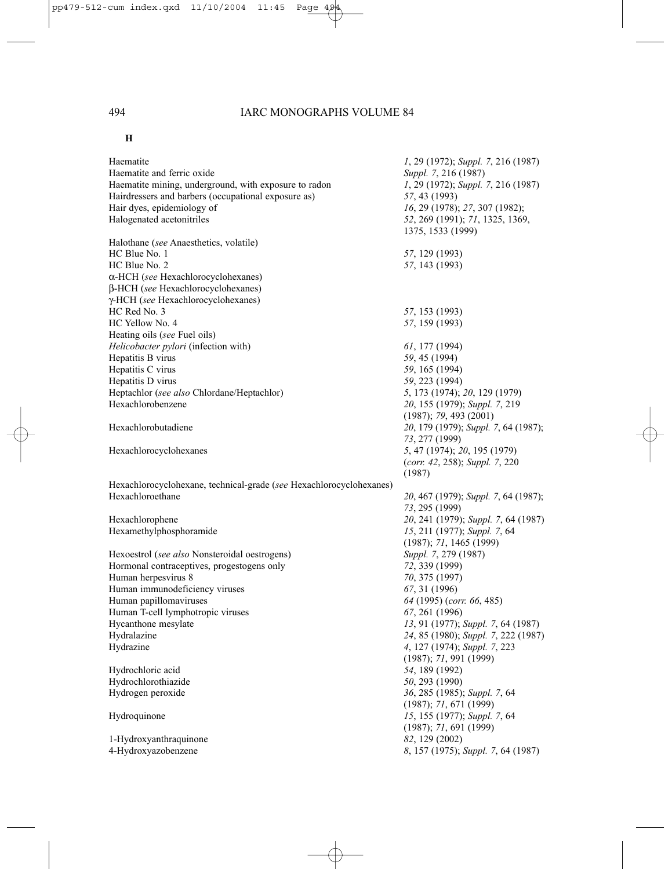### **H**

| Haematite                                                           | 1, 29 (1972); Suppl. 7, 216 (1987)   |
|---------------------------------------------------------------------|--------------------------------------|
| Haematite and ferric oxide                                          | Suppl. 7, 216 (1987)                 |
| Haematite mining, underground, with exposure to radon               | 1, 29 (1972); Suppl. 7, 216 (1987)   |
| Hairdressers and barbers (occupational exposure as)                 | 57, 43 (1993)                        |
| Hair dyes, epidemiology of                                          | 16, 29 (1978); 27, 307 (1982);       |
| Halogenated acetonitriles                                           | 52, 269 (1991); 71, 1325, 1369,      |
|                                                                     | 1375, 1533 (1999)                    |
| Halothane (see Anaesthetics, volatile)                              |                                      |
| HC Blue No. 1                                                       | 57, 129 (1993)                       |
| HC Blue No. 2                                                       | 57, 143 (1993)                       |
| $\alpha$ -HCH (see Hexachlorocyclohexanes)                          |                                      |
| β-HCH (see Hexachlorocyclohexanes)                                  |                                      |
| γ-HCH (see Hexachlorocyclohexanes)                                  |                                      |
| HC Red No. 3                                                        | 57, 153 (1993)                       |
| HC Yellow No. 4                                                     | 57, 159 (1993)                       |
| Heating oils (see Fuel oils)                                        |                                      |
| Helicobacter pylori (infection with)                                | $61, 177$ (1994)                     |
| Hepatitis B virus                                                   | 59, 45 (1994)                        |
| Hepatitis C virus                                                   | 59, 165 (1994)                       |
| Hepatitis D virus                                                   | 59, 223 (1994)                       |
| Heptachlor (see also Chlordane/Heptachlor)                          | 5, 173 (1974); 20, 129 (1979)        |
| Hexachlorobenzene                                                   | 20, 155 (1979); Suppl. 7, 219        |
|                                                                     | (1987); 79, 493 (2001)               |
| Hexachlorobutadiene                                                 | 20, 179 (1979); Suppl. 7, 64 (1987); |
|                                                                     | 73, 277 (1999)                       |
| Hexachlorocyclohexanes                                              | 5, 47 (1974); 20, 195 (1979)         |
|                                                                     | (corr. 42, 258); Suppl. 7, 220       |
|                                                                     | (1987)                               |
| Hexachlorocyclohexane, technical-grade (see Hexachlorocyclohexanes) |                                      |
| Hexachloroethane                                                    | 20, 467 (1979); Suppl. 7, 64 (1987); |
|                                                                     | 73, 295 (1999)                       |
| Hexachlorophene                                                     | 20, 241 (1979); Suppl. 7, 64 (1987)  |
| Hexamethylphosphoramide                                             | 15, 211 (1977); Suppl. 7, 64         |
|                                                                     | (1987); 71, 1465 (1999)              |
| Hexoestrol (see also Nonsteroidal oestrogens)                       | Suppl. 7, 279 (1987)                 |
| Hormonal contraceptives, progestogens only                          | 72, 339 (1999)                       |
| Human herpesvirus 8                                                 | 70, 375 (1997)                       |
| Human immunodeficiency viruses                                      | 67, 31 (1996)                        |
| Human papillomaviruses                                              | 64 (1995) (corr. 66, 485)            |
| Human T-cell lymphotropic viruses                                   | 67, 261 (1996)                       |
| Hycanthone mesylate                                                 | 13, 91 (1977); Suppl. 7, 64 (1987)   |
| Hydralazine                                                         | 24, 85 (1980); Suppl. 7, 222 (1987)  |
| Hydrazine                                                           | 4, 127 (1974); Suppl. 7, 223         |
|                                                                     |                                      |
|                                                                     | (1987); 71, 991 (1999)               |
| Hydrochloric acid                                                   | 54, 189 (1992)                       |
| Hydrochlorothiazide                                                 | 50, 293 (1990)                       |
| Hydrogen peroxide                                                   | 36, 285 (1985); Suppl. 7, 64         |
|                                                                     | (1987); 71, 671 (1999)               |
| Hydroquinone                                                        | 15, 155 (1977); Suppl. 7, 64         |
|                                                                     | (1987); 71, 691 (1999)               |
| 1-Hydroxyanthraquinone                                              | 82, 129 (2002)                       |
| 4-Hydroxyazobenzene                                                 | 8, 157 (1975); Suppl. 7, 64 (1987)   |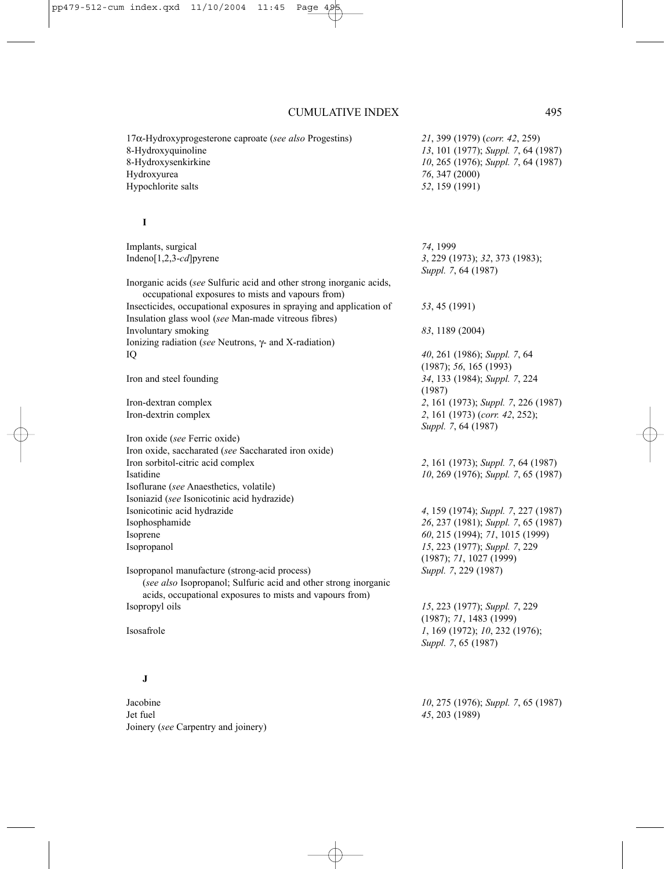17α-Hydroxyprogesterone caproate (*see also* Progestins) *21*, 399 (1979) (*corr. 42*, 259) 8-Hydroxyquinoline *13*, 101 (1977); *Suppl. 7*, 64 (1987) 8-Hydroxysenkirkine *10*, 265 (1976); *Suppl. 7*, 64 (1987) Hydroxyurea *76*, 347 (2000) Hypochlorite salts *52*, 159 (1991) **I** Implants, surgical *74*, 1999 Indeno[1,2,3-*cd*]pyrene *3*, 229 (1973); *32*, 373 (1983); *Suppl. 7*, 64 (1987) Inorganic acids (*see* Sulfuric acid and other strong inorganic acids, occupational exposures to mists and vapours from) Insecticides, occupational exposures in spraying and application of *53*, 45 (1991) Insulation glass wool (*see* Man-made vitreous fibres) Involuntary smoking *83*, 1189 (2004) Ionizing radiation (*see* Neutrons, γ- and X-radiation) IQ *40*, 261 (1986); *Suppl. 7*, 64 (1987); *56*, 165 (1993) Iron and steel founding *34*, 133 (1984); *Suppl. 7*, 224 (1987) Iron-dextran complex *2*, 161 (1973); *Suppl. 7*, 226 (1987) Iron-dextrin complex *2*, 161 (1973) (*corr. 42*, 252); *Suppl. 7*, 64 (1987) Iron oxide (*see* Ferric oxide) Iron oxide, saccharated (*see* Saccharated iron oxide) Iron sorbitol-citric acid complex *2*, 161 (1973); *Suppl. 7*, 64 (1987) Isatidine *10*, 269 (1976); *Suppl. 7*, 65 (1987) Isoflurane (*see* Anaesthetics, volatile) Isoniazid (*see* Isonicotinic acid hydrazide) Isonicotinic acid hydrazide *4*, 159 (1974); *Suppl. 7*, 227 (1987) Isophosphamide *26*, 237 (1981); *Suppl. 7*, 65 (1987) Isoprene *60*, 215 (1994); *71*, 1015 (1999) Isopropanol *15*, 223 (1977); *Suppl. 7*, 229 (1987); *71*, 1027 (1999) Isopropanol manufacture (strong-acid process) *Suppl. 7*, 229 (1987) (*see also* Isopropanol; Sulfuric acid and other strong inorganic acids, occupational exposures to mists and vapours from) Isopropyl oils *15*, 223 (1977); *Suppl. 7*, 229 (1987); *71*, 1483 (1999) Isosafrole *1*, 169 (1972); *10*, 232 (1976); *Suppl. 7*, 65 (1987) **J** Jacobine *10*, 275 (1976); *Suppl. 7*, 65 (1987) Jet fuel *45*, 203 (1989) Joinery (*see* Carpentry and joinery)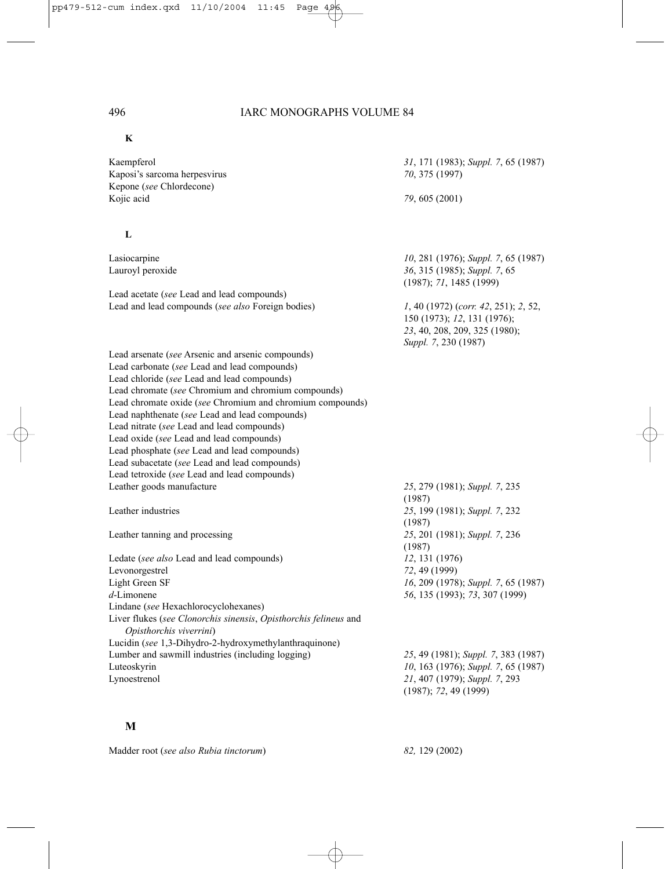#### **K**

Kaempferol *31*, 171 (1983); *Suppl. 7*, 65 (1987) Kaposi's sarcoma herpesvirus *70*, 375 (1997) Kepone (*see* Chlordecone) Kojic acid *79*, 605 (2001)

#### **L**

Lead acetate (*see* Lead and lead compounds) Lead and lead compounds (*see also* Foreign bodies) *1*, 40 (1972) (*corr. 42*, 251); *2*, 52,

Lead arsenate (*see* Arsenic and arsenic compounds) Lead carbonate (*see* Lead and lead compounds) Lead chloride (*see* Lead and lead compounds) Lead chromate (*see* Chromium and chromium compounds) Lead chromate oxide (*see* Chromium and chromium compounds) Lead naphthenate (*see* Lead and lead compounds) Lead nitrate (*see* Lead and lead compounds) Lead oxide (*see* Lead and lead compounds) Lead phosphate (*see* Lead and lead compounds) Lead subacetate (*see* Lead and lead compounds) Lead tetroxide (*see* Lead and lead compounds) Leather goods manufacture *25*, 279 (1981); *Suppl. 7*, 235

Ledate (*see also* Lead and lead compounds) *12*, 131 (1976) Levonorgestrel *72*, 49 (1999) Light Green SF *16*, 209 (1978); *Suppl. 7*, 65 (1987) *d*-Limonene *56*, 135 (1993); *73*, 307 (1999) Lindane (*see* Hexachlorocyclohexanes) Liver flukes (*see Clonorchis sinensis*, *Opisthorchis felineus* and *Opisthorchis viverrini*) Lucidin (*see* 1,3-Dihydro-2-hydroxymethylanthraquinone) Lumber and sawmill industries (including logging) *25*, 49 (1981); *Suppl. 7*, 383 (1987) Luteoskyrin *10*, 163 (1976); *Suppl. 7*, 65 (1987) Lynoestrenol *21*, 407 (1979); *Suppl. 7*, 293

#### **M**

Madder root (*see also Rubia tinctorum*) *82,* 129 (2002)

Lasiocarpine *10*, 281 (1976); *Suppl. 7*, 65 (1987) Lauroyl peroxide *36*, 315 (1985); *Suppl. 7*, 65 (1987); *71*, 1485 (1999) 150 (1973); *12*, 131 (1976); *23*, 40, 208, 209, 325 (1980); *Suppl. 7*, 230 (1987)

(1987) Leather industries *25*, 199 (1981); *Suppl. 7*, 232 (1987) Leather tanning and processing *25*, 201 (1981); *Suppl. 7*, 236 (1987)

(1987); *72*, 49 (1999)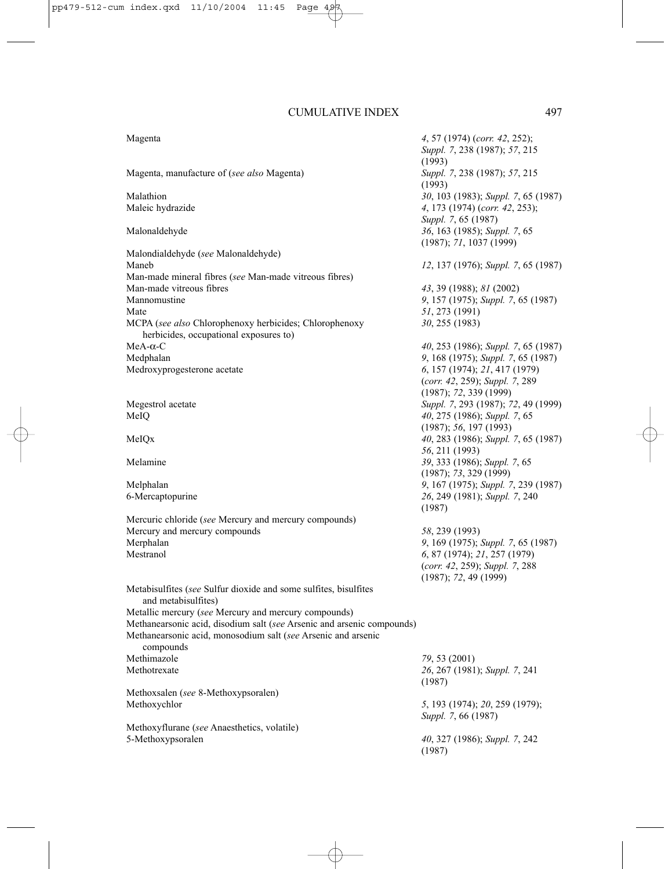Magenta *4*, 57 (1974) (*corr. 42*, 252); *Suppl. 7*, 238 (1987); *57*, 215 (1993)<br>Suppl. 7, 238 (1987); 57, 215 Magenta, manufacture of (*see also* Magenta) (1993) Malathion *30*, 103 (1983); *Suppl. 7*, 65 (1987) Maleic hydrazide *4*, 173 (1974) (*corr. 42*, 253); *Suppl. 7*, 65 (1987) Malonaldehyde *36*, 163 (1985); *Suppl. 7*, 65 (1987); *71*, 1037 (1999) Malondialdehyde (*see* Malonaldehyde) Maneb *12*, 137 (1976); *Suppl. 7*, 65 (1987) Man-made mineral fibres (*see* Man-made vitreous fibres) Man-made vitreous fibres *43*, 39 (1988); *81* (2002) Mannomustine *9*, 157 (1975); *Suppl. 7*, 65 (1987) Mate *51*, 273 (1991) MCPA (*see also* Chlorophenoxy herbicides; Chlorophenoxy *30*, 255 (1983) herbicides, occupational exposures to) MeA-α-C *40*, 253 (1986); *Suppl. 7*, 65 (1987) Medphalan *9*, 168 (1975); *Suppl. 7*, 65 (1987) Medroxyprogesterone acetate *6*, 157 (1974); *21*, 417 (1979) (*corr. 42*, 259); *Suppl. 7*, 289 (1987); *72*, 339 (1999) Megestrol acetate *Suppl. 7*, 293 (1987); *72*, 49 (1999) MeIQ *40*, 275 (1986); *Suppl. 7*, 65 (1987); *56*, 197 (1993) MeIQx *40*, 283 (1986); *Suppl. 7*, 65 (1987) *56*, 211 (1993) Melamine *39*, 333 (1986); *Suppl. 7*, 65 (1987); *73*, 329 (1999) Melphalan *9*, 167 (1975); *Suppl. 7*, 239 (1987) 6-Mercaptopurine *26*, 249 (1981); *Suppl. 7*, 240 (1987) Mercuric chloride (*see* Mercury and mercury compounds) Mercury and mercury compounds *58*, 239 (1993)<br>Merphalan *9*, 169 (1975): Merphalan *9*, 169 (1975); *Suppl. 7*, 65 (1987) Mestranol *6*, 87 (1974); *21*, 257 (1979) (*corr. 42*, 259); *Suppl. 7*, 288 (1987); *72*, 49 (1999) Metabisulfites (*see* Sulfur dioxide and some sulfites, bisulfites and metabisulfites) Metallic mercury (*see* Mercury and mercury compounds) Methanearsonic acid, disodium salt (*see* Arsenic and arsenic compounds) Methanearsonic acid, monosodium salt (*see* Arsenic and arsenic compounds Methimazole *79*, 53 (2001) Methotrexate *26*, 267 (1981); *Suppl. 7*, 241 (1987) Methoxsalen (*see* 8-Methoxypsoralen) Methoxychlor *5*, 193 (1974); *20*, 259 (1979); *Suppl. 7*, 66 (1987) Methoxyflurane (*see* Anaesthetics, volatile) 5-Methoxypsoralen *40*, 327 (1986); *Suppl. 7*, 242 (1987)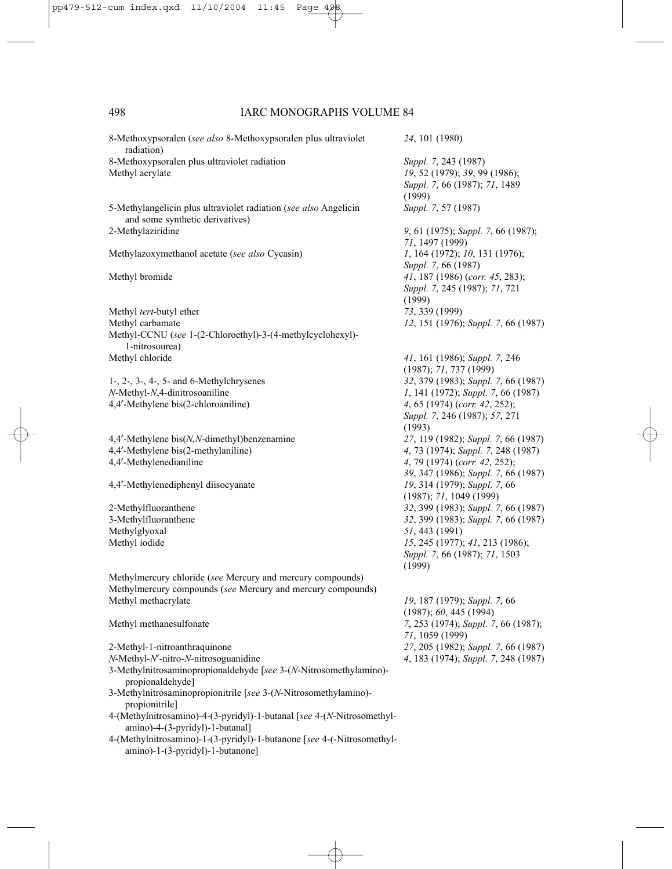| 8-Methoxypsoralen (see also 8-Methoxypsoralen plus ultraviolet<br>radiation)                               | 24, 101 (1980)                                                                                   |
|------------------------------------------------------------------------------------------------------------|--------------------------------------------------------------------------------------------------|
| 8-Methoxypsoralen plus ultraviolet radiation<br>Methyl acrylate                                            | Suppl. 7, 243 (1987)<br>19, 52 (1979); 39, 99 (1986);<br>Suppl. 7, 66 (1987); 71, 1489<br>(1999) |
| 5-Methylangelicin plus ultraviolet radiation (see also Angelicin<br>and some synthetic derivatives)        | Suppl. 7, 57 (1987)                                                                              |
| 2-Methylaziridine                                                                                          | 9, 61 (1975); Suppl. 7, 66 (1987);<br>71, 1497 (1999)                                            |
| Methylazoxymethanol acetate (see also Cycasin)                                                             | 1, 164 (1972); 10, 131 (1976);<br>Suppl. 7, 66 (1987)                                            |
| Methyl bromide                                                                                             | $41, 187$ (1986) (corr. $45, 283$ );<br>Suppl. 7, 245 (1987); 71, 721<br>(1999)                  |
| Methyl tert-butyl ether                                                                                    | 73, 339 (1999)                                                                                   |
| Methyl carbamate                                                                                           | 12, 151 (1976); Suppl. 7, 66 (1987)                                                              |
| Methyl-CCNU (see 1-(2-Chloroethyl)-3-(4-methylcyclohexyl)-<br>1-nitrosourea)                               |                                                                                                  |
| Methyl chloride                                                                                            | 41, 161 (1986); Suppl. 7, 246<br>(1987); 71, 737 (1999)                                          |
| $1-$ , $2-$ , $3-$ , $4-$ , $5-$ and $6$ -Methylchrysenes                                                  | 32, 379 (1983); Suppl. 7, 66 (1987)                                                              |
| N-Methyl-N,4-dinitrosoaniline                                                                              | 1, 141 (1972); Suppl. 7, 66 (1987)                                                               |
| 4,4'-Methylene bis(2-chloroaniline)                                                                        | 4, 65 (1974) (corr. 42, 252);<br>Suppl. 7, 246 (1987); 57, 271<br>(1993)                         |
| 4,4'-Methylene bis(N,N-dimethyl)benzenamine                                                                | 27, 119 (1982); Suppl. 7, 66 (1987)                                                              |
| 4,4'-Methylene bis(2-methylaniline)                                                                        | 4, 73 (1974); Suppl. 7, 248 (1987)                                                               |
| 4,4'-Methylenedianiline                                                                                    | 4, 79 (1974) (corr. 42, 252);<br>39, 347 (1986); Suppl. 7, 66 (1987)                             |
| 4,4'-Methylenediphenyl diisocyanate                                                                        | 19, 314 (1979); Suppl. 7, 66<br>(1987); 71, 1049 (1999)                                          |
| 2-Methylfluoranthene                                                                                       | 32, 399 (1983); Suppl. 7, 66 (1987)                                                              |
| 3-Methylfluoranthene                                                                                       | 32, 399 (1983); Suppl. 7, 66 (1987)                                                              |
| Methylglyoxal                                                                                              | 51, 443 (1991)                                                                                   |
| Methyl iodide                                                                                              | 15, 245 (1977); 41, 213 (1986);<br>Suppl. 7, 66 (1987); 71, 1503<br>(1999)                       |
| Methylmercury chloride (see Mercury and mercury compounds)                                                 |                                                                                                  |
| Methylmercury compounds (see Mercury and mercury compounds)                                                |                                                                                                  |
| Methyl methacrylate                                                                                        | 19, 187 (1979); Suppl. 7, 66<br>(1987); 60, 445 (1994)                                           |
| Methyl methanesulfonate                                                                                    | 7, 253 (1974); Suppl. 7, 66 (1987);<br>71, 1059 (1999)                                           |
| 2-Methyl-1-nitroanthraquinone                                                                              | 27, 205 (1982); Suppl. 7, 66 (1987)                                                              |
| $N$ -Methyl- $N'$ -nitro- $N$ -nitrosoguanidine                                                            | 4, 183 (1974); Suppl. 7, 248 (1987)                                                              |
| 3-Methylnitrosaminopropionaldehyde [see 3-(N-Nitrosomethylamino)-<br>propionaldehyde]                      |                                                                                                  |
| 3-Methylnitrosaminopropionitrile [see 3-(N-Nitrosomethylamino)-<br>propionitrile]                          |                                                                                                  |
| 4-(Methylnitrosamino)-4-(3-pyridyl)-1-butanal [see 4-(N-Nitrosomethyl-<br>amino)-4-(3-pyridyl)-1-butanal]  |                                                                                                  |
| 4-(Methylnitrosamino)-1-(3-pyridyl)-1-butanone [see 4-(-Nitrosomethyl-<br>amino)-1-(3-pyridyl)-1-butanone] |                                                                                                  |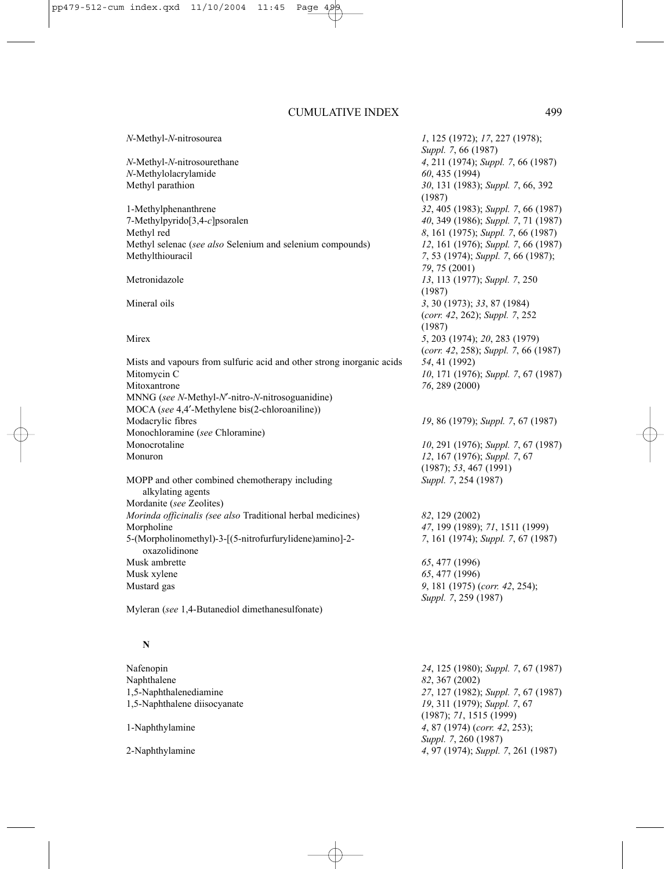#### *N*-Methyl-*N*-nitrosourea *1*, 125 (1972); *17*, 227 (1978);

*N*-Methylolacrylamide *60*, 435 (1994)

1-Methylphenanthrene *32*, 405 (1983); *Suppl. 7*, 66 (1987) 7-Methylpyrido[3,4-*c*]psoralen *40*, 349 (1986); *Suppl. 7*, 71 (1987) Methyl red *8*, 161 (1975); *Suppl. 7*, 66 (1987) Methyl selenac (*see also* Selenium and selenium compounds) *12*, 161 (1976); *Suppl. 7*, 66 (1987) Methylthiouracil *7*, 53 (1974); *Suppl. 7*, 66 (1987);

Mists and vapours from sulfuric acid and other strong inorganic acids *54*, 41 (1992) Mitomycin C *10*, 171 (1976); *Suppl. 7*, 67 (1987) Mitoxantrone *76*, 289 (2000) MNNG (*see N*-Methyl-*N*′*-*nitro-*N*-nitrosoguanidine) MOCA (*see* 4,4′-Methylene bis(2-chloroaniline)) Modacrylic fibres *19*, 86 (1979); *Suppl. 7*, 67 (1987) Monochloramine (*see* Chloramine) Monocrotaline *10*, 291 (1976); *Suppl. 7*, 67 (1987) Monuron *12*, 167 (1976); *Suppl. 7*, 67

MOPP and other combined chemotherapy including *Suppl. 7*, 254 (1987) alkylating agents Mordanite (*see* Zeolites) *Morinda officinalis (see also* Traditional herbal medicines) *82*, 129 (2002) Morpholine *47*, 199 (1989); *71*, 1511 (1999) 5-(Morpholinomethyl)-3-[(5-nitrofurfurylidene)amino]-2- *7*, 161 (1974); *Suppl. 7*, 67 (1987) oxazolidinone Musk ambrette *65*, 477 (1996) Musk xylene *65*, 477 (1996) Mustard gas *9*, 181 (1975) (*corr. 42*, 254);

Myleran (*see* 1,4-Butanediol dimethanesulfonate)

#### **N**

Nafenopin *24*, 125 (1980); *Suppl. 7*, 67 (1987) Naphthalene *82*, 367 (2002) 1,5-Naphthalenediamine *27*, 127 (1982); *Suppl. 7*, 67 (1987) 1,5-Naphthalene diisocyanate *19*, 311 (1979); *Suppl. 7*, 67 (1987); *71*, 1515 (1999) 1-Naphthylamine *4*, 87 (1974) (*corr. 42*, 253); *Suppl. 7*, 260 (1987) 2-Naphthylamine *4*, 97 (1974); *Suppl. 7*, 261 (1987)

*Suppl. 7*, 66 (1987) *N*-Methyl-*N*-nitrosourethane *4*, 211 (1974); *Suppl. 7*, 66 (1987) Methyl parathion *30*, 131 (1983); *Suppl. 7*, 66, 392 (1987) *79*, 75 (2001) Metronidazole *13*, 113 (1977); *Suppl. 7*, 250 (1987) Mineral oils *3*, 30 (1973); *33*, 87 (1984) (*corr. 42*, 262); *Suppl. 7*, 252 (1987) Mirex *5*, 203 (1974); *20*, 283 (1979) (*corr. 42*, 258); *Suppl. 7*, 66 (1987)

(1987); *53*, 467 (1991)

*Suppl. 7*, 259 (1987)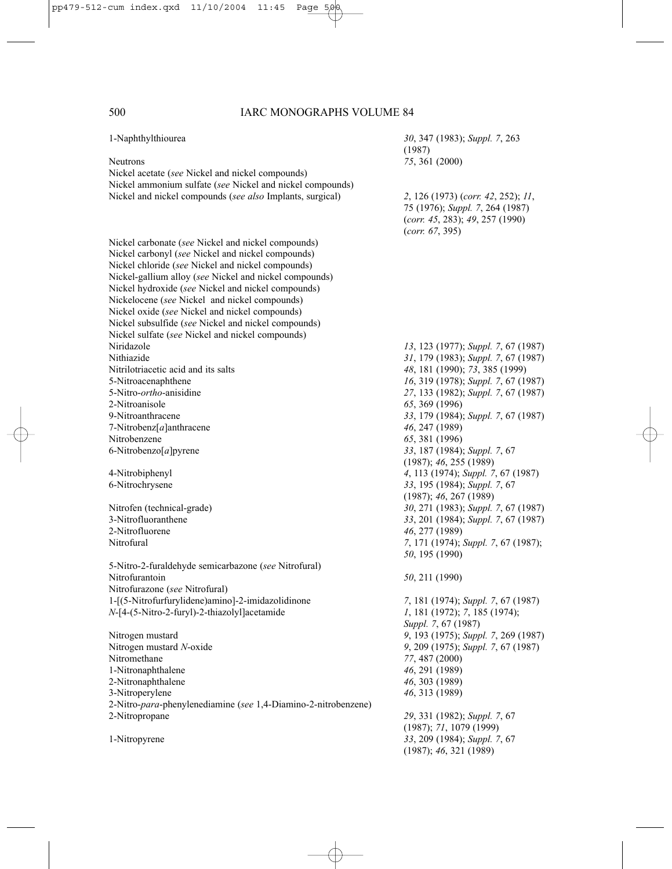| 1-Naphthylthiourea                                             | 30, 347 (1983); Suppl. 7, 263<br>(1987) |
|----------------------------------------------------------------|-----------------------------------------|
| <b>Neutrons</b>                                                | 75, 361 (2000)                          |
| Nickel acetate (see Nickel and nickel compounds)               |                                         |
| Nickel ammonium sulfate (see Nickel and nickel compounds)      |                                         |
| Nickel and nickel compounds (see also Implants, surgical)      | 2, 126 (1973) (corr. 42, 252); 11,      |
|                                                                |                                         |
|                                                                | 75 (1976); Suppl. 7, 264 (1987)         |
|                                                                | (corr. 45, 283); 49, 257 (1990)         |
|                                                                | (corr. 67, 395)                         |
| Nickel carbonate (see Nickel and nickel compounds)             |                                         |
| Nickel carbonyl (see Nickel and nickel compounds)              |                                         |
| Nickel chloride (see Nickel and nickel compounds)              |                                         |
| Nickel-gallium alloy (see Nickel and nickel compounds)         |                                         |
| Nickel hydroxide (see Nickel and nickel compounds)             |                                         |
| Nickelocene (see Nickel and nickel compounds)                  |                                         |
| Nickel oxide (see Nickel and nickel compounds)                 |                                         |
| Nickel subsulfide (see Nickel and nickel compounds)            |                                         |
| Nickel sulfate (see Nickel and nickel compounds)               |                                         |
| Niridazole                                                     | 13, 123 (1977); Suppl. 7, 67 (1987)     |
| Nithiazide                                                     | 31, 179 (1983); Suppl. 7, 67 (1987)     |
| Nitrilotriacetic acid and its salts                            | 48, 181 (1990); 73, 385 (1999)          |
| 5-Nitroacenaphthene                                            | 16, 319 (1978); Suppl. 7, 67 (1987)     |
| 5-Nitro-ortho-anisidine                                        | 27, 133 (1982); Suppl. 7, 67 (1987)     |
| 2-Nitroanisole                                                 | 65, 369 (1996)                          |
| 9-Nitroanthracene                                              | 33, 179 (1984); Suppl. 7, 67 (1987)     |
| 7-Nitrobenz $[a]$ anthracene                                   | 46, 247 (1989)                          |
| Nitrobenzene                                                   | 65, 381 (1996)                          |
| 6-Nitrobenzo $[a]$ pyrene                                      | 33, 187 (1984); Suppl. 7, 67            |
|                                                                | (1987); 46, 255 (1989)                  |
| 4-Nitrobiphenyl                                                | 4, 113 (1974); Suppl. 7, 67 (1987)      |
| 6-Nitrochrysene                                                | 33, 195 (1984); Suppl. 7, 67            |
|                                                                | (1987); 46, 267 (1989)                  |
| Nitrofen (technical-grade)                                     | 30, 271 (1983); Suppl. 7, 67 (1987)     |
| 3-Nitrofluoranthene                                            | 33, 201 (1984); Suppl. 7, 67 (1987)     |
| 2-Nitrofluorene                                                | 46, 277 (1989)                          |
| Nitrofural                                                     | 7, 171 (1974); Suppl. 7, 67 (1987);     |
|                                                                |                                         |
|                                                                | 50, 195 (1990)                          |
| 5-Nitro-2-furaldehyde semicarbazone (see Nitrofural)           |                                         |
| Nitrofurantoin                                                 | 50, 211 (1990)                          |
| Nitrofurazone (see Nitrofural)                                 |                                         |
| 1-[(5-Nitrofurfurylidene)amino]-2-imidazolidinone              | 7, 181 (1974); Suppl. 7, 67 (1987)      |
| N-[4-(5-Nitro-2-furyl)-2-thiazolyl]acetamide                   | 1, 181 (1972); 7, 185 (1974);           |
|                                                                | Suppl. 7, 67 (1987)                     |
| Nitrogen mustard                                               | 9, 193 (1975); Suppl. 7, 269 (1987)     |
| Nitrogen mustard N-oxide                                       | 9, 209 (1975); Suppl. 7, 67 (1987)      |
| Nitromethane                                                   | 77, 487 (2000)                          |
| 1-Nitronaphthalene                                             | 46, 291 (1989)                          |
| 2-Nitronaphthalene                                             | 46, 303 (1989)                          |
| 3-Nitroperylene                                                | 46, 313 (1989)                          |
| 2-Nitro-para-phenylenediamine (see 1,4-Diamino-2-nitrobenzene) |                                         |
| 2-Nitropropane                                                 | 29, 331 (1982); Suppl. 7, 67            |
|                                                                | (1987); 71, 1079 (1999)                 |
| 1-Nitropyrene                                                  | 33, 209 (1984); Suppl. 7, 67            |
|                                                                | (1987); 46, 321 (1989)                  |
|                                                                |                                         |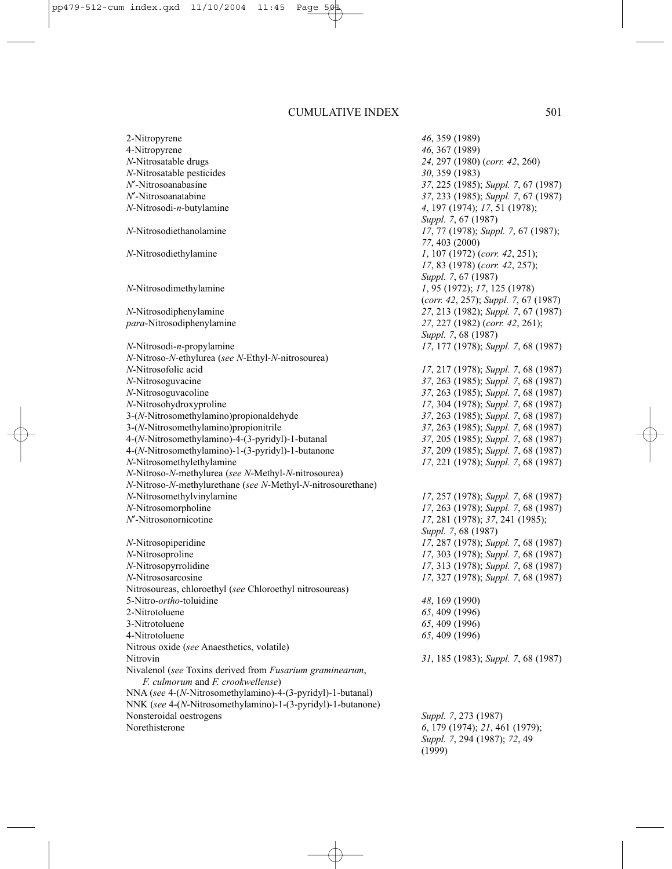2-Nitropyrene *46*, 359 (1989) 4-Nitropyrene *46*, 367 (1989) *N*-Nitrosatable drugs *24*, 297 (1980) (*corr. 42*, 260) *N*-Nitrosatable pesticides *30*, 359 (1983) *N*′-Nitrosoanabasine *37*, 225 (1985); *Suppl. 7*, 67 (1987) *N*'-Nitrosoanatabine *37*, 233 (1985); *Suppl. 7*, 67 (1987)<br>*N*-Nitrosodi-*n*-butvlamine 4. 197 (1974): 17, 51 (1978): *A*, 197 (1974); *17*, 51 (1978); *Suppl. 7*, 67 (1987) *N*-Nitrosodiethanolamine *17*, 77 (1978); *Suppl. 7*, 67 (1987); *77*, 403 (2000) *N*-Nitrosodiethylamine *1*, 107 (1972) (*corr. 42*, 251); *17*, 83 (1978) (*corr. 42*, 257); *Suppl. 7*, 67 (1987) *N*-Nitrosodimethylamine *1*, 95 (1972); *17*, 125 (1978) (*corr. 42*, 257); *Suppl. 7*, 67 (1987) *N*-Nitrosodiphenylamine *27*, 213 (1982); *Suppl. 7*, 67 (1987) *para*-Nitrosodiphenylamine *27*, 227 (1982) (*corr. 42*, 261); *Suppl. 7*, 68 (1987) *N*-Nitrosodi-*n*-propylamine *17*, 177 (1978); *Suppl. 7*, 68 (1987) *N*-Nitroso-*N*-ethylurea (*see N*-Ethyl-*N*-nitrosourea) *N*-Nitrosofolic acid *17*, 217 (1978); *Suppl. 7*, 68 (1987) *N*-Nitrosoguvacine *37*, 263 (1985); *Suppl. 7*, 68 (1987) *N*-Nitrosoguvacoline *37*, 263 (1985); *Suppl. 7*, 68 (1987) *N*-Nitrosohydroxyproline *17*, 304 (1978); *Suppl. 7*, 68 (1987) 3-(*N*-Nitrosomethylamino)propionaldehyde *37*, 263 (1985); *Suppl. 7*, 68 (1987) 3-(*N*-Nitrosomethylamino)propionitrile *37*, 263 (1985); *Suppl. 7*, 68 (1987) 4-(*N*-Nitrosomethylamino)-4-(3-pyridyl)-1-butanal 4-(*N*-Nitrosomethylamino)-1-(3-pyridyl)-1-butanone *37*, 209 (1985); *Suppl. 7*, 68 (1987) *N*-Nitrosomethylethylamine *17*, 221 (1978); *Suppl. 7*, 68 (1987) *N*-Nitroso-*N*-methylurea (*see N*-Methyl-*N*-nitrosourea) *N*-Nitroso-*N*-methylurethane (*see N*-Methyl-*N*-nitrosourethane) *N*-Nitrosomethylvinylamine *17*, 257 (1978); *Suppl. 7*, 68 (1987) *N*-Nitrosomorpholine *17*, 263 (1978); *Suppl. 7*, 68 (1987)<br>*N*'-Nitrosonornicotine *17*, 281 (1978); 37, 241 (1985); *I*<sup>7</sup>, 281 (1978); *37*, 241 (1985); *Suppl. 7*, 68 (1987) *N*-Nitrosopiperidine *17*, 287 (1978); *Suppl. 7*, 68 (1987) *N*-Nitrosoproline *17*, 303 (1978); *Suppl. 7*, 68 (1987) *N*-Nitrosopyrrolidine *17*, 313 (1978); *Suppl.* 7, 68 (1987)<br>*N*-Nitrososarcosine *17*, 327 (1978): *Suppl.* 7, 68 (1987) *N*-N<sub>1</sub>, 327 (1978); *Suppl.* 7, 68 (1987) Nitrosoureas, chloroethyl (*see* Chloroethyl nitrosoureas) 5-Nitro-*ortho*-toluidine *48*, 169 (1990) 2-Nitrotoluene *65*, 409 (1996) 3-Nitrotoluene *65*, 409 (1996) 4-Nitrotoluene *65*, 409 (1996) Nitrous oxide (*see* Anaesthetics, volatile) Nitrovin *31*, 185 (1983); *Suppl. 7*, 68 (1987) Nivalenol (*see* Toxins derived from *Fusarium graminearum*, *F. culmorum* and *F. crookwellense*) NNA (*see* 4-(*N*-Nitrosomethylamino)-4-(3-pyridyl)-1-butanal) NNK (*see* 4-(*N*-Nitrosomethylamino)-1-(3-pyridyl)-1-butanone) Nonsteroidal oestrogens *Suppl. 7*, 273 (1987) Norethisterone *6*, 179 (1974); *21*, 461 (1979); *Suppl. 7*, 294 (1987); *72*, 49 (1999)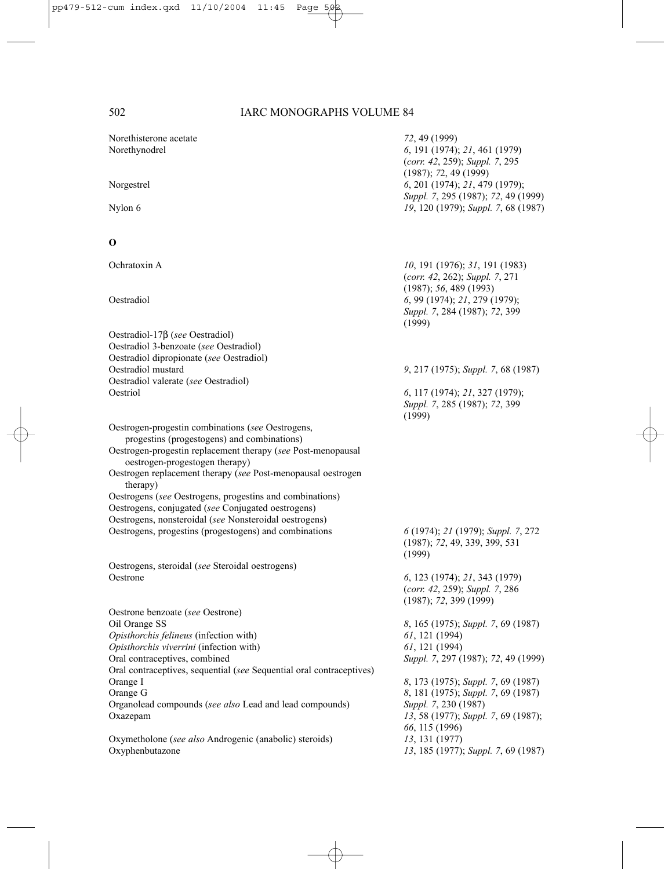| Norethisterone acetate<br>Norethynodrel                                                        | 72, 49 (1999)<br>6, 191 (1974); 21, 461 (1979)<br>(corr. 42, 259); Suppl. 7, 295                  |
|------------------------------------------------------------------------------------------------|---------------------------------------------------------------------------------------------------|
| Norgestrel                                                                                     | (1987); 72, 49(1999)<br>6, 201 (1974); 21, 479 (1979);<br>Suppl. 7, 295 (1987); 72, 49 (1999)     |
| Nylon 6                                                                                        | 19, 120 (1979); Suppl. 7, 68 (1987)                                                               |
| о                                                                                              |                                                                                                   |
| Ochratoxin A                                                                                   | 10, 191 (1976); 31, 191 (1983)<br>(corr. $42$ , 262); Suppl. 7, 271                               |
| Oestradiol                                                                                     | (1987); 56, 489(1993)<br>6, 99 (1974); 21, 279 (1979);<br>Suppl. 7, 284 (1987); 72, 399<br>(1999) |
| Oestradiol-17 $\beta$ (see Oestradiol)                                                         |                                                                                                   |
| Oestradiol 3-benzoate (see Oestradiol)                                                         |                                                                                                   |
| Oestradiol dipropionate (see Oestradiol)                                                       |                                                                                                   |
| Oestradiol mustard                                                                             | 9, 217 (1975); Suppl. 7, 68 (1987)                                                                |
| Oestradiol valerate (see Oestradiol)<br>Oestriol                                               | 6, 117 (1974); 21, 327 (1979);<br>Suppl. 7, 285 (1987); 72, 399<br>(1999)                         |
| Oestrogen-progestin combinations (see Oestrogens,                                              |                                                                                                   |
| progestins (progestogens) and combinations)                                                    |                                                                                                   |
| Oestrogen-progestin replacement therapy (see Post-menopausal<br>oestrogen-progestogen therapy) |                                                                                                   |
| Oestrogen replacement therapy (see Post-menopausal oestrogen<br>therapy)                       |                                                                                                   |
| Oestrogens (see Oestrogens, progestins and combinations)                                       |                                                                                                   |
| Oestrogens, conjugated (see Conjugated oestrogens)                                             |                                                                                                   |
| Oestrogens, nonsteroidal (see Nonsteroidal oestrogens)                                         |                                                                                                   |
| Oestrogens, progestins (progestogens) and combinations                                         | 6 (1974); 21 (1979); Suppl. 7, 272<br>(1987); 72, 49, 339, 399, 531<br>(1999)                     |
| Oestrogens, steroidal (see Steroidal oestrogens)                                               |                                                                                                   |
| Oestrone                                                                                       | 6, 123 (1974); 21, 343 (1979)<br>(corr. $42$ , 259); Suppl. 7, 286<br>(1987); 72, 399 (1999)      |
| Oestrone benzoate (see Oestrone)                                                               |                                                                                                   |
| Oil Orange SS                                                                                  | 8, 165 (1975); Suppl. 7, 69 (1987)                                                                |
| Opisthorchis felineus (infection with)                                                         | 61, 121 (1994)                                                                                    |
| Opisthorchis viverrini (infection with)<br>Oral contraceptives, combined                       | 61, 121 (1994)<br>Suppl. 7, 297 (1987); 72, 49 (1999)                                             |
| Oral contraceptives, sequential (see Sequential oral contraceptives)                           |                                                                                                   |
| Orange I                                                                                       | 8, 173 (1975); Suppl. 7, 69 (1987)                                                                |
| Orange G                                                                                       | 8, 181 (1975); Suppl. 7, 69 (1987)                                                                |
| Organolead compounds (see also Lead and lead compounds)                                        | Suppl. 7, 230 (1987)                                                                              |
| Oxazepam                                                                                       | 13, 58 (1977); Suppl. 7, 69 (1987);                                                               |
|                                                                                                | 66, 115 (1996)                                                                                    |
| Oxymetholone (see also Androgenic (anabolic) steroids)<br>Oxyphenbutazone                      | 13, 131 (1977)<br>13, 185 (1977); Suppl. 7, 69 (1987)                                             |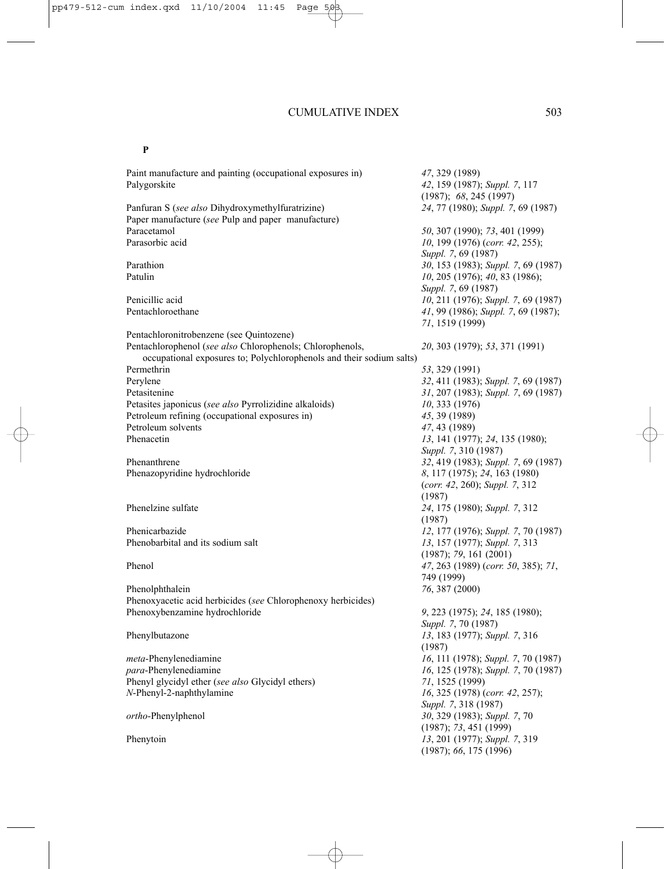#### **P**

Paint manufacture and painting (occupational exposures in) *47*, 329 (1989) Palygorskite *42*, 159 (1987); *Suppl. 7*, 117 (1987); *68*, 245 (1997) Panfuran S (*see also* Dihydroxymethylfuratrizine) Paper manufacture (*see* Pulp and paper manufacture) Paracetamol *50*, 307 (1990); *73*, 401 (1999) *10*, 199 (1976) (*corr. 42*, 255); *Suppl. 7*, 69 (1987) Parathion *30*, 153 (1983); *Suppl. 7*, 69 (1987) Patulin *10*, 205 (1976); *40*, 83 (1986); *Suppl. 7*, 69 (1987) Penicillic acid *10*, 211 (1976); *Suppl. 7*, 69 (1987) Pentachloroethane *41*, 99 (1986); *Suppl. 7*, 69 (1987); *71*, 1519 (1999) Pentachloronitrobenzene (see Quintozene) Pentachlorophenol (*see also* Chlorophenols; Chlorophenols, *20*, 303 (1979); *53*, 371 (1991) occupational exposures to; Polychlorophenols and their sodium salts) Permethrin *53*, 329 (1991) Perylene *32*, 411 (1983); *Suppl. 7*, 69 (1987) Petasitenine *31*, 207 (1983); *Suppl. 7*, 69 (1987) Petasites japonicus (*see also* Pyrrolizidine alkaloids) *10*, 333 (1976) Petroleum refining (occupational exposures in) *45*, 39 (1989) Petroleum solvents *47*, 43 (1989)<br>
Phenacetin *13* 141 (1977) Phenacetin *13*, 141 (1977); *24*, 135 (1980); *Suppl. 7*, 310 (1987) Phenanthrene *32*, 419 (1983); *Suppl. 7*, 69 (1987) Phenazopyridine hydrochloride *8*, 117 (1975); *24*, 163 (1980) (*corr. 42*, 260); *Suppl. 7*, 312 (1987) Phenelzine sulfate *24*, 175 (1980); *Suppl. 7*, 312 (1987) Phenicarbazide *12*, 177 (1976); *Suppl. 7*, 70 (1987) Phenobarbital and its sodium salt *13*, 157 (1977); *Suppl. 7*, 313 (1987); *79*, 161 (2001) Phenol *47*, 263 (1989) (*corr. 50*, 385); *71*, 749 (1999) Phenolphthalein *76*, 387 (2000) Phenoxyacetic acid herbicides (*see* Chlorophenoxy herbicides) Phenoxybenzamine hydrochloride *9*, 223 (1975); *24*, 185 (1980); *Suppl. 7*, 70 (1987) Phenylbutazone *13*, 183 (1977); *Suppl. 7*, 316 (1987) *meta*-Phenylenediamine *16*, 111 (1978); *Suppl. 7*, 70 (1987) *para*-Phenylenediamine *16*, 125 (1978); *Suppl. 7*, 70 (1987) Phenyl glycidyl ether (*see also* Glycidyl ethers) *71*, 1525 (1999) *N*-Phenyl-2-naphthylamine *16*, 325 (1978) (*corr. 42*, 257); *Suppl. 7*, 318 (1987) *ortho*-Phenylphenol *30*, 329 (1983); *Suppl. 7*, 70 (1987); *73*, 451 (1999) Phenytoin *13*, 201 (1977); *Suppl. 7*, 319 (1987); *66*, 175 (1996)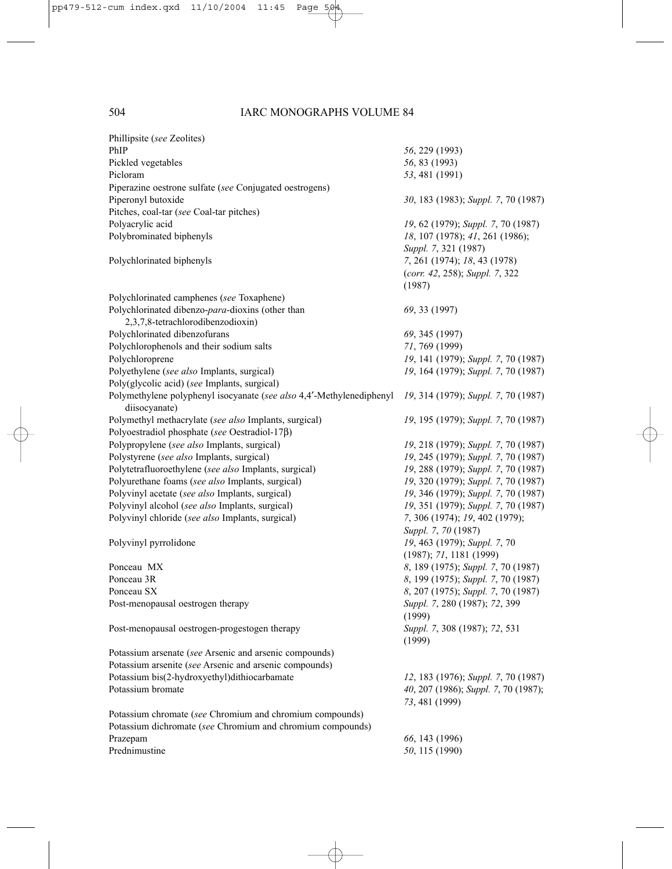| Phillipsite (see Zeolites)                                                                                             |                                         |
|------------------------------------------------------------------------------------------------------------------------|-----------------------------------------|
| PhIP                                                                                                                   | 56, 229 (1993)                          |
| Pickled vegetables                                                                                                     | 56, 83 (1993)                           |
| Picloram                                                                                                               | 53, 481 (1991)                          |
| Piperazine oestrone sulfate (see Conjugated oestrogens)                                                                |                                         |
| Piperonyl butoxide                                                                                                     | 30, 183 (1983); Suppl. 7, 70 (1987)     |
| Pitches, coal-tar (see Coal-tar pitches)                                                                               |                                         |
| Polyacrylic acid                                                                                                       | 19, 62 (1979); Suppl. 7, 70 (1987)      |
| Polybrominated biphenyls                                                                                               | 18, 107 (1978); 41, 261 (1986);         |
|                                                                                                                        | Suppl. 7, 321 (1987)                    |
| Polychlorinated biphenyls                                                                                              | 7, 261 (1974); 18, 43 (1978)            |
|                                                                                                                        | (corr. 42, 258); Suppl. 7, 322          |
|                                                                                                                        | (1987)                                  |
| Polychlorinated camphenes (see Toxaphene)                                                                              |                                         |
| Polychlorinated dibenzo-para-dioxins (other than                                                                       | 69, 33 (1997)                           |
| 2,3,7,8-tetrachlorodibenzodioxin)                                                                                      |                                         |
| Polychlorinated dibenzofurans                                                                                          | 69, 345 (1997)                          |
| Polychlorophenols and their sodium salts                                                                               | 71, 769 (1999)                          |
| Polychloroprene                                                                                                        | 19, 141 (1979); Suppl. 7, 70 (1987)     |
| Polyethylene (see also Implants, surgical)                                                                             | 19, 164 (1979); Suppl. 7, 70 (1987)     |
| Poly(glycolic acid) (see Implants, surgical)                                                                           |                                         |
| Polymethylene polyphenyl isocyanate (see also 4,4'-Methylenediphenyl                                                   | 19, 314 (1979); Suppl. 7, 70 (1987)     |
| diisocyanate)                                                                                                          |                                         |
| Polymethyl methacrylate (see also Implants, surgical)                                                                  | 19, 195 (1979); Suppl. 7, 70 (1987)     |
| Polyoestradiol phosphate (see Oestradiol-17 $\beta$ )                                                                  |                                         |
| Polypropylene (see also Implants, surgical)                                                                            | 19, 218 (1979); Suppl. 7, 70 (1987)     |
| Polystyrene (see also Implants, surgical)                                                                              | 19, 245 (1979); Suppl. 7, 70 (1987)     |
| Polytetrafluoroethylene (see also Implants, surgical)                                                                  | 19, 288 (1979); Suppl. 7, 70 (1987)     |
| Polyurethane foams (see also Implants, surgical)                                                                       | 19, 320 (1979); Suppl. 7, 70 (1987)     |
| Polyvinyl acetate (see also Implants, surgical)                                                                        | 19, 346 (1979); Suppl. 7, 70 (1987)     |
| Polyvinyl alcohol (see also Implants, surgical)                                                                        | 19, 351 (1979); Suppl. 7, 70 (1987)     |
| Polyvinyl chloride (see also Implants, surgical)                                                                       | 7, 306 (1974); 19, 402 (1979);          |
|                                                                                                                        | Suppl. 7, 70 (1987)                     |
| Polyvinyl pyrrolidone                                                                                                  | 19, 463 (1979); Suppl. 7, 70            |
|                                                                                                                        | (1987); 71, 1181 (1999)                 |
| Ponceau MX                                                                                                             | 8, 189 (1975); Suppl. 7, 70 (1987)      |
| Ponceau 3R                                                                                                             | 8, 199 (1975); Suppl. 7, 70 (1987)      |
| Ponceau SX                                                                                                             | 8, 207 (1975); Suppl. 7, 70 (1987)      |
| Post-menopausal oestrogen therapy                                                                                      | Suppl. 7, 280 (1987); 72, 399           |
|                                                                                                                        | (1999)                                  |
| Post-menopausal oestrogen-progestogen therapy                                                                          | Suppl. 7, 308 (1987); 72, 531<br>(1999) |
| Potassium arsenate (see Arsenic and arsenic compounds)                                                                 |                                         |
| Potassium arsenite (see Arsenic and arsenic compounds)                                                                 |                                         |
| Potassium bis(2-hydroxyethyl)dithiocarbamate                                                                           | 12, 183 (1976); Suppl. 7, 70 (1987)     |
| Potassium bromate                                                                                                      | 40, 207 (1986); Suppl. 7, 70 (1987);    |
|                                                                                                                        |                                         |
|                                                                                                                        | 73, 481 (1999)                          |
| Potassium chromate (see Chromium and chromium compounds)<br>Potassium dichromate (see Chromium and chromium compounds) |                                         |
|                                                                                                                        |                                         |
| Prazepam                                                                                                               | 66, 143 (1996)                          |
| Prednimustine                                                                                                          | 50, 115 (1990)                          |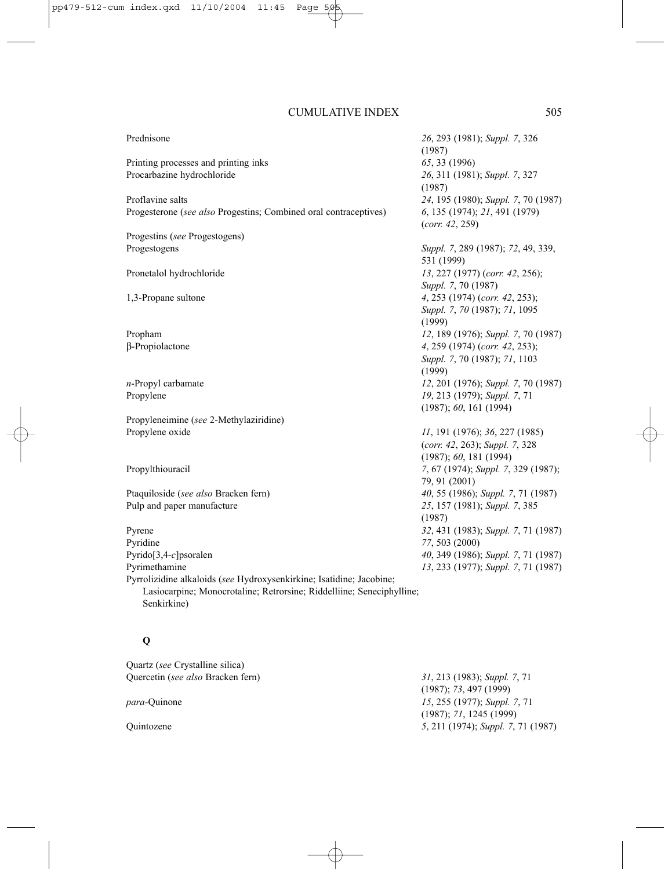| Prednisone                                                            | 26, 293 (1981); Suppl. 7, 326                    |
|-----------------------------------------------------------------------|--------------------------------------------------|
|                                                                       | (1987)                                           |
| Printing processes and printing inks                                  | 65, 33 (1996)                                    |
| Procarbazine hydrochloride                                            | 26, 311 (1981); Suppl. 7, 327<br>(1987)          |
| Proflavine salts                                                      | 24, 195 (1980); Suppl. 7, 70 (1987)              |
| Progesterone (see also Progestins; Combined oral contraceptives)      | 6, 135 (1974); 21, 491 (1979)<br>(corr. 42, 259) |
| Progestins (see Progestogens)                                         |                                                  |
| Progestogens                                                          | Suppl. 7, 289 (1987); 72, 49, 339,               |
|                                                                       | 531 (1999)                                       |
| Pronetalol hydrochloride                                              | 13, 227 (1977) (corr. 42, 256);                  |
|                                                                       | Suppl. 7, 70 (1987)                              |
| 1,3-Propane sultone                                                   | 4, 253 (1974) (corr. 42, 253);                   |
|                                                                       | Suppl. 7, 70 (1987); 71, 1095                    |
|                                                                       | (1999)                                           |
| Propham                                                               | 12, 189 (1976); Suppl. 7, 70 (1987)              |
| β-Propiolactone                                                       | 4, 259 (1974) (corr. 42, 253);                   |
|                                                                       | Suppl. 7, 70 (1987); 71, 1103                    |
|                                                                       | (1999)                                           |
| $n$ -Propyl carbamate                                                 | 12, 201 (1976); Suppl. 7, 70 (1987)              |
| Propylene                                                             | 19, 213 (1979); Suppl. 7, 71                     |
|                                                                       | (1987); 60, 161 (1994)                           |
| Propyleneimine (see 2-Methylaziridine)                                |                                                  |
| Propylene oxide                                                       | 11, 191 (1976); 36, 227 (1985)                   |
|                                                                       | (corr. 42, 263); Suppl. 7, 328                   |
|                                                                       | (1987); 60, 181 (1994)                           |
| Propylthiouracil                                                      | 7, 67 (1974); Suppl. 7, 329 (1987);              |
|                                                                       | 79, 91 (2001)                                    |
| Ptaquiloside (see also Bracken fern)                                  | 40, 55 (1986); Suppl. 7, 71 (1987)               |
| Pulp and paper manufacture                                            | 25, 157 (1981); Suppl. 7, 385                    |
|                                                                       | (1987)                                           |
| Pyrene                                                                | 32, 431 (1983); Suppl. 7, 71 (1987)              |
| Pyridine                                                              | 77, 503 (2000)                                   |
| Pyrido[3,4-c]psoralen                                                 | 40, 349 (1986); Suppl. 7, 71 (1987)              |
| Pyrimethamine                                                         | 13, 233 (1977); Suppl. 7, 71 (1987)              |
| Pyrrolizidine alkaloids (see Hydroxysenkirkine; Isatidine; Jacobine;  |                                                  |
| Lasiocarpine; Monocrotaline; Retrorsine; Riddelliine; Seneciphylline; |                                                  |
| Senkirkine)                                                           |                                                  |

# **Q**

Quartz (*see* Crystalline silica) Quercetin (*see also* Bracken fern) *31*, 213 (1983); *Suppl. 7*, 71 (1987); *73*, 497 (1999) *para*-Quinone *15*, 255 (1977); *Suppl. 7*, 71 (1987); *71*, 1245 (1999) Quintozene *5*, 211 (1974); *Suppl. 7*, 71 (1987)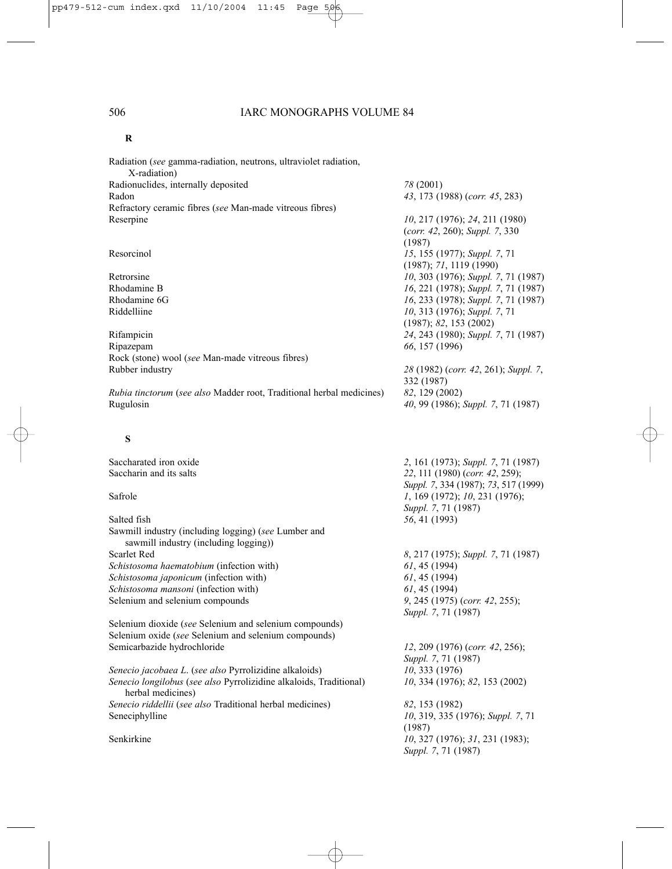#### **R**

Radiation (*see* gamma-radiation, neutrons, ultraviolet radiation, X-radiation) Radionuclides, internally deposited *78* (2001) Radon *43*, 173 (1988) (*corr. 45*, 283) Refractory ceramic fibres (*see* Man-made vitreous fibres) Reserpine *10*, 217 (1976); *24*, 211 (1980)

Ripazepam *66*, 157 (1996) Rock (stone) wool (*see* Man-made vitreous fibres)  $Rubber$  *industry* 

*Rubia tinctorum (see also Madder root, Traditional herbal medicines)* Rugulosin *40*, 99 (1986); *Suppl. 7*, 71 (1987)

#### **S**

Saccharated iron oxide<br>
Saccharin and its salts<br> **2**, 161 (1973); *Suppl.* 7, 71 (1987)<br> **22**, 111 (1980) (*corr.* 42, 259): 22, 111 (1980) (*corr. 42*, 259); *Suppl. 7*, 334 (1987); *73*, 517 (1999) Safrole *1*, 169 (1972); *10*, 231 (1976); *Suppl. 7*, 71 (1987) Salted fish *56*, 41 (1993) Sawmill industry (including logging) (*see* Lumber and sawmill industry (including logging)) Scarlet Red *8*, 217 (1975); *Suppl. 7*, 71 (1987) *Schistosoma haematobium* (infection with) 61, 45 (1994)<br>*Schistosoma japonicum* (infection with) 61, 45 (1994)  $Schistosoma japonicum (infection with)$ *Schistosoma mansoni* (infection with) *61*, 45 (1994) Selenium and selenium compounds *9*, 245 (1975) (*corr. 42*, 255); *Suppl. 7*, 71 (1987) Selenium dioxide (*see* Selenium and selenium compounds) Selenium oxide (*see* Selenium and selenium compounds) Semicarbazide hydrochloride *12*, 209 (1976) (*corr. 42*, 256); *Suppl. 7*, 71 (1987) *Senecio jacobaea L*. (*see also* Pyrrolizidine alkaloids) *10*, 333 (1976) *Senecio longilobus* (*see also* Pyrrolizidine alkaloids, Traditional) *10*, 334 (1976); *82*, 153 (2002) herbal medicines) *Senecio riddellii* (*see also* Traditional herbal medicines) *82*, 153 (1982) Seneciphylline *10*, 319, 335 (1976); *Suppl. 7*, 71 (1987) Senkirkine *10*, 327 (1976); *31*, 231 (1983); *Suppl. 7*, 71 (1987)

(*corr. 42*, 260); *Suppl. 7*, 330 (1987) Resorcinol *15*, 155 (1977); *Suppl. 7*, 71 (1987); *71*, 1119 (1990) Retrorsine *10*, 303 (1976); *Suppl. 7*, 71 (1987) Rhodamine B *16*, 221 (1978); *Suppl. 7*, 71 (1987) Rhodamine 6G *16*, 233 (1978); *Suppl. 7*, 71 (1987) Riddelliine *10*, 313 (1976); *Suppl. 7*, 71 (1987); *82*, 153 (2002) Rifampicin *24*, 243 (1980); *Suppl. 7*, 71 (1987)

|                | 28 (1982) (corr. 42, 261); Suppl. 7. |
|----------------|--------------------------------------|
| 332 (1987)     |                                      |
| 82, 129 (2002) |                                      |
|                | 40, 99 (1986); Suppl. 7, 71 (1987)   |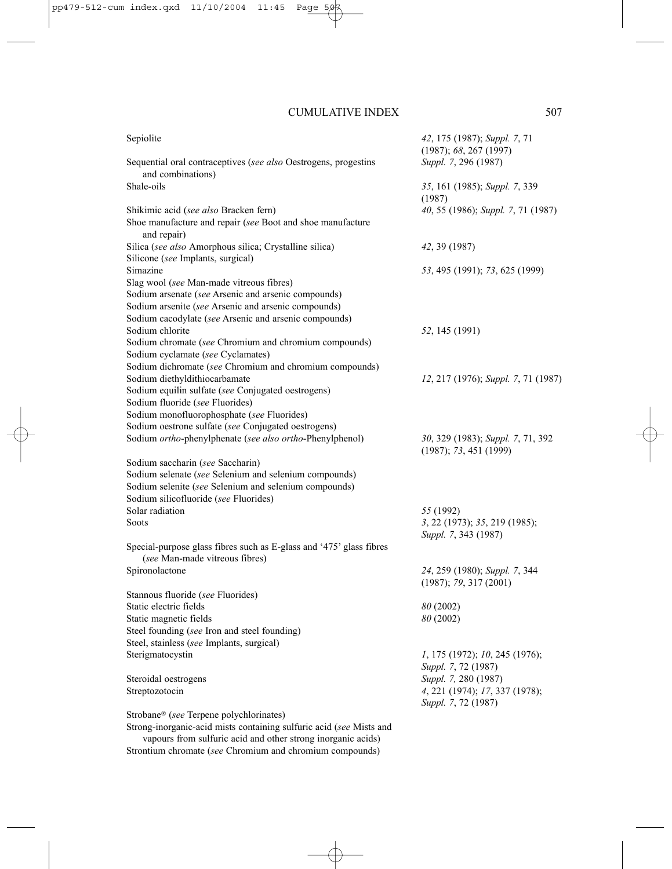| Sepiolite                                                                                             | 42, 175 (1987); Suppl. 7, 71<br>(1987); 68, 267 (1997)      |
|-------------------------------------------------------------------------------------------------------|-------------------------------------------------------------|
| Sequential oral contraceptives (see also Oestrogens, progestins<br>and combinations)                  | Suppl. 7, 296 (1987)                                        |
| Shale-oils                                                                                            | 35, 161 (1985); Suppl. 7, 339<br>(1987)                     |
| Shikimic acid (see also Bracken fern)<br>Shoe manufacture and repair (see Boot and shoe manufacture   | 40, 55 (1986); Suppl. 7, 71 (1987)                          |
| and repair)                                                                                           |                                                             |
| Silica (see also Amorphous silica; Crystalline silica)                                                | 42, 39 (1987)                                               |
| Silicone (see Implants, surgical)                                                                     |                                                             |
| Simazine                                                                                              | 53, 495 (1991); 73, 625 (1999)                              |
| Slag wool (see Man-made vitreous fibres)                                                              |                                                             |
| Sodium arsenate (see Arsenic and arsenic compounds)                                                   |                                                             |
| Sodium arsenite (see Arsenic and arsenic compounds)                                                   |                                                             |
| Sodium cacodylate (see Arsenic and arsenic compounds)<br>Sodium chlorite                              |                                                             |
|                                                                                                       | 52, 145 (1991)                                              |
| Sodium chromate (see Chromium and chromium compounds)<br>Sodium cyclamate (see Cyclamates)            |                                                             |
| Sodium dichromate (see Chromium and chromium compounds)                                               |                                                             |
| Sodium diethyldithiocarbamate                                                                         | 12, 217 (1976); Suppl. 7, 71 (1987)                         |
| Sodium equilin sulfate (see Conjugated oestrogens)                                                    |                                                             |
| Sodium fluoride (see Fluorides)                                                                       |                                                             |
| Sodium monofluorophosphate (see Fluorides)                                                            |                                                             |
| Sodium oestrone sulfate (see Conjugated oestrogens)                                                   |                                                             |
| Sodium ortho-phenylphenate (see also ortho-Phenylphenol)                                              | 30, 329 (1983); Suppl. 7, 71, 392<br>(1987); 73, 451 (1999) |
| Sodium saccharin (see Saccharin)                                                                      |                                                             |
| Sodium selenate (see Selenium and selenium compounds)                                                 |                                                             |
| Sodium selenite (see Selenium and selenium compounds)                                                 |                                                             |
| Sodium silicofluoride (see Fluorides)                                                                 |                                                             |
| Solar radiation                                                                                       | 55 (1992)                                                   |
| Soots                                                                                                 | 3, 22 (1973); 35, 219 (1985);                               |
|                                                                                                       | Suppl. 7, 343 (1987)                                        |
| Special-purpose glass fibres such as E-glass and '475' glass fibres<br>(see Man-made vitreous fibres) |                                                             |
| Spironolactone                                                                                        | 24, 259 (1980); Suppl. 7, 344<br>(1987); 79, 317(2001)      |
| Stannous fluoride (see Fluorides)                                                                     |                                                             |
| Static electric fields                                                                                | 80 (2002)                                                   |
| Static magnetic fields                                                                                | 80 (2002)                                                   |
| Steel founding (see Iron and steel founding)                                                          |                                                             |
| Steel, stainless (see Implants, surgical)                                                             |                                                             |
| Sterigmatocystin                                                                                      | 1, 175 (1972); 10, 245 (1976);                              |
|                                                                                                       | Suppl. 7, 72 (1987)                                         |
| Steroidal oestrogens                                                                                  | Suppl. 7, 280 (1987)                                        |
| Streptozotocin                                                                                        | 4, 221 (1974); 17, 337 (1978);<br>Suppl. 7, 72 (1987)       |
| Strobane® (see Terpene polychlorinates)                                                               |                                                             |
| Strong-inorganic-acid mists containing sulfuric acid (see Mists and                                   |                                                             |

vapours from sulfuric acid and other strong inorganic acids) Strontium chromate (*see* Chromium and chromium compounds)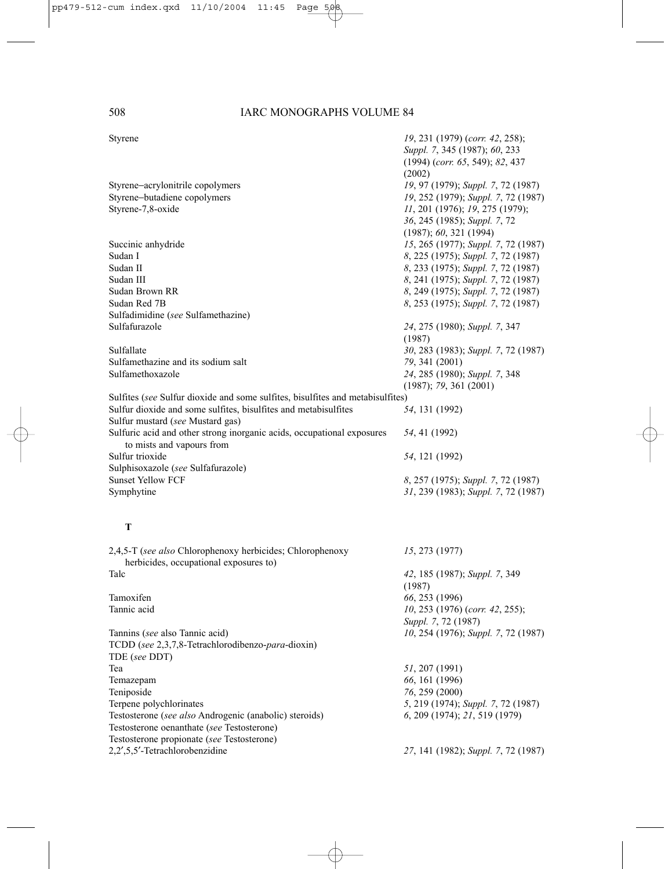| Styrene                                                                                             | 19, 231 (1979) (corr. 42, 258);<br>Suppl. 7, 345 (1987); 60, 233<br>$(1994)$ (corr. 65, 549); 82, 437<br>(2002) |
|-----------------------------------------------------------------------------------------------------|-----------------------------------------------------------------------------------------------------------------|
| Styrene-acrylonitrile copolymers                                                                    | 19, 97 (1979); Suppl. 7, 72 (1987)                                                                              |
| Styrene-butadiene copolymers                                                                        | 19, 252 (1979); Suppl. 7, 72 (1987)                                                                             |
| Styrene-7,8-oxide                                                                                   | 11, 201 (1976); 19, 275 (1979);                                                                                 |
|                                                                                                     | 36, 245 (1985); Suppl. 7, 72                                                                                    |
|                                                                                                     | (1987); 60, 321 (1994)                                                                                          |
| Succinic anhydride                                                                                  | 15, 265 (1977); Suppl. 7, 72 (1987)                                                                             |
| Sudan I                                                                                             | 8, 225 (1975); Suppl. 7, 72 (1987)                                                                              |
| Sudan II                                                                                            | 8, 233 (1975); Suppl. 7, 72 (1987)                                                                              |
| Sudan III                                                                                           | 8, 241 (1975); Suppl. 7, 72 (1987)                                                                              |
| Sudan Brown RR                                                                                      | 8, 249 (1975); Suppl. 7, 72 (1987)                                                                              |
| Sudan Red 7B                                                                                        | 8, 253 (1975); Suppl. 7, 72 (1987)                                                                              |
| Sulfadimidine (see Sulfamethazine)                                                                  |                                                                                                                 |
| Sulfafurazole                                                                                       | 24, 275 (1980); Suppl. 7, 347                                                                                   |
|                                                                                                     | (1987)                                                                                                          |
| Sulfallate                                                                                          | 30, 283 (1983); Suppl. 7, 72 (1987)                                                                             |
| Sulfamethazine and its sodium salt                                                                  | 79, 341 (2001)                                                                                                  |
| Sulfamethoxazole                                                                                    | 24, 285 (1980); Suppl. 7, 348                                                                                   |
|                                                                                                     | (1987); 79, 361 (2001)                                                                                          |
| Sulfites (see Sulfur dioxide and some sulfites, bisulfites and metabisulfites)                      |                                                                                                                 |
| Sulfur dioxide and some sulfites, bisulfites and metabisulfites                                     | 54, 131 (1992)                                                                                                  |
| Sulfur mustard (see Mustard gas)                                                                    |                                                                                                                 |
| Sulfuric acid and other strong inorganic acids, occupational exposures<br>to mists and vapours from | 54, 41 (1992)                                                                                                   |
| Sulfur trioxide                                                                                     | 54, 121 (1992)                                                                                                  |
| Sulphisoxazole (see Sulfafurazole)                                                                  |                                                                                                                 |
| <b>Sunset Yellow FCF</b>                                                                            | 8, 257 (1975); Suppl. 7, 72 (1987)                                                                              |
| Symphytine                                                                                          | 31, 239 (1983); Suppl. 7, 72 (1987)                                                                             |

## **T**

| 2,4,5-T (see also Chlorophenoxy herbicides; Chlorophenoxy<br>herbicides, occupational exposures to | 15, 273 (1977)                      |
|----------------------------------------------------------------------------------------------------|-------------------------------------|
| Talc                                                                                               | 42, 185 (1987); Suppl. 7, 349       |
|                                                                                                    | (1987)                              |
| Tamoxifen                                                                                          | 66, 253 (1996)                      |
| Tannic acid                                                                                        | $10, 253$ (1976) (corr. 42, 255);   |
|                                                                                                    | Suppl. 7, 72 (1987)                 |
| Tannins (see also Tannic acid)                                                                     | 10, 254 (1976); Suppl. 7, 72 (1987) |
| TCDD (see 2,3,7,8-Tetrachlorodibenzo-para-dioxin)                                                  |                                     |
| TDE (see DDT)                                                                                      |                                     |
| Tea                                                                                                | 51, 207 (1991)                      |
| Temazepam                                                                                          | 66, 161 (1996)                      |
| Teniposide                                                                                         | 76, 259 (2000)                      |
| Terpene polychlorinates                                                                            | 5, 219 (1974); Suppl. 7, 72 (1987)  |
| Testosterone (see also Androgenic (anabolic) steroids)                                             | 6, 209 (1974); 21, 519 (1979)       |
| Testosterone oenanthate (see Testosterone)                                                         |                                     |
| Testosterone propionate (see Testosterone)                                                         |                                     |
| 2.2',5,5'-Tetrachlorobenzidine                                                                     | 27, 141 (1982); Suppl. 7, 72 (1987) |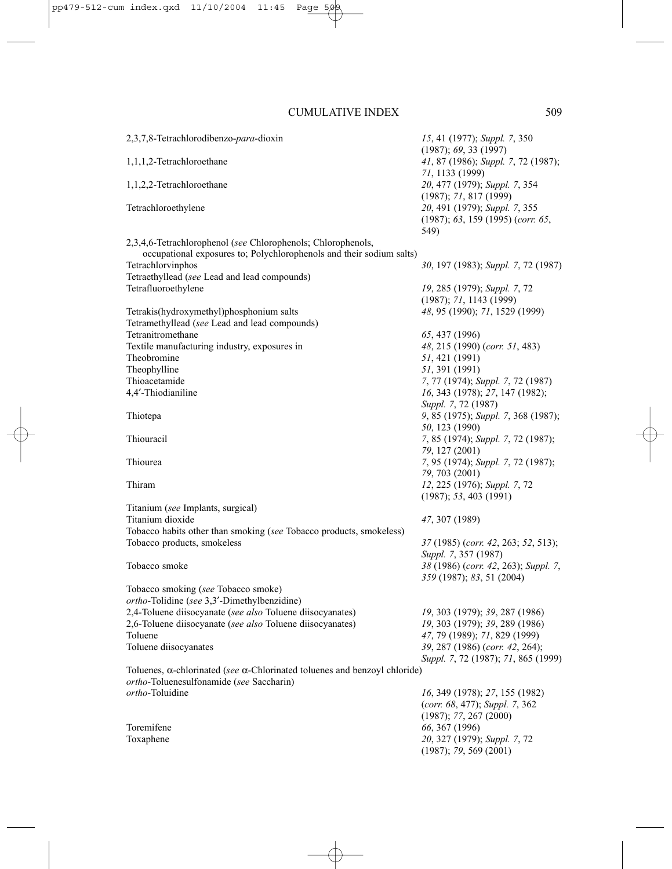| 2,3,7,8-Tetrachlorodibenzo-para-dioxin                                                                                               | 15, 41 (1977); Suppl. 7, 350<br>(1987); 69, 33(1997)                            |
|--------------------------------------------------------------------------------------------------------------------------------------|---------------------------------------------------------------------------------|
| 1,1,1,2-Tetrachloroethane                                                                                                            | 41, 87 (1986); Suppl. 7, 72 (1987);<br>71, 1133 (1999)                          |
| 1,1,2,2-Tetrachloroethane                                                                                                            | 20, 477 (1979); Suppl. 7, 354<br>(1987); 71, 817 (1999)                         |
| Tetrachloroethylene                                                                                                                  | 20, 491 (1979); Suppl. 7, 355<br>$(1987)$ ; 63, 159 $(1995)$ (corr. 65,<br>549) |
| 2,3,4,6-Tetrachlorophenol (see Chlorophenols; Chlorophenols,<br>occupational exposures to; Polychlorophenols and their sodium salts) |                                                                                 |
| Tetrachlorvinphos                                                                                                                    | 30, 197 (1983); Suppl. 7, 72 (1987)                                             |
| Tetraethyllead (see Lead and lead compounds)                                                                                         |                                                                                 |
| Tetrafluoroethylene                                                                                                                  | 19, 285 (1979); Suppl. 7, 72<br>(1987); 71, 1143 (1999)                         |
| Tetrakis(hydroxymethyl)phosphonium salts                                                                                             | 48, 95 (1990); 71, 1529 (1999)                                                  |
| Tetramethyllead (see Lead and lead compounds)                                                                                        |                                                                                 |
| Tetranitromethane                                                                                                                    | 65, 437 (1996)                                                                  |
| Textile manufacturing industry, exposures in                                                                                         | 48, 215 (1990) (corr. 51, 483)                                                  |
| Theobromine                                                                                                                          | 51, 421 (1991)                                                                  |
| Theophylline                                                                                                                         | 51, 391 (1991)                                                                  |
| Thioacetamide<br>4,4'-Thiodianiline                                                                                                  | 7, 77 (1974); Suppl. 7, 72 (1987)<br>16, 343 (1978); 27, 147 (1982);            |
|                                                                                                                                      | Suppl. 7, 72 (1987)                                                             |
| Thiotepa                                                                                                                             | 9, 85 (1975); Suppl. 7, 368 (1987);                                             |
|                                                                                                                                      | 50, 123 (1990)                                                                  |
| Thiouracil                                                                                                                           | 7, 85 (1974); Suppl. 7, 72 (1987);                                              |
|                                                                                                                                      | 79, 127 (2001)                                                                  |
| Thiourea                                                                                                                             | 7, 95 (1974); Suppl. 7, 72 (1987);                                              |
|                                                                                                                                      | 79, 703 (2001)                                                                  |
| Thiram                                                                                                                               | 12, 225 (1976); Suppl. 7, 72<br>(1987); 53, 403 (1991)                          |
| Titanium (see Implants, surgical)                                                                                                    |                                                                                 |
| Titanium dioxide                                                                                                                     | 47, 307 (1989)                                                                  |
| Tobacco habits other than smoking (see Tobacco products, smokeless)                                                                  |                                                                                 |
| Tobacco products, smokeless                                                                                                          | 37 (1985) (corr. 42, 263; 52, 513);<br>Suppl. 7, 357 (1987)                     |
| Tobacco smoke                                                                                                                        | 38 (1986) (corr. 42, 263); Suppl. 7,                                            |
|                                                                                                                                      | 359 (1987); 83, 51 (2004)                                                       |
| Tobacco smoking (see Tobacco smoke)                                                                                                  |                                                                                 |
| ortho-Tolidine (see 3,3'-Dimethylbenzidine)                                                                                          |                                                                                 |
| 2,4-Toluene diisocyanate (see also Toluene diisocyanates)                                                                            | 19, 303 (1979); 39, 287 (1986)                                                  |
| 2,6-Toluene diisocyanate (see also Toluene diisocyanates)                                                                            | 19, 303 (1979); 39, 289 (1986)                                                  |
| Toluene                                                                                                                              | 47, 79 (1989); 71, 829 (1999)                                                   |
| Toluene diisocyanates                                                                                                                | 39, 287 (1986) (corr. 42, 264);<br>Suppl. 7, 72 (1987); 71, 865 (1999)          |
| Toluenes, $\alpha$ -chlorinated (see $\alpha$ -Chlorinated toluenes and benzoyl chloride)                                            |                                                                                 |
| ortho-Toluenesulfonamide (see Saccharin)                                                                                             |                                                                                 |
| <i>ortho</i> -Toluidine                                                                                                              | 16, 349 (1978); 27, 155 (1982)                                                  |
|                                                                                                                                      | (corr. 68, 477); Suppl. 7, 362                                                  |
|                                                                                                                                      | (1987); 77, 267 (2000)                                                          |
| Toremifene                                                                                                                           | 66, 367 (1996)                                                                  |
| Toxaphene                                                                                                                            | 20, 327 (1979); Suppl. 7, 72                                                    |
|                                                                                                                                      | (1987); 79, 569 (2001)                                                          |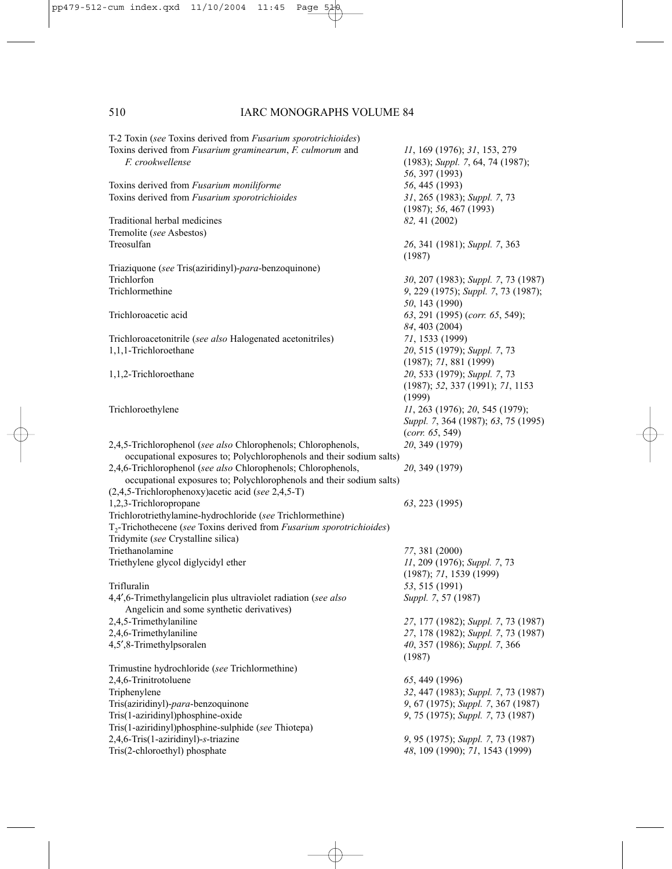T-2 Toxin (*see* Toxins derived from *Fusarium sporotrichioides*) Toxins derived from *Fusarium graminearum*, *F. culmorum* and *11*, 169 (1976); *31*, 153, 279 *F. crookwellense* (1983); *Suppl. 7*, 64, 74 (1987); *56*, 397 (1993) Toxins derived from *Fusarium moniliforme* 56, 445 (1993)<br>
Toxins derived from *Fusarium sporotrichioides* 31, 265 (1983); *Suppl.* 7, 73 Toxins derived from *Fusarium sporotrichioides* (1987); *56*, 467 (1993) Traditional herbal medicines *82,* 41 (2002) Tremolite (*see* Asbestos) Treosulfan *26*, 341 (1981); *Suppl. 7*, 363 (1987) Triaziquone (*see* Tris(aziridinyl)-*para*-benzoquinone) Trichlorfon *30*, 207 (1983); *Suppl. 7*, 73 (1987) Trichlormethine *9*, 229 (1975); *Suppl. 7*, 73 (1987); *50*, 143 (1990) Trichloroacetic acid *63*, 291 (1995) (*corr. 65*, 549); *84*, 403 (2004) Trichloroacetonitrile (*see also* Halogenated acetonitriles) *71*, 1533 (1999) 1,1,1-Trichloroethane *20*, 515 (1979); *Suppl. 7*, 73 (1987); *71*, 881 (1999) 1,1,2-Trichloroethane *20*, 533 (1979); *Suppl. 7*, 73 (1987); *52*, 337 (1991); *71*, 1153 (1999) Trichloroethylene *11*, 263 (1976); *20*, 545 (1979); *Suppl. 7*, 364 (1987); *63*, 75 (1995) (*corr. 65*, 549) 2,4,5-Trichlorophenol (*see also* Chlorophenols; Chlorophenols, *20*, 349 (1979) occupational exposures to; Polychlorophenols and their sodium salts) 2,4,6-Trichlorophenol (*see also* Chlorophenols; Chlorophenols, *20*, 349 (1979) occupational exposures to; Polychlorophenols and their sodium salts) (2,4,5-Trichlorophenoxy)acetic acid (*see* 2,4,5-T) 1,2,3-Trichloropropane *63*, 223 (1995) Trichlorotriethylamine-hydrochloride (*see* Trichlormethine) T2-Trichothecene (*see* Toxins derived from *Fusarium sporotrichioides*) Tridymite (*see* Crystalline silica) Triethanolamine *77*, 381 (2000) Triethylene glycol diglycidyl ether *11*, 209 (1976); *Suppl. 7*, 73 (1987); *71*, 1539 (1999) Trifluralin *53*, 515 (1991) 4,4′,6-Trimethylangelicin plus ultraviolet radiation (*see also Suppl. 7*, 57 (1987) Angelicin and some synthetic derivatives) 2,4,5-Trimethylaniline *27*, 177 (1982); *Suppl. 7*, 73 (1987) 2,4,6-Trimethylaniline *27*, 178 (1982); *Suppl. 7*, 73 (1987) 4,5′,8-Trimethylpsoralen *40*, 357 (1986); *Suppl. 7*, 366 (1987) Trimustine hydrochloride (*see* Trichlormethine) 2,4,6-Trinitrotoluene *65*, 449 (1996) Triphenylene *32*, 447 (1983); *Suppl. 7*, 73 (1987) Tris(aziridinyl)-*para*-benzoquinone *9*, 67 (1975); *Suppl. 7*, 367 (1987) Tris(1-aziridinyl)phosphine-oxide *9*, 75 (1975); *Suppl. 7*, 73 (1987) Tris(1-aziridinyl)phosphine-sulphide (*see* Thiotepa) 2,4,6-Tris(1-aziridinyl)-*s*-triazine *9*, 95 (1975); *Suppl. 7*, 73 (1987) Tris(2-chloroethyl) phosphate *48*, 109 (1990); *71*, 1543 (1999)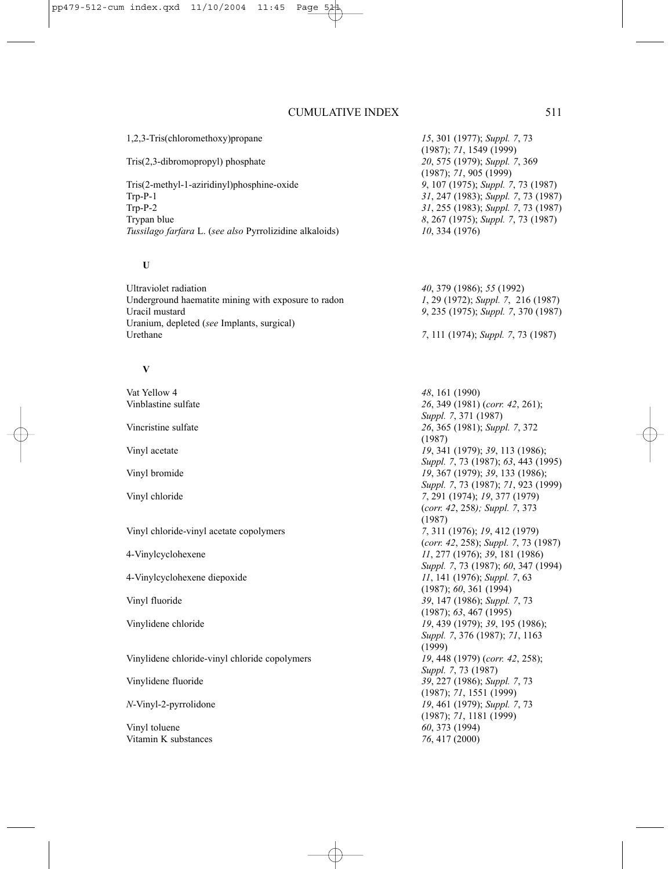1,2,3-Tris(chloromethoxy)propane *15*, 301 (1977); *Suppl. 7*, 73 (1987); *71*, 1549 (1999) Tris(2,3-dibromopropyl) phosphate *20*, 575 (1979); *Suppl. 7*, 369 (1987); *71*, 905 (1999) Tris(2-methyl-1-aziridinyl)phosphine-oxide *9*, 107 (1975); *Suppl. 7*, 73 (1987) Trp-P-1 *31*, 247 (1983); *Suppl. 7*, 73 (1987) 31, 255 (1983); *Suppl.* 7, 73 (1987) Trypan blue *8*, 267 (1975); *Suppl. 7*, 73 (1987) *Tussilago farfara* L. (*see also* Pyrrolizidine alkaloids) *10*, 334 (1976) **U** Ultraviolet radiation *40*, 379 (1986); *55* (1992) Underground haematite mining with exposure to radon *1*, 29 (1972); *Suppl. 7*, 216 (1987) Uracil mustard *9*, 235 (1975); *Suppl. 7*, 370 (1987) Uranium, depleted (*see* Implants, surgical) Urethane *7*, 111 (1974); *Suppl. 7*, 73 (1987) **V** Vat Yellow 4 **48**, 161 (1990)<br>
Vinhlastine sulfate 26 349 (1981) Vinblastine sulfate *26*, 349 (1981) (*corr. 42*, 261); *Suppl. 7*, 371 (1987) Vincristine sulfate *26*, 365 (1981); *Suppl. 7*, 372 (1987) Vinyl acetate *19*, 341 (1979); *39*, 113 (1986); *Suppl. 7*, 73 (1987); *63*, 443 (1995) Vinyl bromide *19*, 367 (1979); *39*, 133 (1986); *Suppl. 7*, 73 (1987); *71*, 923 (1999) Vinyl chloride *7*, 291 (1974); *19*, 377 (1979) (*corr. 42*, 258*); Suppl. 7*, 373 (1987) Vinyl chloride-vinyl acetate copolymers *7*, 311 (1976); *19*, 412 (1979) (*corr. 42*, 258); *Suppl. 7*, 73 (1987) 4-Vinylcyclohexene *11*, 277 (1976); *39*, 181 (1986) *Suppl. 7*, 73 (1987); *60*, 347 (1994) 4-Vinylcyclohexene diepoxide *11*, 141 (1976); *Suppl. 7*, 63 (1987); *60*, 361 (1994) Vinyl fluoride *39*, 147 (1986); *Suppl. 7*, 73 (1987); *63*, 467 (1995) Vinylidene chloride *19*, 439 (1979); *39*, 195 (1986); *Suppl. 7*, 376 (1987); *71*, 1163 (1999) Vinylidene chloride-vinyl chloride copolymers *19*, 448 (1979) (*corr. 42*, 258); *Suppl. 7*, 73 (1987) Vinylidene fluoride *39*, 227 (1986); *Suppl. 7*, 73 (1987); *71*, 1551 (1999) *N*-Vinyl-2-pyrrolidone *19*, 461 (1979); *Suppl. 7*, 73 (1987); *71*, 1181 (1999) Vinyl toluene *60*, 373 (1994)

Vitamin K substances *76*, 417 (2000)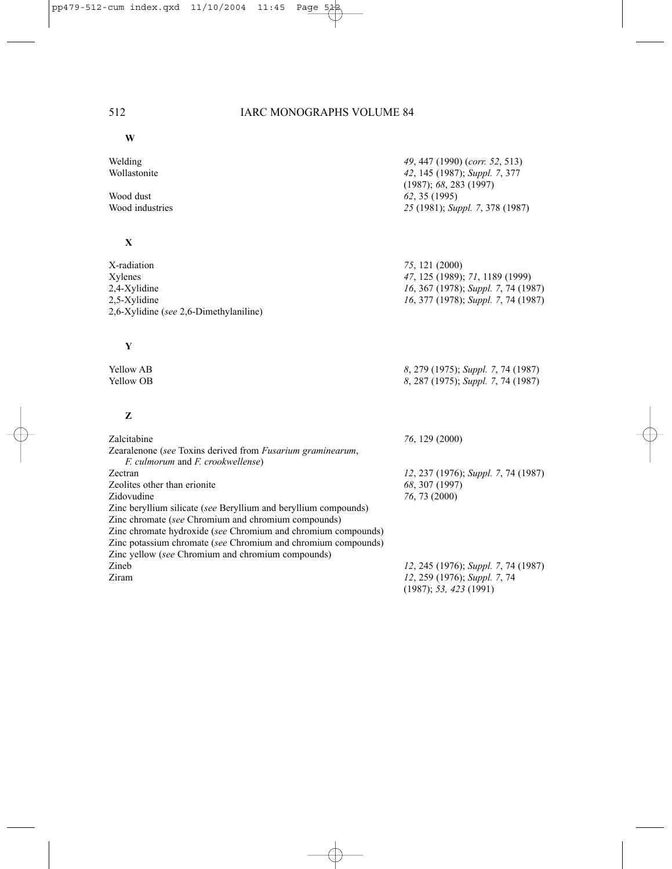**W**

| Welding<br>Wollastonite                                                                                                                                                                                                                                                                                                                                                | 49, 447 (1990) (corr. 52, 513)<br>42, 145 (1987); Suppl. 7, 377                                                                 |
|------------------------------------------------------------------------------------------------------------------------------------------------------------------------------------------------------------------------------------------------------------------------------------------------------------------------------------------------------------------------|---------------------------------------------------------------------------------------------------------------------------------|
| Wood dust<br>Wood industries                                                                                                                                                                                                                                                                                                                                           | (1987); 68, 283 (1997)<br>62, 35 (1995)<br>25 (1981); Suppl. 7, 378 (1987)                                                      |
| X                                                                                                                                                                                                                                                                                                                                                                      |                                                                                                                                 |
| X-radiation<br>Xylenes<br>2,4-Xylidine<br>2,5-Xylidine<br>2,6-Xylidine (see 2,6-Dimethylaniline)                                                                                                                                                                                                                                                                       | 75, 121 (2000)<br>47, 125 (1989); 71, 1189 (1999)<br>16, 367 (1978); Suppl. 7, 74 (1987)<br>16, 377 (1978); Suppl. 7, 74 (1987) |
| Y                                                                                                                                                                                                                                                                                                                                                                      |                                                                                                                                 |
| <b>Yellow AB</b><br>Yellow OB                                                                                                                                                                                                                                                                                                                                          | 8, 279 (1975); Suppl. 7, 74 (1987)<br>8, 287 (1975); Suppl. 7, 74 (1987)                                                        |
| Z                                                                                                                                                                                                                                                                                                                                                                      |                                                                                                                                 |
| Zalcitabine<br>Zearalenone (see Toxins derived from <i>Fusarium graminearum</i> ,<br>F. culmorum and F. crookwellense)                                                                                                                                                                                                                                                 | 76, 129 (2000)                                                                                                                  |
| Zectran<br>Zeolites other than erionite<br>Zidovudine<br>Zinc beryllium silicate (see Beryllium and beryllium compounds)<br>Zinc chromate (see Chromium and chromium compounds)<br>Zinc chromate hydroxide (see Chromium and chromium compounds)<br>Zinc potassium chromate (see Chromium and chromium compounds)<br>Zinc yellow (see Chromium and chromium compounds) | 12, 237 (1976); Suppl. 7, 74 (1987)<br>68, 307 (1997)<br>76, 73 (2000)                                                          |
| Zineb<br>Ziram                                                                                                                                                                                                                                                                                                                                                         | 12, 245 (1976); Suppl. 7, 74 (1987)<br>12, 259 (1976); Suppl. 7, 74<br>(1987); 53, 423 (1991)                                   |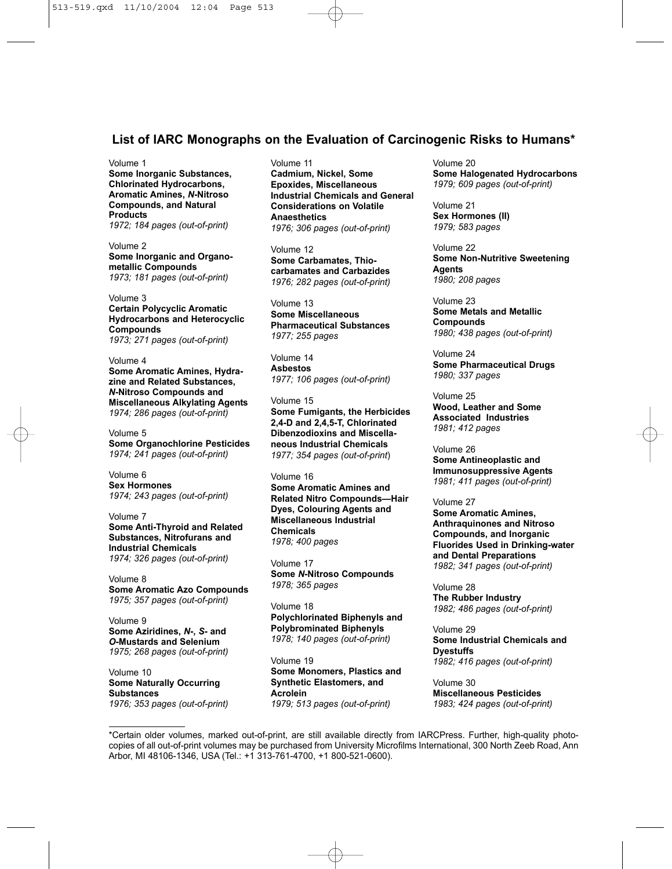## **List of IARC Monographs on the Evaluation of Carcinogenic Risks to Humans\***

#### Volume 1

**Some Inorganic Substances, Chlorinated Hydrocarbons, Aromatic Amines,** *N***-Nitroso Compounds, and Natural Products** *1972; 184 pages (out-of-print)*

Volume 2 **Some Inorganic and Organometallic Compounds** *1973; 181 pages (out-of-print)*

Volume 3 **Certain Polycyclic Aromatic Hydrocarbons and Heterocyclic Compounds** *1973; 271 pages (out-of-print)*

Volume 4 **Some Aromatic Amines, Hydrazine and Related Substances,** *N***-Nitroso Compounds and Miscellaneous Alkylating Agents** *1974; 286 pages (out-of-print)*

Volume 5 **Some Organochlorine Pesticides** *1974; 241 pages (out-of-print)*

Volume 6 **Sex Hormones** *1974; 243 pages (out-of-print)*

Volume 7 **Some Anti-Thyroid and Related Substances, Nitrofurans and Industrial Chemicals** *1974; 326 pages (out-of-print)*

Volume 8 **Some Aromatic Azo Compounds** *1975; 357 pages (out-of-print)*

Volume 9 **Some Aziridines,** *N***-,** *S***- and** *O***-Mustards and Selenium** *1975; 268 pages (out-of-print)*

Volume 10 **Some Naturally Occurring Substances** *1976; 353 pages (out-of-print)* Volume 11 **Cadmium, Nickel, Some Epoxides, Miscellaneous Industrial Chemicals and General Considerations on Volatile Anaesthetics** *1976; 306 pages (out-of-print)*

Volume 12 **Some Carbamates, Thiocarbamates and Carbazides** *1976; 282 pages (out-of-print)*

Volume 13 **Some Miscellaneous Pharmaceutical Substances** *1977; 255 pages*

Volume 14 **Asbestos** *1977; 106 pages (out-of-print)*

Volume 15 **Some Fumigants, the Herbicides 2,4-D and 2,4,5-T, Chlorinated Dibenzodioxins and Miscellaneous Industrial Chemicals** *1977; 354 pages (out-of-print*)

Volume 16 **Some Aromatic Amines and Related Nitro Compounds—Hair Dyes, Colouring Agents and Miscellaneous Industrial Chemicals** *1978; 400 pages*

Volume 17 **Some** *N***-Nitroso Compounds** *1978; 365 pages*

Volume 18 **Polychlorinated Biphenyls and Polybrominated Biphenyls** *1978; 140 pages (out-of-print)*

Volume 19 **Some Monomers, Plastics and Synthetic Elastomers, and Acrolein** *1979; 513 pages (out-of-print)*

Volume 20 **Some Halogenated Hydrocarbons** *1979; 609 pages (out-of-print)*

Volume 21 **Sex Hormones (II)** *1979; 583 pages*

Volume 22 **Some Non-Nutritive Sweetening Agents** *1980; 208 pages*

Volume 23 **Some Metals and Metallic Compounds** *1980; 438 pages (out-of-print)*

Volume 24 **Some Pharmaceutical Drugs** *1980; 337 pages*

Volume 25 **Wood, Leather and Some Associated Industries** *1981; 412 pages*

Volume 26 **Some Antineoplastic and Immunosuppressive Agents** *1981; 411 pages (out-of-print)*

#### Volume 27

**Some Aromatic Amines, Anthraquinones and Nitroso Compounds, and Inorganic Fluorides Used in Drinking-water and Dental Preparations** *1982; 341 pages (out-of-print)*

Volume 28 **The Rubber Industry** *1982; 486 pages (out-of-print)*

Volume 29 **Some Industrial Chemicals and Dyestuffs** *1982; 416 pages (out-of-print)*

Volume 30 **Miscellaneous Pesticides** *1983; 424 pages (out-of-print)*

\*Certain older volumes, marked out-of-print, are still available directly from IARCPress. Further, high-quality photocopies of all out-of-print volumes may be purchased from University Microfilms International, 300 North Zeeb Road, Ann Arbor, MI 48106-1346, USA (Tel.: +1 313-761-4700, +1 800-521-0600).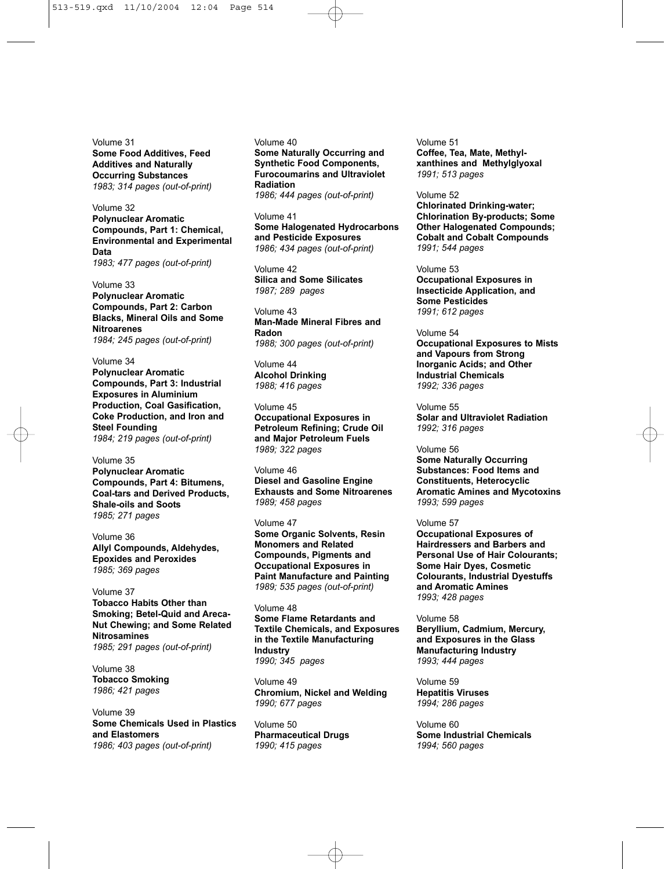Volume 31 **Some Food Additives, Feed Additives and Naturally Occurring Substances** *1983; 314 pages (out-of-print)*

Volume 32 **Polynuclear Aromatic Compounds, Part 1: Chemical, Environmental and Experimental Data** *1983; 477 pages (out-of-print)*

Volume 33 **Polynuclear Aromatic Compounds, Part 2: Carbon Blacks, Mineral Oils and Some Nitroarenes** *1984; 245 pages (out-of-print)*

Volume 34 **Polynuclear Aromatic Compounds, Part 3: Industrial Exposures in Aluminium Production, Coal Gasification, Coke Production, and Iron and Steel Founding** *1984; 219 pages (out-of-print)*

Volume 35 **Polynuclear Aromatic Compounds, Part 4: Bitumens, Coal-tars and Derived Products, Shale-oils and Soots** *1985; 271 pages*

Volume 36 **Allyl Compounds, Aldehydes, Epoxides and Peroxides**  *1985; 369 pages*

Volume 37 **Tobacco Habits Other than Smoking; Betel-Quid and Areca-Nut Chewing; and Some Related Nitrosamines** *1985; 291 pages (out-of-print)*

Volume 38 **Tobacco Smoking** *1986; 421 pages*

Volume 39 **Some Chemicals Used in Plastics and Elastomers** *1986; 403 pages (out-of-print)*

Volume 40 **Some Naturally Occurring and Synthetic Food Components, Furocoumarins and Ultraviolet Radiation** *1986; 444 pages (out-of-print)*

Volume 41 **Some Halogenated Hydrocarbons and Pesticide Exposures** *1986; 434 pages (out-of-print)*

Volume 42 **Silica and Some Silicates** *1987; 289 pages*

Volume 43 **Man-Made Mineral Fibres and Radon** *1988; 300 pages (out-of-print)*

Volume 44 **Alcohol Drinking** *1988; 416 pages*

Volume 45 **Occupational Exposures in Petroleum Refining; Crude Oil and Major Petroleum Fuels** *1989; 322 pages*

Volume 46 **Diesel and Gasoline Engine Exhausts and Some Nitroarenes** *1989; 458 pages*

Volume 47 **Some Organic Solvents, Resin Monomers and Related Compounds, Pigments and Occupational Exposures in Paint Manufacture and Painting** *1989; 535 pages (out-of-print)*

Volume 48 **Some Flame Retardants and Textile Chemicals, and Exposures in the Textile Manufacturing Industry** *1990; 345 pages*

Volume 49 **Chromium, Nickel and Welding** *1990; 677 pages*

Volume 50 **Pharmaceutical Drugs** *1990; 415 pages*

Volume 51 **Coffee, Tea, Mate, Methylxanthines and Methylglyoxal** *1991; 513 pages*

Volume 52 **Chlorinated Drinking-water; Chlorination By-products; Some Other Halogenated Compounds; Cobalt and Cobalt Compounds** *1991; 544 pages*

Volume 53 **Occupational Exposures in Insecticide Application, and Some Pesticides** *1991; 612 pages*

Volume 54 **Occupational Exposures to Mists and Vapours from Strong Inorganic Acids; and Other Industrial Chemicals** *1992; 336 pages*

Volume 55 **Solar and Ultraviolet Radiation** *1992; 316 pages*

Volume 56 **Some Naturally Occurring Substances: Food Items and Constituents, Heterocyclic Aromatic Amines and Mycotoxins** *1993; 599 pages*

#### Volume 57

**Occupational Exposures of Hairdressers and Barbers and Personal Use of Hair Colourants; Some Hair Dyes, Cosmetic Colourants, Industrial Dyestuffs and Aromatic Amines** *1993; 428 pages*

#### Volume 58

**Beryllium, Cadmium, Mercury, and Exposures in the Glass Manufacturing Industry** *1993; 444 pages*

Volume 59 **Hepatitis Viruses** *1994; 286 pages*

Volume 60 **Some Industrial Chemicals** *1994; 560 pages*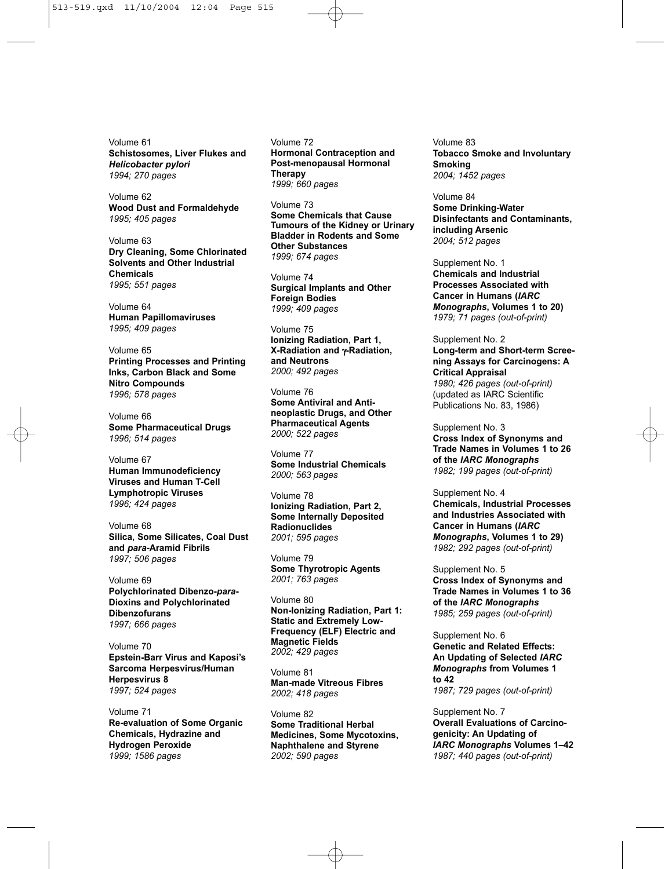Volume 61 **Schistosomes, Liver Flukes and** *Helicobacter pylori 1994; 270 pages*

Volume 62 **Wood Dust and Formaldehyde** *1995; 405 pages*

Volume 63 **Dry Cleaning, Some Chlorinated Solvents and Other Industrial Chemicals** *1995; 551 pages*

Volume 64 **Human Papillomaviruses** *1995; 409 pages*

Volume 65 **Printing Processes and Printing Inks, Carbon Black and Some Nitro Compounds** *1996; 578 pages*

Volume 66 **Some Pharmaceutical Drugs** *1996; 514 pages*

Volume 67 **Human Immunodeficiency Viruses and Human T-Cell Lymphotropic Viruses** *1996; 424 pages*

Volume 68 **Silica, Some Silicates, Coal Dust and** *para***-Aramid Fibrils** *1997; 506 pages*

Volume 69 **Polychlorinated Dibenzo-***para***-Dioxins and Polychlorinated Dibenzofurans** *1997; 666 pages*

Volume 70 **Epstein-Barr Virus and Kaposi's Sarcoma Herpesvirus/Human Herpesvirus 8** *1997; 524 pages*

Volume 71 **Re-evaluation of Some Organic Chemicals, Hydrazine and Hydrogen Peroxide** *1999; 1586 pages*

Volume 72 **Hormonal Contraception and Post-menopausal Hormonal Therapy** *1999; 660 pages*

Volume 73 **Some Chemicals that Cause Tumours of the Kidney or Urinary Bladder in Rodents and Some Other Substances** *1999; 674 pages*

Volume 74 **Surgical Implants and Other Foreign Bodies** *1999; 409 pages*

Volume 75 **Ionizing Radiation, Part 1, X-Radiation and** γ**-Radiation, and Neutrons** *2000; 492 pages*

Volume 76 **Some Antiviral and Antineoplastic Drugs, and Other Pharmaceutical Agents** *2000; 522 pages*

Volume 77 **Some Industrial Chemicals** *2000; 563 pages*

Volume 78 **Ionizing Radiation, Part 2, Some Internally Deposited Radionuclides** *2001; 595 pages*

Volume 79 **Some Thyrotropic Agents** *2001; 763 pages*

Volume 80 **Non-Ionizing Radiation, Part 1: Static and Extremely Low-Frequency (ELF) Electric and Magnetic Fields** *2002; 429 pages*

Volume 81 **Man-made Vitreous Fibres** *2002; 418 pages*

Volume 82 **Some Traditional Herbal Medicines, Some Mycotoxins, Naphthalene and Styrene** *2002; 590 pages*

Volume 83 **Tobacco Smoke and Involuntary Smoking** *2004; 1452 pages*

Volume 84 **Some Drinking-Water Disinfectants and Contaminants, including Arsenic** *2004; 512 pages*

Supplement No. 1 **Chemicals and Industrial Processes Associated with Cancer in Humans (***IARC Monographs***, Volumes 1 to 20)** *1979; 71 pages (out-of-print)*

Supplement No. 2 **Long-term and Short-term Screening Assays for Carcinogens: A Critical Appraisal** *1980; 426 pages (out-of-print)* (updated as IARC Scientific Publications No. 83, 1986)

Supplement No. 3 **Cross Index of Synonyms and Trade Names in Volumes 1 to 26 of the** *IARC Monographs 1982; 199 pages (out-of-print)*

Supplement No. 4 **Chemicals, Industrial Processes and Industries Associated with Cancer in Humans (***IARC Monographs***, Volumes 1 to 29)** *1982; 292 pages (out-of-print)*

Supplement No. 5 **Cross Index of Synonyms and Trade Names in Volumes 1 to 36 of the** *IARC Monographs 1985; 259 pages (out-of-print)*

Supplement No. 6 **Genetic and Related Effects: An Updating of Selected** *IARC Monographs* **from Volumes 1 to 42** *1987; 729 pages (out-of-print)*

Supplement No. 7 **Overall Evaluations of Carcinogenicity: An Updating of** *IARC Monographs* **Volumes 1–42** *1987; 440 pages (out-of-print)*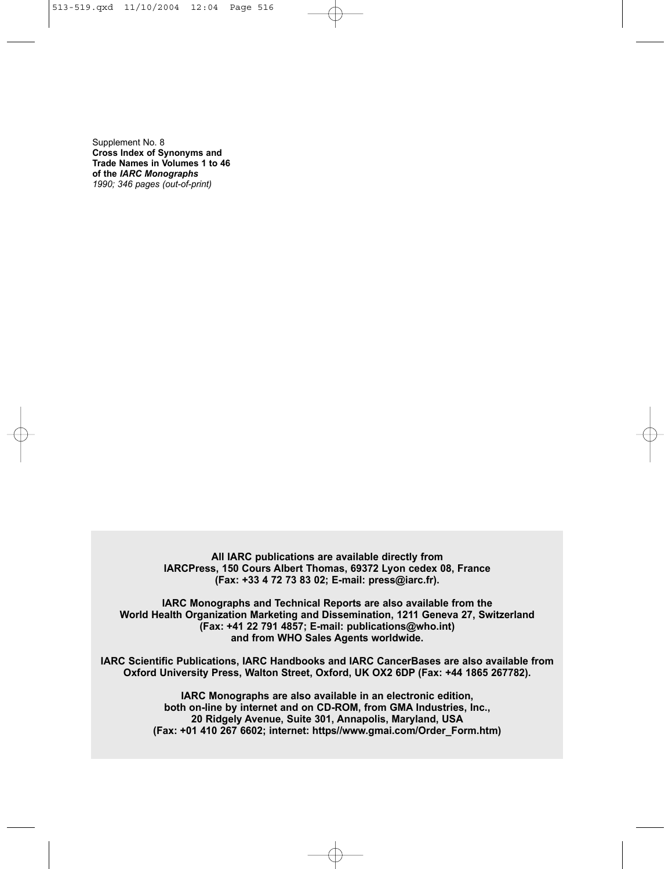Supplement No. 8 **Cross Index of Synonyms and Trade Names in Volumes 1 to 46 of the** *IARC Monographs 1990; 346 pages (out-of-print)*

> **All IARC publications are available directly from IARCPress, 150 Cours Albert Thomas, 69372 Lyon cedex 08, France (Fax: +33 4 72 73 83 02; E-mail: press@iarc.fr).**

**IARC Monographs and Technical Reports are also available from the World Health Organization Marketing and Dissemination, 1211 Geneva 27, Switzerland (Fax: +41 22 791 4857; E-mail: publications@who.int) and from WHO Sales Agents worldwide.**

**IARC Scientific Publications, IARC Handbooks and IARC CancerBases are also available from Oxford University Press, Walton Street, Oxford, UK OX2 6DP (Fax: +44 1865 267782).**

> **IARC Monographs are also available in an electronic edition, both on-line by internet and on CD-ROM, from GMA Industries, Inc., 20 Ridgely Avenue, Suite 301, Annapolis, Maryland, USA (Fax: +01 410 267 6602; internet: https//www.gmai.com/Order\_Form.htm)**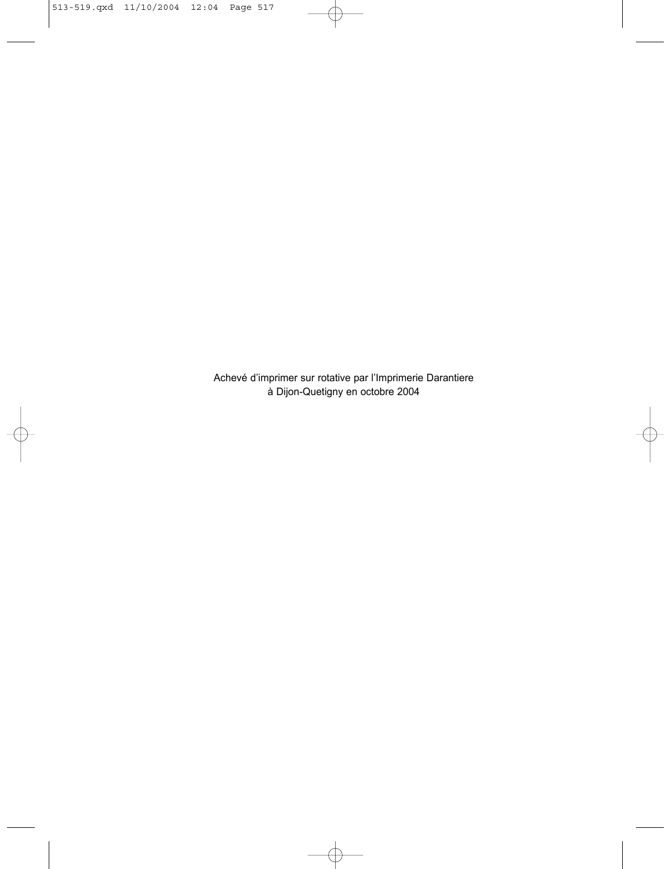Achevé d'imprimer sur rotative par l'Imprimerie Darantiere à Dijon-Quetigny en octobre 2004